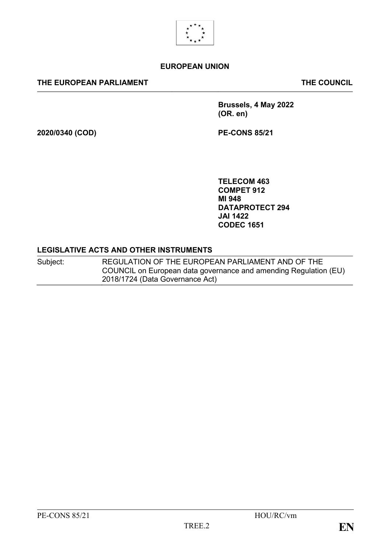

# **EUROPEAN UNION**

### **THE EUROPEAN PARLIAMENT THE COUNCIL**

**Brussels, 4 May 2022 (OR. en)**

**2020/0340 (COD) PE-CONS 85/21**

**TELECOM 463 COMPET 912 MI 948 DATAPROTECT 294 JAI 1422 CODEC 1651**

#### **LEGISLATIVE ACTS AND OTHER INSTRUMENTS**

Subject: REGULATION OF THE EUROPEAN PARLIAMENT AND OF THE COUNCIL on European data governance and amending Regulation (EU) 2018/1724 (Data Governance Act)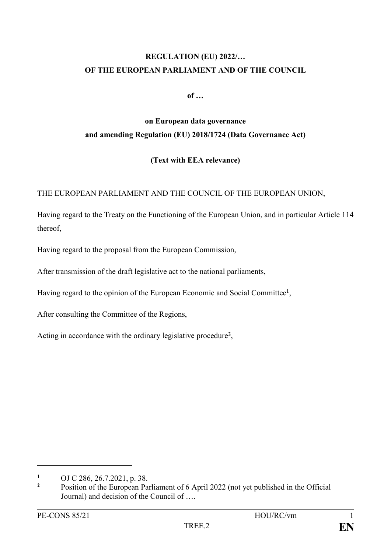# **REGULATION (EU) 2022/… OF THE EUROPEAN PARLIAMENT AND OF THE COUNCIL**

**of …**

# **on European data governance and amending Regulation (EU) 2018/1724 (Data Governance Act)**

# **(Text with EEA relevance)**

THE EUROPEAN PARLIAMENT AND THE COUNCIL OF THE EUROPEAN UNION,

Having regard to the Treaty on the Functioning of the European Union, and in particular Article 114 thereof,

Having regard to the proposal from the European Commission,

After transmission of the draft legislative act to the national parliaments,

Having regard to the opinion of the European Economic and Social Committee**<sup>1</sup>** ,

After consulting the Committee of the Regions,

Acting in accordance with the ordinary legislative procedure**<sup>2</sup>** ,

1

**<sup>1</sup>** OJ C 286, 26.7.2021, p. 38.

**<sup>2</sup>** Position of the European Parliament of 6 April 2022 (not yet published in the Official Journal) and decision of the Council of ….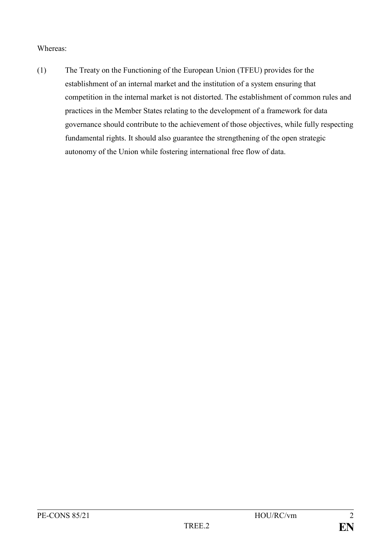# Whereas:

(1) The Treaty on the Functioning of the European Union (TFEU) provides for the establishment of an internal market and the institution of a system ensuring that competition in the internal market is not distorted. The establishment of common rules and practices in the Member States relating to the development of a framework for data governance should contribute to the achievement of those objectives, while fully respecting fundamental rights. It should also guarantee the strengthening of the open strategic autonomy of the Union while fostering international free flow of data.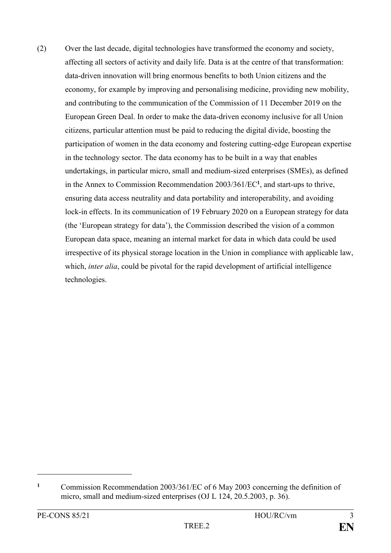(2) Over the last decade, digital technologies have transformed the economy and society, affecting all sectors of activity and daily life. Data is at the centre of that transformation: data-driven innovation will bring enormous benefits to both Union citizens and the economy, for example by improving and personalising medicine, providing new mobility, and contributing to the communication of the Commission of 11 December 2019 on the European Green Deal. In order to make the data-driven economy inclusive for all Union citizens, particular attention must be paid to reducing the digital divide, boosting the participation of women in the data economy and fostering cutting-edge European expertise in the technology sector. The data economy has to be built in a way that enables undertakings, in particular micro, small and medium-sized enterprises (SMEs), as defined in the Annex to Commission Recommendation 2003/361/EC**<sup>1</sup>** , and start-ups to thrive, ensuring data access neutrality and data portability and interoperability, and avoiding lock-in effects. In its communication of 19 February 2020 on a European strategy for data (the 'European strategy for data'), the Commission described the vision of a common European data space, meaning an internal market for data in which data could be used irrespective of its physical storage location in the Union in compliance with applicable law, which, *inter alia*, could be pivotal for the rapid development of artificial intelligence technologies.

1

**<sup>1</sup>** Commission Recommendation 2003/361/EC of 6 May 2003 concerning the definition of micro, small and medium-sized enterprises (OJ L 124, 20.5.2003, p. 36).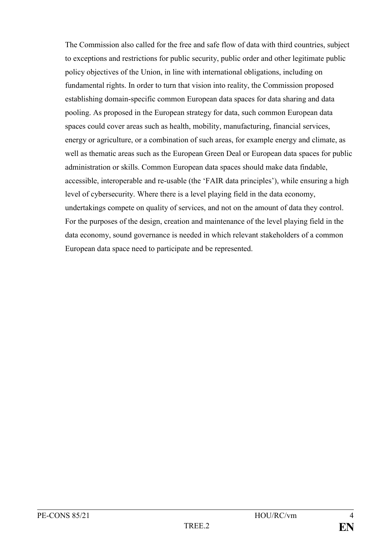The Commission also called for the free and safe flow of data with third countries, subject to exceptions and restrictions for public security, public order and other legitimate public policy objectives of the Union, in line with international obligations, including on fundamental rights. In order to turn that vision into reality, the Commission proposed establishing domain-specific common European data spaces for data sharing and data pooling. As proposed in the European strategy for data, such common European data spaces could cover areas such as health, mobility, manufacturing, financial services, energy or agriculture, or a combination of such areas, for example energy and climate, as well as thematic areas such as the European Green Deal or European data spaces for public administration or skills. Common European data spaces should make data findable, accessible, interoperable and re-usable (the 'FAIR data principles'), while ensuring a high level of cybersecurity. Where there is a level playing field in the data economy, undertakings compete on quality of services, and not on the amount of data they control. For the purposes of the design, creation and maintenance of the level playing field in the data economy, sound governance is needed in which relevant stakeholders of a common European data space need to participate and be represented.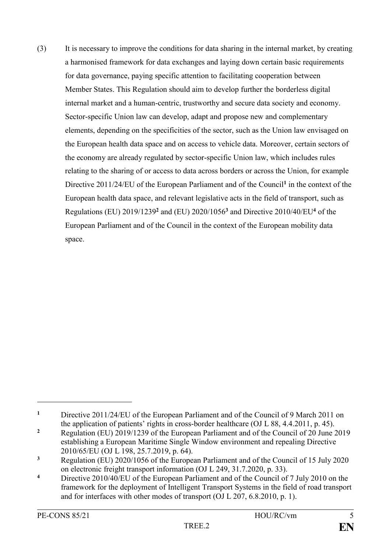(3) It is necessary to improve the conditions for data sharing in the internal market, by creating a harmonised framework for data exchanges and laying down certain basic requirements for data governance, paying specific attention to facilitating cooperation between Member States. This Regulation should aim to develop further the borderless digital internal market and a human-centric, trustworthy and secure data society and economy. Sector-specific Union law can develop, adapt and propose new and complementary elements, depending on the specificities of the sector, such as the Union law envisaged on the European health data space and on access to vehicle data. Moreover, certain sectors of the economy are already regulated by sector-specific Union law, which includes rules relating to the sharing of or access to data across borders or across the Union, for example Directive 2011/24/EU of the European Parliament and of the Council**<sup>1</sup>** in the context of the European health data space, and relevant legislative acts in the field of transport, such as Regulations (EU) 2019/1239**<sup>2</sup>** and (EU) 2020/1056**<sup>3</sup>** and Directive 2010/40/EU**<sup>4</sup>** of the European Parliament and of the Council in the context of the European mobility data space.

<u>.</u>

**<sup>1</sup>** Directive 2011/24/EU of the European Parliament and of the Council of 9 March 2011 on the application of patients' rights in cross-border healthcare (OJ L 88, 4.4.2011, p. 45).

<sup>&</sup>lt;sup>2</sup> Regulation (EU) 2019/1239 of the European Parliament and of the Council of 20 June 2019 establishing a European Maritime Single Window environment and repealing Directive 2010/65/EU (OJ L 198, 25.7.2019, p. 64).

**<sup>3</sup>** Regulation (EU) 2020/1056 of the European Parliament and of the Council of 15 July 2020 on electronic freight transport information (OJ L 249, 31.7.2020, p. 33).

<sup>&</sup>lt;sup>4</sup> Directive 2010/40/EU of the European Parliament and of the Council of 7 July 2010 on the framework for the deployment of Intelligent Transport Systems in the field of road transport and for interfaces with other modes of transport (OJ L 207, 6.8.2010, p. 1).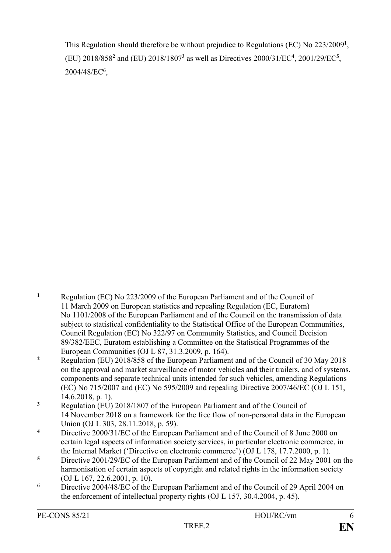This Regulation should therefore be without prejudice to Regulations (EC) No 223/2009**<sup>1</sup>** , (EU) 2018/858**<sup>2</sup>** and (EU) 2018/1807**<sup>3</sup>** as well as Directives 2000/31/EC**<sup>4</sup>** , 2001/29/EC**<sup>5</sup>** , 2004/48/EC**<sup>6</sup>** ,

1

**<sup>1</sup>** Regulation (EC) No 223/2009 of the European Parliament and of the Council of 11 March 2009 on European statistics and repealing Regulation (EC, Euratom) No 1101/2008 of the European Parliament and of the Council on the transmission of data subject to statistical confidentiality to the Statistical Office of the European Communities, Council Regulation (EC) No 322/97 on Community Statistics, and Council Decision 89/382/EEC, Euratom establishing a Committee on the Statistical Programmes of the European Communities (OJ L 87, 31.3.2009, p. 164).

**<sup>2</sup>** Regulation (EU) 2018/858 of the European Parliament and of the Council of 30 May 2018 on the approval and market surveillance of motor vehicles and their trailers, and of systems, components and separate technical units intended for such vehicles, amending Regulations (EC) No 715/2007 and (EC) No 595/2009 and repealing Directive 2007/46/EC (OJ L 151, 14.6.2018, p. 1).

**<sup>3</sup>** Regulation (EU) 2018/1807 of the European Parliament and of the Council of 14 November 2018 on a framework for the free flow of non-personal data in the European Union (OJ L 303, 28.11.2018, p. 59).

**<sup>4</sup>** Directive 2000/31/EC of the European Parliament and of the Council of 8 June 2000 on certain legal aspects of information society services, in particular electronic commerce, in the Internal Market ('Directive on electronic commerce') (OJ L 178, 17.7.2000, p. 1).

**<sup>5</sup>** Directive 2001/29/EC of the European Parliament and of the Council of 22 May 2001 on the harmonisation of certain aspects of copyright and related rights in the information society (OJ L 167, 22.6.2001, p. 10).

**<sup>6</sup>** Directive 2004/48/EC of the European Parliament and of the Council of 29 April 2004 on the enforcement of intellectual property rights (OJ L 157, 30.4.2004, p. 45).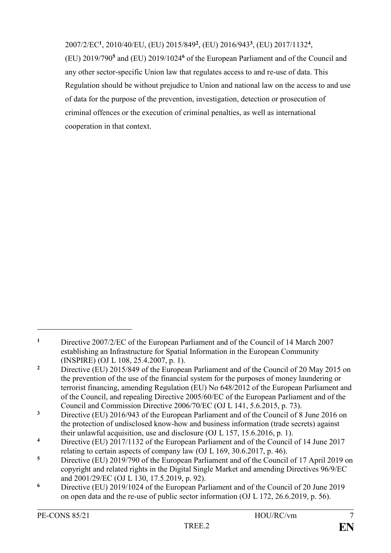2007/2/EC**<sup>1</sup>** , 2010/40/EU, (EU) 2015/849**<sup>2</sup>** , (EU) 2016/943**<sup>3</sup>** , (EU) 2017/1132**<sup>4</sup>** ,

(EU) 2019/790**<sup>5</sup>** and (EU) 2019/1024**<sup>6</sup>** of the European Parliament and of the Council and any other sector-specific Union law that regulates access to and re-use of data. This Regulation should be without prejudice to Union and national law on the access to and use of data for the purpose of the prevention, investigation, detection or prosecution of criminal offences or the execution of criminal penalties, as well as international cooperation in that context.

1

<sup>&</sup>lt;sup>1</sup> Directive 2007/2/EC of the European Parliament and of the Council of 14 March 2007 establishing an Infrastructure for Spatial Information in the European Community (INSPIRE) (OJ L 108, 25.4.2007, p. 1).

<sup>&</sup>lt;sup>2</sup> Directive (EU) 2015/849 of the European Parliament and of the Council of 20 May 2015 on the prevention of the use of the financial system for the purposes of money laundering or terrorist financing, amending Regulation (EU) No 648/2012 of the European Parliament and of the Council, and repealing Directive 2005/60/EC of the European Parliament and of the Council and Commission Directive 2006/70/EC (OJ L 141, 5.6.2015, p. 73).

**<sup>3</sup>** Directive (EU) 2016/943 of the European Parliament and of the Council of 8 June 2016 on the protection of undisclosed know-how and business information (trade secrets) against their unlawful acquisition, use and disclosure (OJ L 157, 15.6.2016, p. 1).

**<sup>4</sup>** Directive (EU) 2017/1132 of the European Parliament and of the Council of 14 June 2017 relating to certain aspects of company law (OJ L 169, 30.6.2017, p. 46).

**<sup>5</sup>** Directive (EU) 2019/790 of the European Parliament and of the Council of 17 April 2019 on copyright and related rights in the Digital Single Market and amending Directives 96/9/EC and 2001/29/EC (OJ L 130, 17.5.2019, p. 92).

**<sup>6</sup>** Directive (EU) 2019/1024 of the European Parliament and of the Council of 20 June 2019 on open data and the re-use of public sector information (OJ L 172, 26.6.2019, p. 56).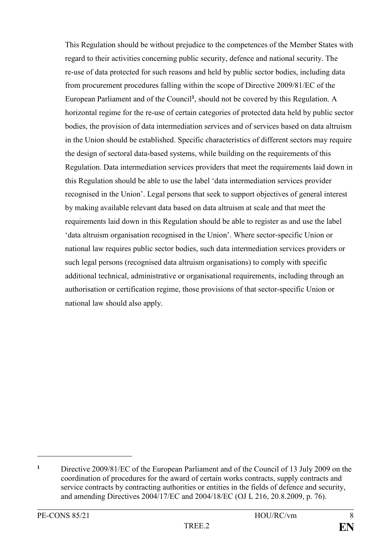This Regulation should be without prejudice to the competences of the Member States with regard to their activities concerning public security, defence and national security. The re-use of data protected for such reasons and held by public sector bodies, including data from procurement procedures falling within the scope of Directive 2009/81/EC of the European Parliament and of the Council**<sup>1</sup>** , should not be covered by this Regulation. A horizontal regime for the re-use of certain categories of protected data held by public sector bodies, the provision of data intermediation services and of services based on data altruism in the Union should be established. Specific characteristics of different sectors may require the design of sectoral data-based systems, while building on the requirements of this Regulation. Data intermediation services providers that meet the requirements laid down in this Regulation should be able to use the label 'data intermediation services provider recognised in the Union'. Legal persons that seek to support objectives of general interest by making available relevant data based on data altruism at scale and that meet the requirements laid down in this Regulation should be able to register as and use the label 'data altruism organisation recognised in the Union'. Where sector-specific Union or national law requires public sector bodies, such data intermediation services providers or such legal persons (recognised data altruism organisations) to comply with specific additional technical, administrative or organisational requirements, including through an authorisation or certification regime, those provisions of that sector-specific Union or national law should also apply.

<u>.</u>

**<sup>1</sup>** Directive 2009/81/EC of the European Parliament and of the Council of 13 July 2009 on the coordination of procedures for the award of certain works contracts, supply contracts and service contracts by contracting authorities or entities in the fields of defence and security, and amending Directives 2004/17/EC and 2004/18/EC (OJ L 216, 20.8.2009, p. 76).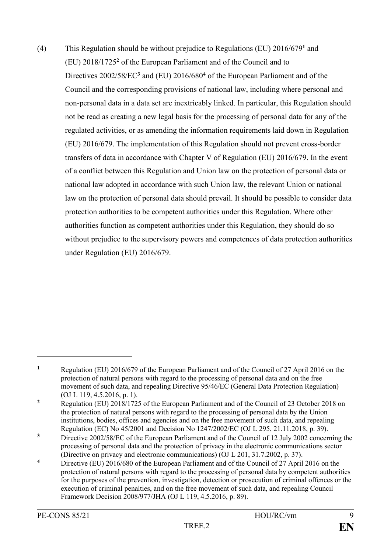(4) This Regulation should be without prejudice to Regulations (EU) 2016/679**<sup>1</sup>** and (EU) 2018/1725**<sup>2</sup>** of the European Parliament and of the Council and to Directives 2002/58/EC**<sup>3</sup>** and (EU) 2016/680**<sup>4</sup>** of the European Parliament and of the Council and the corresponding provisions of national law, including where personal and non-personal data in a data set are inextricably linked. In particular, this Regulation should not be read as creating a new legal basis for the processing of personal data for any of the regulated activities, or as amending the information requirements laid down in Regulation (EU) 2016/679. The implementation of this Regulation should not prevent cross-border transfers of data in accordance with Chapter V of Regulation (EU) 2016/679. In the event of a conflict between this Regulation and Union law on the protection of personal data or national law adopted in accordance with such Union law, the relevant Union or national law on the protection of personal data should prevail. It should be possible to consider data protection authorities to be competent authorities under this Regulation. Where other authorities function as competent authorities under this Regulation, they should do so without prejudice to the supervisory powers and competences of data protection authorities under Regulation (EU) 2016/679.

<u>.</u>

**<sup>1</sup>** Regulation (EU) 2016/679 of the European Parliament and of the Council of 27 April 2016 on the protection of natural persons with regard to the processing of personal data and on the free movement of such data, and repealing Directive 95/46/EC (General Data Protection Regulation) (OJ L 119, 4.5.2016, p. 1).

<sup>&</sup>lt;sup>2</sup> Regulation (EU) 2018/1725 of the European Parliament and of the Council of 23 October 2018 on the protection of natural persons with regard to the processing of personal data by the Union institutions, bodies, offices and agencies and on the free movement of such data, and repealing Regulation (EC) No 45/2001 and Decision No 1247/2002/EC (OJ L 295, 21.11.2018, p. 39).

<sup>&</sup>lt;sup>3</sup> Directive 2002/58/EC of the European Parliament and of the Council of 12 July 2002 concerning the processing of personal data and the protection of privacy in the electronic communications sector (Directive on privacy and electronic communications) (OJ L 201, 31.7.2002, p. 37).

**<sup>4</sup>** Directive (EU) 2016/680 of the European Parliament and of the Council of 27 April 2016 on the protection of natural persons with regard to the processing of personal data by competent authorities for the purposes of the prevention, investigation, detection or prosecution of criminal offences or the execution of criminal penalties, and on the free movement of such data, and repealing Council Framework Decision 2008/977/JHA (OJ L 119, 4.5.2016, p. 89).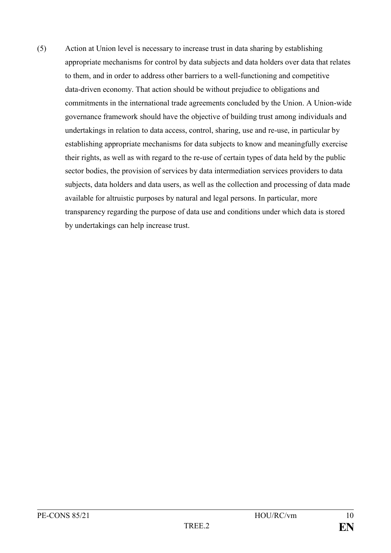(5) Action at Union level is necessary to increase trust in data sharing by establishing appropriate mechanisms for control by data subjects and data holders over data that relates to them, and in order to address other barriers to a well-functioning and competitive data-driven economy. That action should be without prejudice to obligations and commitments in the international trade agreements concluded by the Union. A Union-wide governance framework should have the objective of building trust among individuals and undertakings in relation to data access, control, sharing, use and re-use, in particular by establishing appropriate mechanisms for data subjects to know and meaningfully exercise their rights, as well as with regard to the re-use of certain types of data held by the public sector bodies, the provision of services by data intermediation services providers to data subjects, data holders and data users, as well as the collection and processing of data made available for altruistic purposes by natural and legal persons. In particular, more transparency regarding the purpose of data use and conditions under which data is stored by undertakings can help increase trust.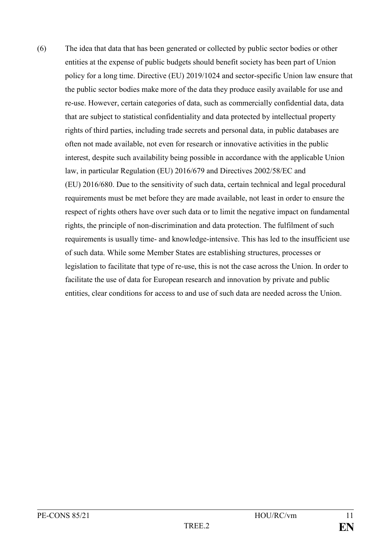(6) The idea that data that has been generated or collected by public sector bodies or other entities at the expense of public budgets should benefit society has been part of Union policy for a long time. Directive (EU) 2019/1024 and sector-specific Union law ensure that the public sector bodies make more of the data they produce easily available for use and re-use. However, certain categories of data, such as commercially confidential data, data that are subject to statistical confidentiality and data protected by intellectual property rights of third parties, including trade secrets and personal data, in public databases are often not made available, not even for research or innovative activities in the public interest, despite such availability being possible in accordance with the applicable Union law, in particular Regulation (EU) 2016/679 and Directives 2002/58/EC and (EU) 2016/680. Due to the sensitivity of such data, certain technical and legal procedural requirements must be met before they are made available, not least in order to ensure the respect of rights others have over such data or to limit the negative impact on fundamental rights, the principle of non-discrimination and data protection. The fulfilment of such requirements is usually time- and knowledge-intensive. This has led to the insufficient use of such data. While some Member States are establishing structures, processes or legislation to facilitate that type of re-use, this is not the case across the Union. In order to facilitate the use of data for European research and innovation by private and public entities, clear conditions for access to and use of such data are needed across the Union.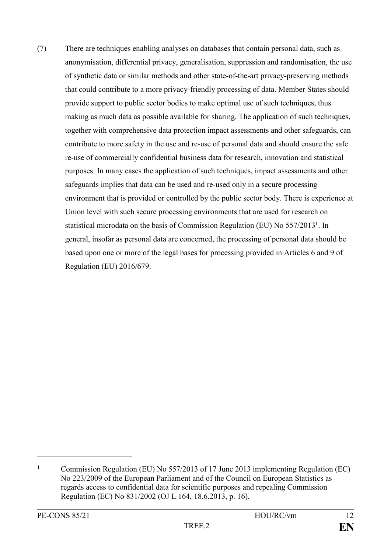(7) There are techniques enabling analyses on databases that contain personal data, such as anonymisation, differential privacy, generalisation, suppression and randomisation, the use of synthetic data or similar methods and other state-of-the-art privacy-preserving methods that could contribute to a more privacy-friendly processing of data. Member States should provide support to public sector bodies to make optimal use of such techniques, thus making as much data as possible available for sharing. The application of such techniques, together with comprehensive data protection impact assessments and other safeguards, can contribute to more safety in the use and re-use of personal data and should ensure the safe re-use of commercially confidential business data for research, innovation and statistical purposes. In many cases the application of such techniques, impact assessments and other safeguards implies that data can be used and re-used only in a secure processing environment that is provided or controlled by the public sector body. There is experience at Union level with such secure processing environments that are used for research on statistical microdata on the basis of Commission Regulation (EU) No 557/2013**<sup>1</sup>** . In general, insofar as personal data are concerned, the processing of personal data should be based upon one or more of the legal bases for processing provided in Articles 6 and 9 of Regulation (EU) 2016/679.

<u>.</u>

**<sup>1</sup>** Commission Regulation (EU) No 557/2013 of 17 June 2013 implementing Regulation (EC) No 223/2009 of the European Parliament and of the Council on European Statistics as regards access to confidential data for scientific purposes and repealing Commission Regulation (EC) No 831/2002 (OJ L 164, 18.6.2013, p. 16).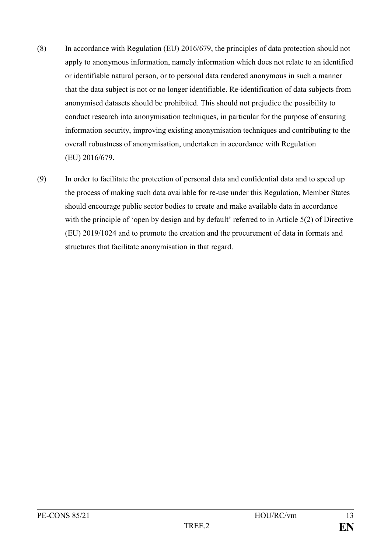- (8) In accordance with Regulation (EU) 2016/679, the principles of data protection should not apply to anonymous information, namely information which does not relate to an identified or identifiable natural person, or to personal data rendered anonymous in such a manner that the data subject is not or no longer identifiable. Re-identification of data subjects from anonymised datasets should be prohibited. This should not prejudice the possibility to conduct research into anonymisation techniques, in particular for the purpose of ensuring information security, improving existing anonymisation techniques and contributing to the overall robustness of anonymisation, undertaken in accordance with Regulation (EU) 2016/679.
- (9) In order to facilitate the protection of personal data and confidential data and to speed up the process of making such data available for re-use under this Regulation, Member States should encourage public sector bodies to create and make available data in accordance with the principle of 'open by design and by default' referred to in Article 5(2) of Directive (EU) 2019/1024 and to promote the creation and the procurement of data in formats and structures that facilitate anonymisation in that regard.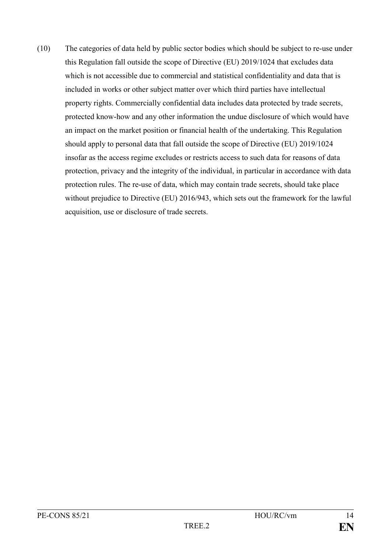(10) The categories of data held by public sector bodies which should be subject to re-use under this Regulation fall outside the scope of Directive (EU) 2019/1024 that excludes data which is not accessible due to commercial and statistical confidentiality and data that is included in works or other subject matter over which third parties have intellectual property rights. Commercially confidential data includes data protected by trade secrets, protected know-how and any other information the undue disclosure of which would have an impact on the market position or financial health of the undertaking. This Regulation should apply to personal data that fall outside the scope of Directive (EU) 2019/1024 insofar as the access regime excludes or restricts access to such data for reasons of data protection, privacy and the integrity of the individual, in particular in accordance with data protection rules. The re-use of data, which may contain trade secrets, should take place without prejudice to Directive (EU) 2016/943, which sets out the framework for the lawful acquisition, use or disclosure of trade secrets.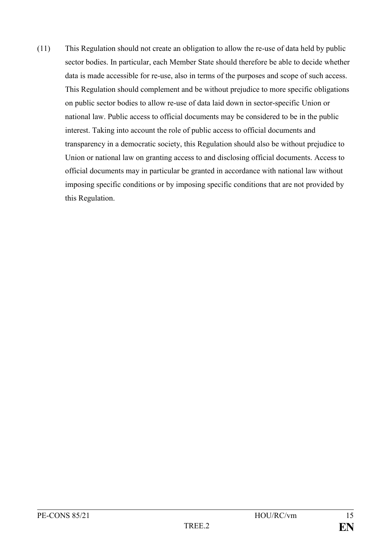(11) This Regulation should not create an obligation to allow the re-use of data held by public sector bodies. In particular, each Member State should therefore be able to decide whether data is made accessible for re-use, also in terms of the purposes and scope of such access. This Regulation should complement and be without prejudice to more specific obligations on public sector bodies to allow re-use of data laid down in sector-specific Union or national law. Public access to official documents may be considered to be in the public interest. Taking into account the role of public access to official documents and transparency in a democratic society, this Regulation should also be without prejudice to Union or national law on granting access to and disclosing official documents. Access to official documents may in particular be granted in accordance with national law without imposing specific conditions or by imposing specific conditions that are not provided by this Regulation.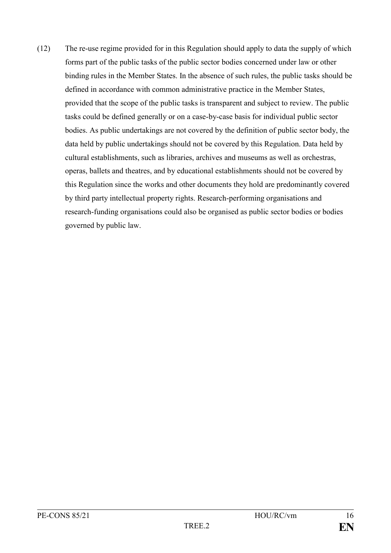(12) The re-use regime provided for in this Regulation should apply to data the supply of which forms part of the public tasks of the public sector bodies concerned under law or other binding rules in the Member States. In the absence of such rules, the public tasks should be defined in accordance with common administrative practice in the Member States, provided that the scope of the public tasks is transparent and subject to review. The public tasks could be defined generally or on a case-by-case basis for individual public sector bodies. As public undertakings are not covered by the definition of public sector body, the data held by public undertakings should not be covered by this Regulation. Data held by cultural establishments, such as libraries, archives and museums as well as orchestras, operas, ballets and theatres, and by educational establishments should not be covered by this Regulation since the works and other documents they hold are predominantly covered by third party intellectual property rights. Research-performing organisations and research-funding organisations could also be organised as public sector bodies or bodies governed by public law.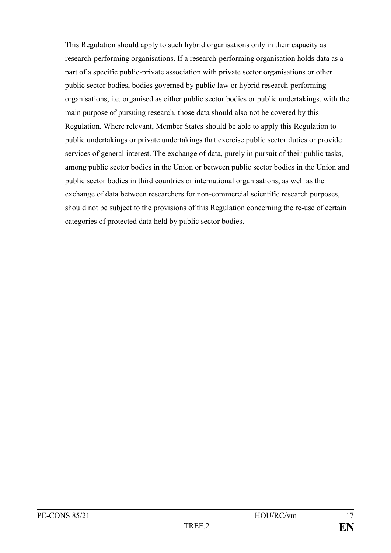This Regulation should apply to such hybrid organisations only in their capacity as research-performing organisations. If a research-performing organisation holds data as a part of a specific public-private association with private sector organisations or other public sector bodies, bodies governed by public law or hybrid research-performing organisations, i.e. organised as either public sector bodies or public undertakings, with the main purpose of pursuing research, those data should also not be covered by this Regulation. Where relevant, Member States should be able to apply this Regulation to public undertakings or private undertakings that exercise public sector duties or provide services of general interest. The exchange of data, purely in pursuit of their public tasks, among public sector bodies in the Union or between public sector bodies in the Union and public sector bodies in third countries or international organisations, as well as the exchange of data between researchers for non-commercial scientific research purposes, should not be subject to the provisions of this Regulation concerning the re-use of certain categories of protected data held by public sector bodies.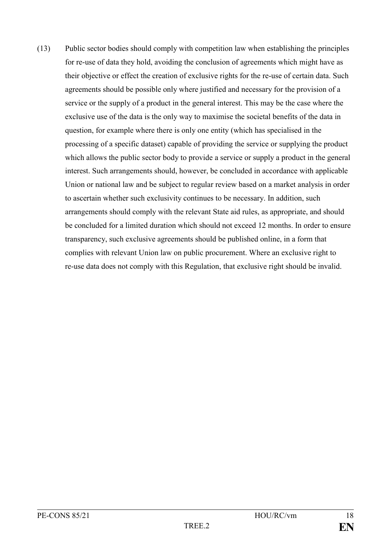(13) Public sector bodies should comply with competition law when establishing the principles for re-use of data they hold, avoiding the conclusion of agreements which might have as their objective or effect the creation of exclusive rights for the re-use of certain data. Such agreements should be possible only where justified and necessary for the provision of a service or the supply of a product in the general interest. This may be the case where the exclusive use of the data is the only way to maximise the societal benefits of the data in question, for example where there is only one entity (which has specialised in the processing of a specific dataset) capable of providing the service or supplying the product which allows the public sector body to provide a service or supply a product in the general interest. Such arrangements should, however, be concluded in accordance with applicable Union or national law and be subject to regular review based on a market analysis in order to ascertain whether such exclusivity continues to be necessary. In addition, such arrangements should comply with the relevant State aid rules, as appropriate, and should be concluded for a limited duration which should not exceed 12 months. In order to ensure transparency, such exclusive agreements should be published online, in a form that complies with relevant Union law on public procurement. Where an exclusive right to re-use data does not comply with this Regulation, that exclusive right should be invalid.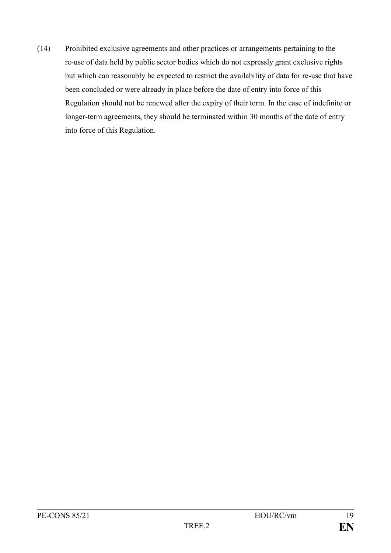(14) Prohibited exclusive agreements and other practices or arrangements pertaining to the re-use of data held by public sector bodies which do not expressly grant exclusive rights but which can reasonably be expected to restrict the availability of data for re-use that have been concluded or were already in place before the date of entry into force of this Regulation should not be renewed after the expiry of their term. In the case of indefinite or longer-term agreements, they should be terminated within 30 months of the date of entry into force of this Regulation.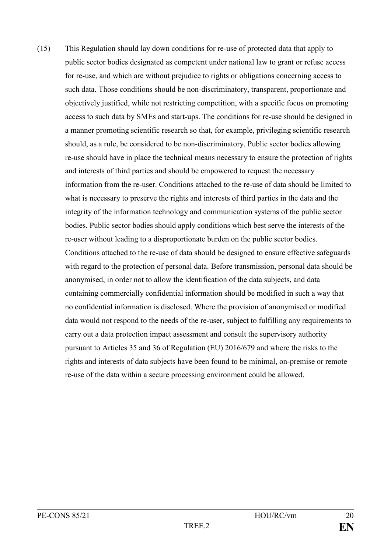(15) This Regulation should lay down conditions for re-use of protected data that apply to public sector bodies designated as competent under national law to grant or refuse access for re-use, and which are without prejudice to rights or obligations concerning access to such data. Those conditions should be non-discriminatory, transparent, proportionate and objectively justified, while not restricting competition, with a specific focus on promoting access to such data by SMEs and start-ups. The conditions for re-use should be designed in a manner promoting scientific research so that, for example, privileging scientific research should, as a rule, be considered to be non-discriminatory. Public sector bodies allowing re-use should have in place the technical means necessary to ensure the protection of rights and interests of third parties and should be empowered to request the necessary information from the re-user. Conditions attached to the re-use of data should be limited to what is necessary to preserve the rights and interests of third parties in the data and the integrity of the information technology and communication systems of the public sector bodies. Public sector bodies should apply conditions which best serve the interests of the re-user without leading to a disproportionate burden on the public sector bodies. Conditions attached to the re-use of data should be designed to ensure effective safeguards with regard to the protection of personal data. Before transmission, personal data should be anonymised, in order not to allow the identification of the data subjects, and data containing commercially confidential information should be modified in such a way that no confidential information is disclosed. Where the provision of anonymised or modified data would not respond to the needs of the re-user, subject to fulfilling any requirements to carry out a data protection impact assessment and consult the supervisory authority pursuant to Articles 35 and 36 of Regulation (EU) 2016/679 and where the risks to the rights and interests of data subjects have been found to be minimal, on-premise or remote re-use of the data within a secure processing environment could be allowed.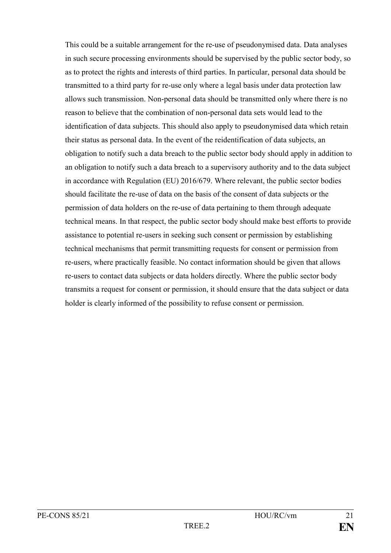This could be a suitable arrangement for the re-use of pseudonymised data. Data analyses in such secure processing environments should be supervised by the public sector body, so as to protect the rights and interests of third parties. In particular, personal data should be transmitted to a third party for re-use only where a legal basis under data protection law allows such transmission. Non-personal data should be transmitted only where there is no reason to believe that the combination of non-personal data sets would lead to the identification of data subjects. This should also apply to pseudonymised data which retain their status as personal data. In the event of the reidentification of data subjects, an obligation to notify such a data breach to the public sector body should apply in addition to an obligation to notify such a data breach to a supervisory authority and to the data subject in accordance with Regulation (EU) 2016/679. Where relevant, the public sector bodies should facilitate the re-use of data on the basis of the consent of data subjects or the permission of data holders on the re-use of data pertaining to them through adequate technical means. In that respect, the public sector body should make best efforts to provide assistance to potential re-users in seeking such consent or permission by establishing technical mechanisms that permit transmitting requests for consent or permission from re-users, where practically feasible. No contact information should be given that allows re-users to contact data subjects or data holders directly. Where the public sector body transmits a request for consent or permission, it should ensure that the data subject or data holder is clearly informed of the possibility to refuse consent or permission.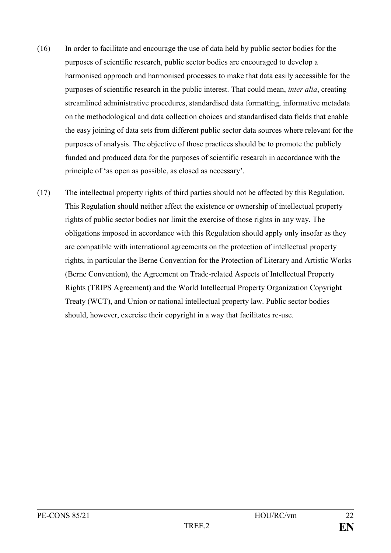- (16) In order to facilitate and encourage the use of data held by public sector bodies for the purposes of scientific research, public sector bodies are encouraged to develop a harmonised approach and harmonised processes to make that data easily accessible for the purposes of scientific research in the public interest. That could mean, *inter alia*, creating streamlined administrative procedures, standardised data formatting, informative metadata on the methodological and data collection choices and standardised data fields that enable the easy joining of data sets from different public sector data sources where relevant for the purposes of analysis. The objective of those practices should be to promote the publicly funded and produced data for the purposes of scientific research in accordance with the principle of 'as open as possible, as closed as necessary'.
- (17) The intellectual property rights of third parties should not be affected by this Regulation. This Regulation should neither affect the existence or ownership of intellectual property rights of public sector bodies nor limit the exercise of those rights in any way. The obligations imposed in accordance with this Regulation should apply only insofar as they are compatible with international agreements on the protection of intellectual property rights, in particular the Berne Convention for the Protection of Literary and Artistic Works (Berne Convention), the Agreement on Trade-related Aspects of Intellectual Property Rights (TRIPS Agreement) and the World Intellectual Property Organization Copyright Treaty (WCT), and Union or national intellectual property law. Public sector bodies should, however, exercise their copyright in a way that facilitates re-use.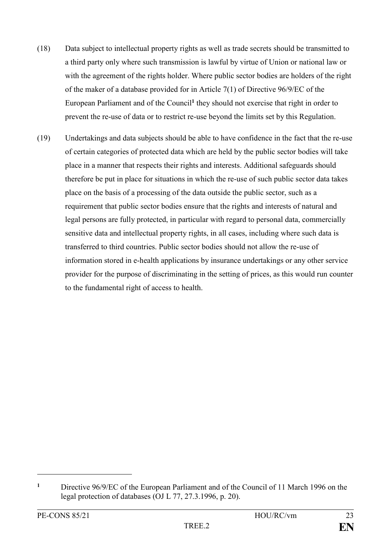- (18) Data subject to intellectual property rights as well as trade secrets should be transmitted to a third party only where such transmission is lawful by virtue of Union or national law or with the agreement of the rights holder. Where public sector bodies are holders of the right of the maker of a database provided for in Article 7(1) of Directive 96/9/EC of the European Parliament and of the Council**<sup>1</sup>** they should not exercise that right in order to prevent the re-use of data or to restrict re-use beyond the limits set by this Regulation.
- (19) Undertakings and data subjects should be able to have confidence in the fact that the re-use of certain categories of protected data which are held by the public sector bodies will take place in a manner that respects their rights and interests. Additional safeguards should therefore be put in place for situations in which the re-use of such public sector data takes place on the basis of a processing of the data outside the public sector, such as a requirement that public sector bodies ensure that the rights and interests of natural and legal persons are fully protected, in particular with regard to personal data, commercially sensitive data and intellectual property rights, in all cases, including where such data is transferred to third countries. Public sector bodies should not allow the re-use of information stored in e-health applications by insurance undertakings or any other service provider for the purpose of discriminating in the setting of prices, as this would run counter to the fundamental right of access to health.

1

**<sup>1</sup>** Directive 96/9/EC of the European Parliament and of the Council of 11 March 1996 on the legal protection of databases (OJ L 77, 27.3.1996, p. 20).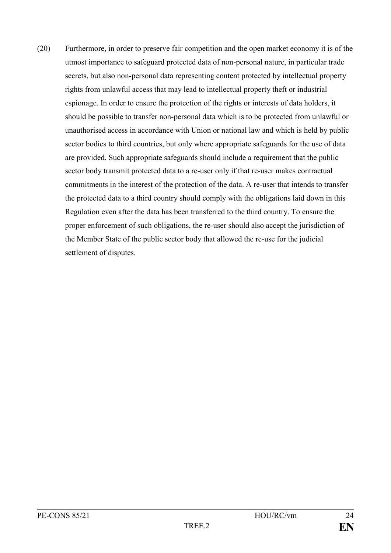(20) Furthermore, in order to preserve fair competition and the open market economy it is of the utmost importance to safeguard protected data of non-personal nature, in particular trade secrets, but also non-personal data representing content protected by intellectual property rights from unlawful access that may lead to intellectual property theft or industrial espionage. In order to ensure the protection of the rights or interests of data holders, it should be possible to transfer non-personal data which is to be protected from unlawful or unauthorised access in accordance with Union or national law and which is held by public sector bodies to third countries, but only where appropriate safeguards for the use of data are provided. Such appropriate safeguards should include a requirement that the public sector body transmit protected data to a re-user only if that re-user makes contractual commitments in the interest of the protection of the data. A re-user that intends to transfer the protected data to a third country should comply with the obligations laid down in this Regulation even after the data has been transferred to the third country. To ensure the proper enforcement of such obligations, the re-user should also accept the jurisdiction of the Member State of the public sector body that allowed the re-use for the judicial settlement of disputes.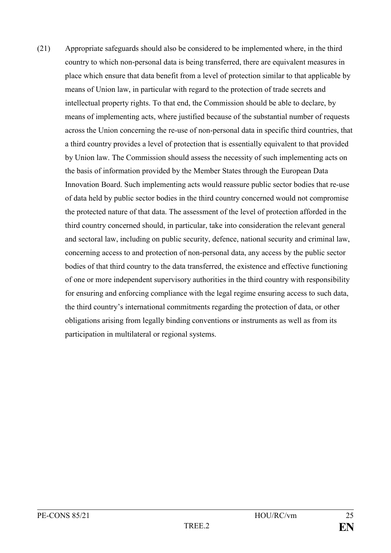(21) Appropriate safeguards should also be considered to be implemented where, in the third country to which non-personal data is being transferred, there are equivalent measures in place which ensure that data benefit from a level of protection similar to that applicable by means of Union law, in particular with regard to the protection of trade secrets and intellectual property rights. To that end, the Commission should be able to declare, by means of implementing acts, where justified because of the substantial number of requests across the Union concerning the re-use of non-personal data in specific third countries, that a third country provides a level of protection that is essentially equivalent to that provided by Union law. The Commission should assess the necessity of such implementing acts on the basis of information provided by the Member States through the European Data Innovation Board. Such implementing acts would reassure public sector bodies that re-use of data held by public sector bodies in the third country concerned would not compromise the protected nature of that data. The assessment of the level of protection afforded in the third country concerned should, in particular, take into consideration the relevant general and sectoral law, including on public security, defence, national security and criminal law, concerning access to and protection of non-personal data, any access by the public sector bodies of that third country to the data transferred, the existence and effective functioning of one or more independent supervisory authorities in the third country with responsibility for ensuring and enforcing compliance with the legal regime ensuring access to such data, the third country's international commitments regarding the protection of data, or other obligations arising from legally binding conventions or instruments as well as from its participation in multilateral or regional systems.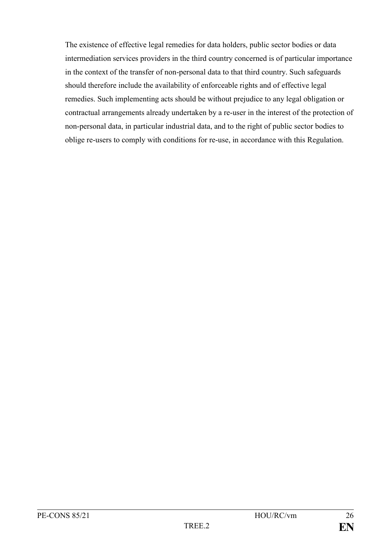The existence of effective legal remedies for data holders, public sector bodies or data intermediation services providers in the third country concerned is of particular importance in the context of the transfer of non-personal data to that third country. Such safeguards should therefore include the availability of enforceable rights and of effective legal remedies. Such implementing acts should be without prejudice to any legal obligation or contractual arrangements already undertaken by a re-user in the interest of the protection of non-personal data, in particular industrial data, and to the right of public sector bodies to oblige re-users to comply with conditions for re-use, in accordance with this Regulation.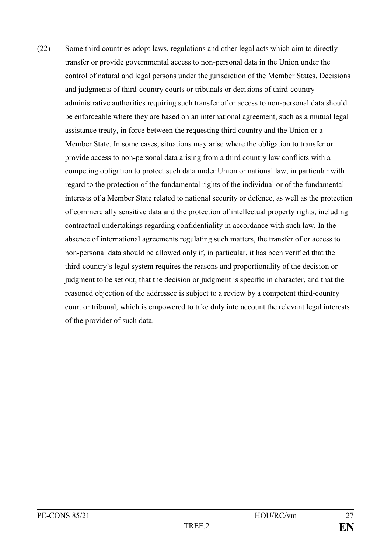(22) Some third countries adopt laws, regulations and other legal acts which aim to directly transfer or provide governmental access to non-personal data in the Union under the control of natural and legal persons under the jurisdiction of the Member States. Decisions and judgments of third-country courts or tribunals or decisions of third-country administrative authorities requiring such transfer of or access to non-personal data should be enforceable where they are based on an international agreement, such as a mutual legal assistance treaty, in force between the requesting third country and the Union or a Member State. In some cases, situations may arise where the obligation to transfer or provide access to non-personal data arising from a third country law conflicts with a competing obligation to protect such data under Union or national law, in particular with regard to the protection of the fundamental rights of the individual or of the fundamental interests of a Member State related to national security or defence, as well as the protection of commercially sensitive data and the protection of intellectual property rights, including contractual undertakings regarding confidentiality in accordance with such law. In the absence of international agreements regulating such matters, the transfer of or access to non-personal data should be allowed only if, in particular, it has been verified that the third-country's legal system requires the reasons and proportionality of the decision or judgment to be set out, that the decision or judgment is specific in character, and that the reasoned objection of the addressee is subject to a review by a competent third-country court or tribunal, which is empowered to take duly into account the relevant legal interests of the provider of such data.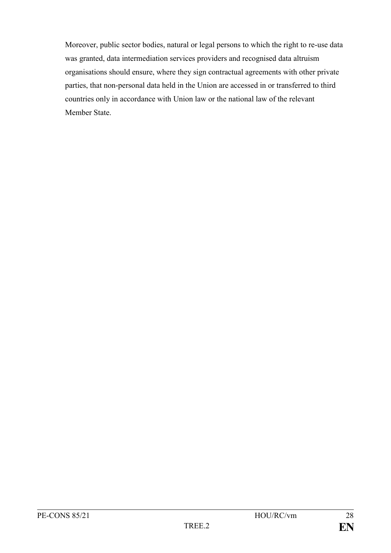Moreover, public sector bodies, natural or legal persons to which the right to re-use data was granted, data intermediation services providers and recognised data altruism organisations should ensure, where they sign contractual agreements with other private parties, that non-personal data held in the Union are accessed in or transferred to third countries only in accordance with Union law or the national law of the relevant Member State.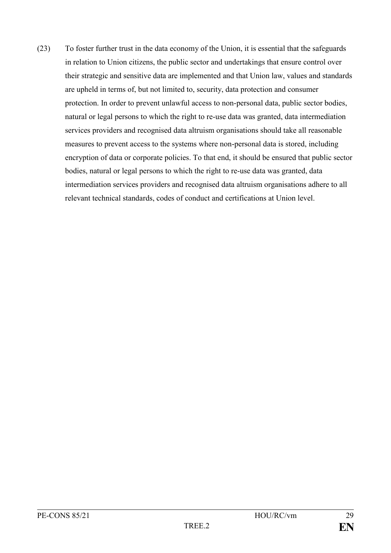(23) To foster further trust in the data economy of the Union, it is essential that the safeguards in relation to Union citizens, the public sector and undertakings that ensure control over their strategic and sensitive data are implemented and that Union law, values and standards are upheld in terms of, but not limited to, security, data protection and consumer protection. In order to prevent unlawful access to non-personal data, public sector bodies, natural or legal persons to which the right to re-use data was granted, data intermediation services providers and recognised data altruism organisations should take all reasonable measures to prevent access to the systems where non-personal data is stored, including encryption of data or corporate policies. To that end, it should be ensured that public sector bodies, natural or legal persons to which the right to re-use data was granted, data intermediation services providers and recognised data altruism organisations adhere to all relevant technical standards, codes of conduct and certifications at Union level.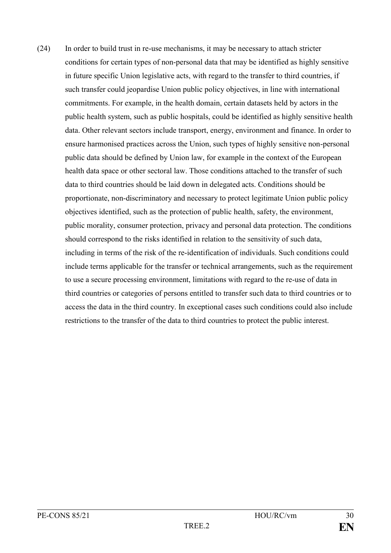(24) In order to build trust in re-use mechanisms, it may be necessary to attach stricter conditions for certain types of non-personal data that may be identified as highly sensitive in future specific Union legislative acts, with regard to the transfer to third countries, if such transfer could jeopardise Union public policy objectives, in line with international commitments. For example, in the health domain, certain datasets held by actors in the public health system, such as public hospitals, could be identified as highly sensitive health data. Other relevant sectors include transport, energy, environment and finance. In order to ensure harmonised practices across the Union, such types of highly sensitive non-personal public data should be defined by Union law, for example in the context of the European health data space or other sectoral law. Those conditions attached to the transfer of such data to third countries should be laid down in delegated acts. Conditions should be proportionate, non-discriminatory and necessary to protect legitimate Union public policy objectives identified, such as the protection of public health, safety, the environment, public morality, consumer protection, privacy and personal data protection. The conditions should correspond to the risks identified in relation to the sensitivity of such data, including in terms of the risk of the re-identification of individuals. Such conditions could include terms applicable for the transfer or technical arrangements, such as the requirement to use a secure processing environment, limitations with regard to the re-use of data in third countries or categories of persons entitled to transfer such data to third countries or to access the data in the third country. In exceptional cases such conditions could also include restrictions to the transfer of the data to third countries to protect the public interest.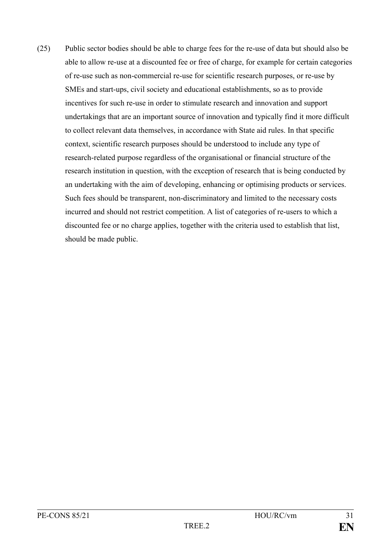(25) Public sector bodies should be able to charge fees for the re-use of data but should also be able to allow re-use at a discounted fee or free of charge, for example for certain categories of re-use such as non-commercial re-use for scientific research purposes, or re-use by SMEs and start-ups, civil society and educational establishments, so as to provide incentives for such re-use in order to stimulate research and innovation and support undertakings that are an important source of innovation and typically find it more difficult to collect relevant data themselves, in accordance with State aid rules. In that specific context, scientific research purposes should be understood to include any type of research-related purpose regardless of the organisational or financial structure of the research institution in question, with the exception of research that is being conducted by an undertaking with the aim of developing, enhancing or optimising products or services. Such fees should be transparent, non-discriminatory and limited to the necessary costs incurred and should not restrict competition. A list of categories of re-users to which a discounted fee or no charge applies, together with the criteria used to establish that list, should be made public.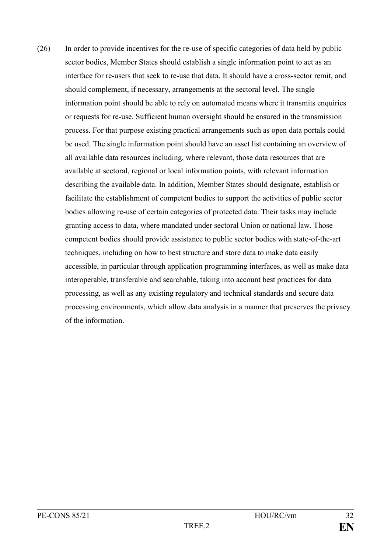(26) In order to provide incentives for the re-use of specific categories of data held by public sector bodies, Member States should establish a single information point to act as an interface for re-users that seek to re-use that data. It should have a cross-sector remit, and should complement, if necessary, arrangements at the sectoral level. The single information point should be able to rely on automated means where it transmits enquiries or requests for re-use. Sufficient human oversight should be ensured in the transmission process. For that purpose existing practical arrangements such as open data portals could be used. The single information point should have an asset list containing an overview of all available data resources including, where relevant, those data resources that are available at sectoral, regional or local information points, with relevant information describing the available data. In addition, Member States should designate, establish or facilitate the establishment of competent bodies to support the activities of public sector bodies allowing re-use of certain categories of protected data. Their tasks may include granting access to data, where mandated under sectoral Union or national law. Those competent bodies should provide assistance to public sector bodies with state-of-the-art techniques, including on how to best structure and store data to make data easily accessible, in particular through application programming interfaces, as well as make data interoperable, transferable and searchable, taking into account best practices for data processing, as well as any existing regulatory and technical standards and secure data processing environments, which allow data analysis in a manner that preserves the privacy of the information.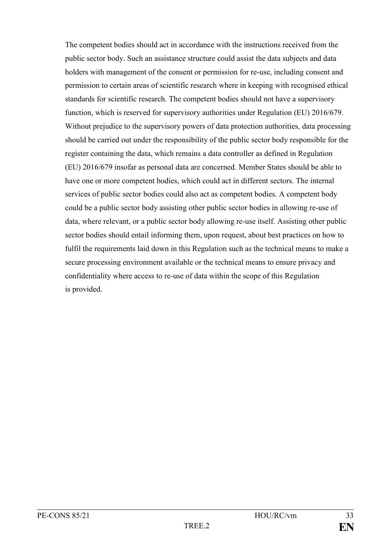The competent bodies should act in accordance with the instructions received from the public sector body. Such an assistance structure could assist the data subjects and data holders with management of the consent or permission for re-use, including consent and permission to certain areas of scientific research where in keeping with recognised ethical standards for scientific research. The competent bodies should not have a supervisory function, which is reserved for supervisory authorities under Regulation (EU) 2016/679. Without prejudice to the supervisory powers of data protection authorities, data processing should be carried out under the responsibility of the public sector body responsible for the register containing the data, which remains a data controller as defined in Regulation (EU) 2016/679 insofar as personal data are concerned. Member States should be able to have one or more competent bodies, which could act in different sectors. The internal services of public sector bodies could also act as competent bodies. A competent body could be a public sector body assisting other public sector bodies in allowing re-use of data, where relevant, or a public sector body allowing re-use itself. Assisting other public sector bodies should entail informing them, upon request, about best practices on how to fulfil the requirements laid down in this Regulation such as the technical means to make a secure processing environment available or the technical means to ensure privacy and confidentiality where access to re-use of data within the scope of this Regulation is provided.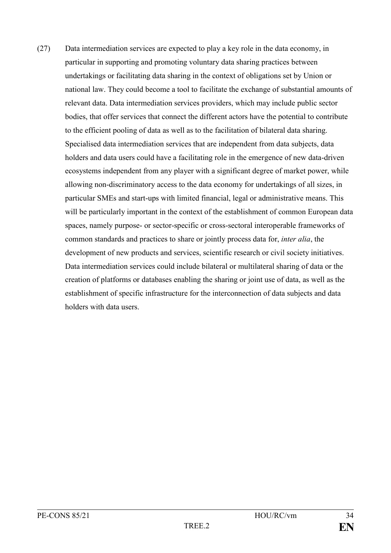(27) Data intermediation services are expected to play a key role in the data economy, in particular in supporting and promoting voluntary data sharing practices between undertakings or facilitating data sharing in the context of obligations set by Union or national law. They could become a tool to facilitate the exchange of substantial amounts of relevant data. Data intermediation services providers, which may include public sector bodies, that offer services that connect the different actors have the potential to contribute to the efficient pooling of data as well as to the facilitation of bilateral data sharing. Specialised data intermediation services that are independent from data subjects, data holders and data users could have a facilitating role in the emergence of new data-driven ecosystems independent from any player with a significant degree of market power, while allowing non-discriminatory access to the data economy for undertakings of all sizes, in particular SMEs and start-ups with limited financial, legal or administrative means. This will be particularly important in the context of the establishment of common European data spaces, namely purpose- or sector-specific or cross-sectoral interoperable frameworks of common standards and practices to share or jointly process data for, *inter alia*, the development of new products and services, scientific research or civil society initiatives. Data intermediation services could include bilateral or multilateral sharing of data or the creation of platforms or databases enabling the sharing or joint use of data, as well as the establishment of specific infrastructure for the interconnection of data subjects and data holders with data users.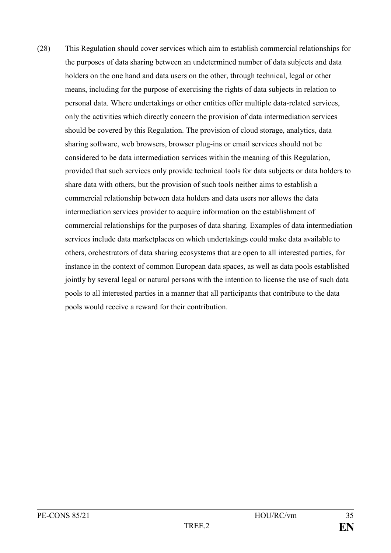(28) This Regulation should cover services which aim to establish commercial relationships for the purposes of data sharing between an undetermined number of data subjects and data holders on the one hand and data users on the other, through technical, legal or other means, including for the purpose of exercising the rights of data subjects in relation to personal data. Where undertakings or other entities offer multiple data-related services, only the activities which directly concern the provision of data intermediation services should be covered by this Regulation. The provision of cloud storage, analytics, data sharing software, web browsers, browser plug-ins or email services should not be considered to be data intermediation services within the meaning of this Regulation, provided that such services only provide technical tools for data subjects or data holders to share data with others, but the provision of such tools neither aims to establish a commercial relationship between data holders and data users nor allows the data intermediation services provider to acquire information on the establishment of commercial relationships for the purposes of data sharing. Examples of data intermediation services include data marketplaces on which undertakings could make data available to others, orchestrators of data sharing ecosystems that are open to all interested parties, for instance in the context of common European data spaces, as well as data pools established jointly by several legal or natural persons with the intention to license the use of such data pools to all interested parties in a manner that all participants that contribute to the data pools would receive a reward for their contribution.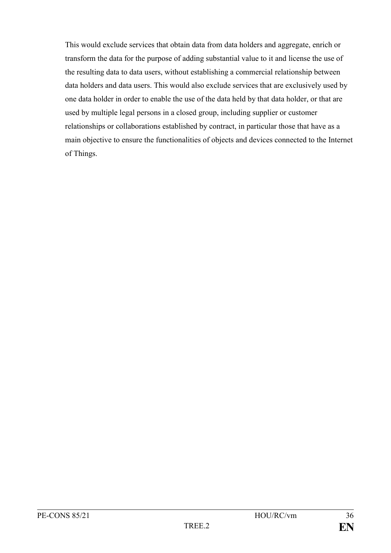This would exclude services that obtain data from data holders and aggregate, enrich or transform the data for the purpose of adding substantial value to it and license the use of the resulting data to data users, without establishing a commercial relationship between data holders and data users. This would also exclude services that are exclusively used by one data holder in order to enable the use of the data held by that data holder, or that are used by multiple legal persons in a closed group, including supplier or customer relationships or collaborations established by contract, in particular those that have as a main objective to ensure the functionalities of objects and devices connected to the Internet of Things.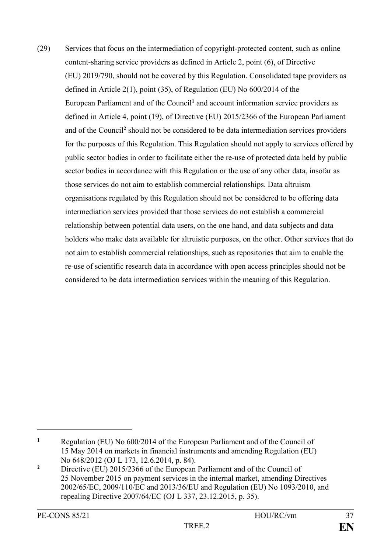(29) Services that focus on the intermediation of copyright-protected content, such as online content-sharing service providers as defined in Article 2, point (6), of Directive (EU) 2019/790, should not be covered by this Regulation. Consolidated tape providers as defined in Article 2(1), point (35), of Regulation (EU) No 600/2014 of the European Parliament and of the Council**<sup>1</sup>** and account information service providers as defined in Article 4, point (19), of Directive (EU) 2015/2366 of the European Parliament and of the Council**<sup>2</sup>** should not be considered to be data intermediation services providers for the purposes of this Regulation. This Regulation should not apply to services offered by public sector bodies in order to facilitate either the re-use of protected data held by public sector bodies in accordance with this Regulation or the use of any other data, insofar as those services do not aim to establish commercial relationships. Data altruism organisations regulated by this Regulation should not be considered to be offering data intermediation services provided that those services do not establish a commercial relationship between potential data users, on the one hand, and data subjects and data holders who make data available for altruistic purposes, on the other. Other services that do not aim to establish commercial relationships, such as repositories that aim to enable the re-use of scientific research data in accordance with open access principles should not be considered to be data intermediation services within the meaning of this Regulation.

1

**<sup>1</sup>** Regulation (EU) No 600/2014 of the European Parliament and of the Council of 15 May 2014 on markets in financial instruments and amending Regulation (EU) No 648/2012 (OJ L 173, 12.6.2014, p. 84).

<sup>&</sup>lt;sup>2</sup> Directive (EU) 2015/2366 of the European Parliament and of the Council of 25 November 2015 on payment services in the internal market, amending Directives 2002/65/EC, 2009/110/EC and 2013/36/EU and Regulation (EU) No 1093/2010, and repealing Directive 2007/64/EC (OJ L 337, 23.12.2015, p. 35).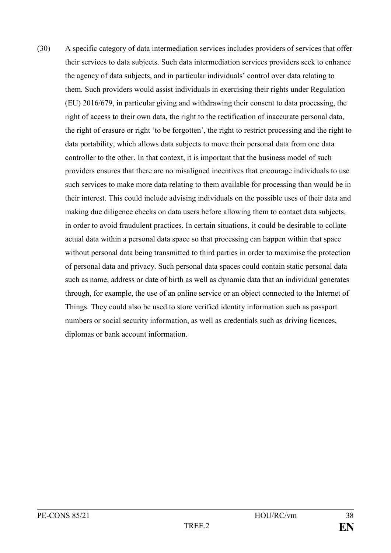(30) A specific category of data intermediation services includes providers of services that offer their services to data subjects. Such data intermediation services providers seek to enhance the agency of data subjects, and in particular individuals' control over data relating to them. Such providers would assist individuals in exercising their rights under Regulation (EU) 2016/679, in particular giving and withdrawing their consent to data processing, the right of access to their own data, the right to the rectification of inaccurate personal data, the right of erasure or right 'to be forgotten', the right to restrict processing and the right to data portability, which allows data subjects to move their personal data from one data controller to the other. In that context, it is important that the business model of such providers ensures that there are no misaligned incentives that encourage individuals to use such services to make more data relating to them available for processing than would be in their interest. This could include advising individuals on the possible uses of their data and making due diligence checks on data users before allowing them to contact data subjects, in order to avoid fraudulent practices. In certain situations, it could be desirable to collate actual data within a personal data space so that processing can happen within that space without personal data being transmitted to third parties in order to maximise the protection of personal data and privacy. Such personal data spaces could contain static personal data such as name, address or date of birth as well as dynamic data that an individual generates through, for example, the use of an online service or an object connected to the Internet of Things. They could also be used to store verified identity information such as passport numbers or social security information, as well as credentials such as driving licences, diplomas or bank account information.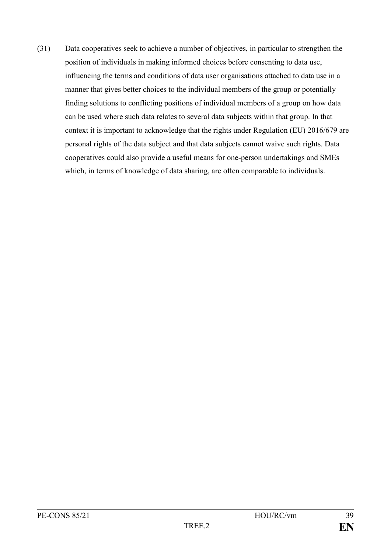(31) Data cooperatives seek to achieve a number of objectives, in particular to strengthen the position of individuals in making informed choices before consenting to data use, influencing the terms and conditions of data user organisations attached to data use in a manner that gives better choices to the individual members of the group or potentially finding solutions to conflicting positions of individual members of a group on how data can be used where such data relates to several data subjects within that group. In that context it is important to acknowledge that the rights under Regulation (EU) 2016/679 are personal rights of the data subject and that data subjects cannot waive such rights. Data cooperatives could also provide a useful means for one-person undertakings and SMEs which, in terms of knowledge of data sharing, are often comparable to individuals.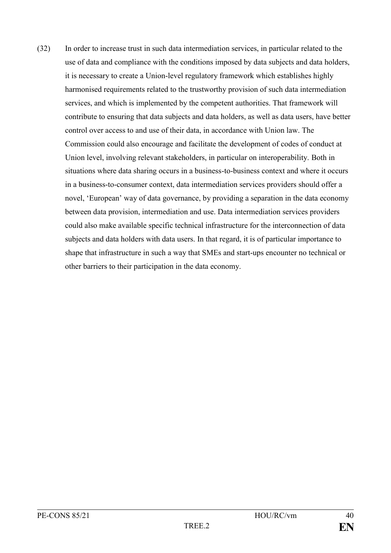(32) In order to increase trust in such data intermediation services, in particular related to the use of data and compliance with the conditions imposed by data subjects and data holders, it is necessary to create a Union-level regulatory framework which establishes highly harmonised requirements related to the trustworthy provision of such data intermediation services, and which is implemented by the competent authorities. That framework will contribute to ensuring that data subjects and data holders, as well as data users, have better control over access to and use of their data, in accordance with Union law. The Commission could also encourage and facilitate the development of codes of conduct at Union level, involving relevant stakeholders, in particular on interoperability. Both in situations where data sharing occurs in a business-to-business context and where it occurs in a business-to-consumer context, data intermediation services providers should offer a novel, 'European' way of data governance, by providing a separation in the data economy between data provision, intermediation and use. Data intermediation services providers could also make available specific technical infrastructure for the interconnection of data subjects and data holders with data users. In that regard, it is of particular importance to shape that infrastructure in such a way that SMEs and start-ups encounter no technical or other barriers to their participation in the data economy.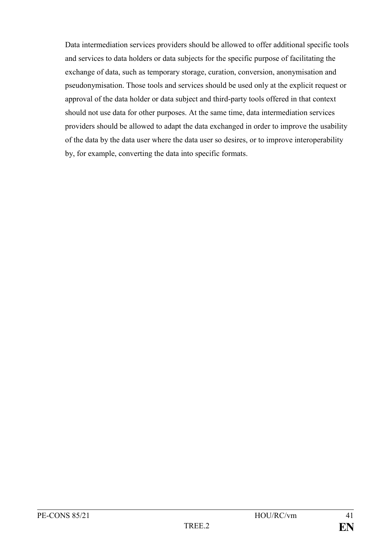Data intermediation services providers should be allowed to offer additional specific tools and services to data holders or data subjects for the specific purpose of facilitating the exchange of data, such as temporary storage, curation, conversion, anonymisation and pseudonymisation. Those tools and services should be used only at the explicit request or approval of the data holder or data subject and third-party tools offered in that context should not use data for other purposes. At the same time, data intermediation services providers should be allowed to adapt the data exchanged in order to improve the usability of the data by the data user where the data user so desires, or to improve interoperability by, for example, converting the data into specific formats.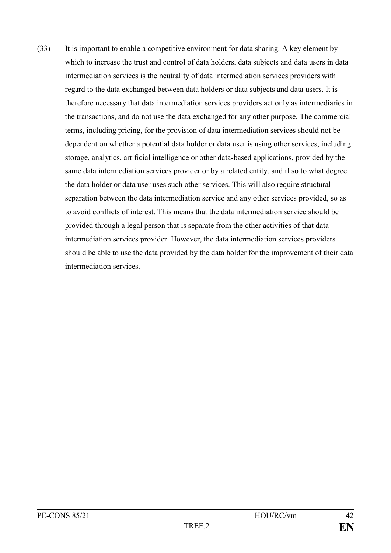(33) It is important to enable a competitive environment for data sharing. A key element by which to increase the trust and control of data holders, data subjects and data users in data intermediation services is the neutrality of data intermediation services providers with regard to the data exchanged between data holders or data subjects and data users. It is therefore necessary that data intermediation services providers act only as intermediaries in the transactions, and do not use the data exchanged for any other purpose. The commercial terms, including pricing, for the provision of data intermediation services should not be dependent on whether a potential data holder or data user is using other services, including storage, analytics, artificial intelligence or other data-based applications, provided by the same data intermediation services provider or by a related entity, and if so to what degree the data holder or data user uses such other services. This will also require structural separation between the data intermediation service and any other services provided, so as to avoid conflicts of interest. This means that the data intermediation service should be provided through a legal person that is separate from the other activities of that data intermediation services provider. However, the data intermediation services providers should be able to use the data provided by the data holder for the improvement of their data intermediation services.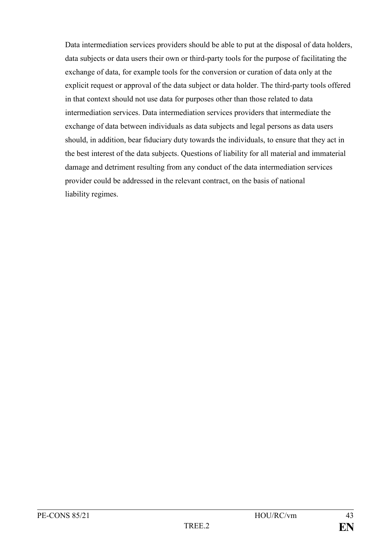Data intermediation services providers should be able to put at the disposal of data holders, data subjects or data users their own or third-party tools for the purpose of facilitating the exchange of data, for example tools for the conversion or curation of data only at the explicit request or approval of the data subject or data holder. The third-party tools offered in that context should not use data for purposes other than those related to data intermediation services. Data intermediation services providers that intermediate the exchange of data between individuals as data subjects and legal persons as data users should, in addition, bear fiduciary duty towards the individuals, to ensure that they act in the best interest of the data subjects. Questions of liability for all material and immaterial damage and detriment resulting from any conduct of the data intermediation services provider could be addressed in the relevant contract, on the basis of national liability regimes.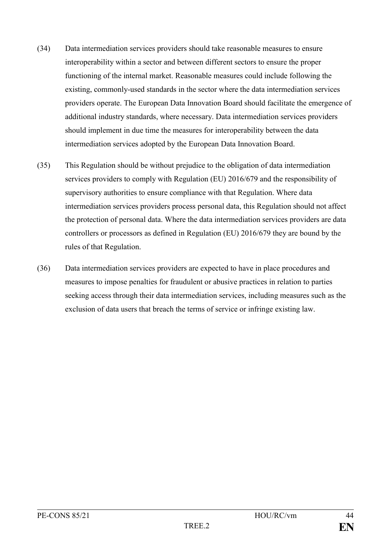- (34) Data intermediation services providers should take reasonable measures to ensure interoperability within a sector and between different sectors to ensure the proper functioning of the internal market. Reasonable measures could include following the existing, commonly-used standards in the sector where the data intermediation services providers operate. The European Data Innovation Board should facilitate the emergence of additional industry standards, where necessary. Data intermediation services providers should implement in due time the measures for interoperability between the data intermediation services adopted by the European Data Innovation Board.
- (35) This Regulation should be without prejudice to the obligation of data intermediation services providers to comply with Regulation (EU) 2016/679 and the responsibility of supervisory authorities to ensure compliance with that Regulation. Where data intermediation services providers process personal data, this Regulation should not affect the protection of personal data. Where the data intermediation services providers are data controllers or processors as defined in Regulation (EU) 2016/679 they are bound by the rules of that Regulation.
- (36) Data intermediation services providers are expected to have in place procedures and measures to impose penalties for fraudulent or abusive practices in relation to parties seeking access through their data intermediation services, including measures such as the exclusion of data users that breach the terms of service or infringe existing law.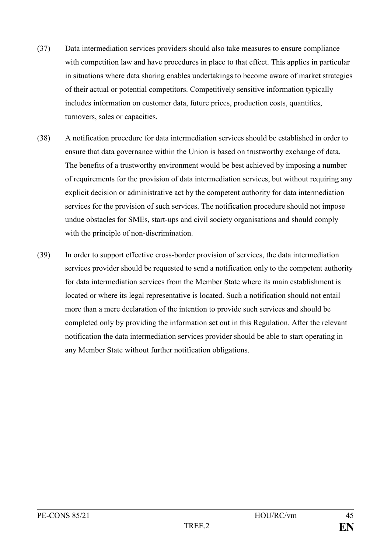- (37) Data intermediation services providers should also take measures to ensure compliance with competition law and have procedures in place to that effect. This applies in particular in situations where data sharing enables undertakings to become aware of market strategies of their actual or potential competitors. Competitively sensitive information typically includes information on customer data, future prices, production costs, quantities, turnovers, sales or capacities.
- (38) A notification procedure for data intermediation services should be established in order to ensure that data governance within the Union is based on trustworthy exchange of data. The benefits of a trustworthy environment would be best achieved by imposing a number of requirements for the provision of data intermediation services, but without requiring any explicit decision or administrative act by the competent authority for data intermediation services for the provision of such services. The notification procedure should not impose undue obstacles for SMEs, start-ups and civil society organisations and should comply with the principle of non-discrimination.
- (39) In order to support effective cross-border provision of services, the data intermediation services provider should be requested to send a notification only to the competent authority for data intermediation services from the Member State where its main establishment is located or where its legal representative is located. Such a notification should not entail more than a mere declaration of the intention to provide such services and should be completed only by providing the information set out in this Regulation. After the relevant notification the data intermediation services provider should be able to start operating in any Member State without further notification obligations.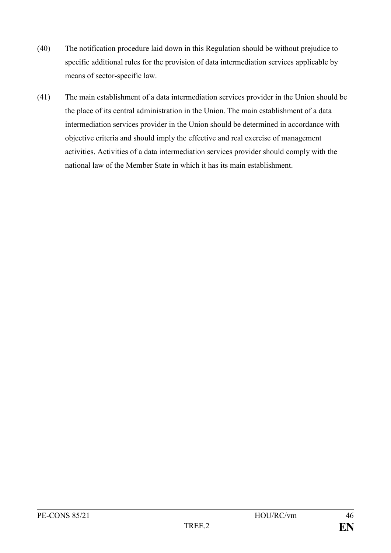- (40) The notification procedure laid down in this Regulation should be without prejudice to specific additional rules for the provision of data intermediation services applicable by means of sector-specific law.
- (41) The main establishment of a data intermediation services provider in the Union should be the place of its central administration in the Union. The main establishment of a data intermediation services provider in the Union should be determined in accordance with objective criteria and should imply the effective and real exercise of management activities. Activities of a data intermediation services provider should comply with the national law of the Member State in which it has its main establishment.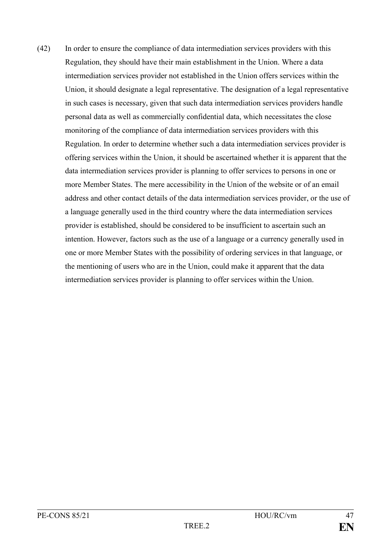(42) In order to ensure the compliance of data intermediation services providers with this Regulation, they should have their main establishment in the Union. Where a data intermediation services provider not established in the Union offers services within the Union, it should designate a legal representative. The designation of a legal representative in such cases is necessary, given that such data intermediation services providers handle personal data as well as commercially confidential data, which necessitates the close monitoring of the compliance of data intermediation services providers with this Regulation. In order to determine whether such a data intermediation services provider is offering services within the Union, it should be ascertained whether it is apparent that the data intermediation services provider is planning to offer services to persons in one or more Member States. The mere accessibility in the Union of the website or of an email address and other contact details of the data intermediation services provider, or the use of a language generally used in the third country where the data intermediation services provider is established, should be considered to be insufficient to ascertain such an intention. However, factors such as the use of a language or a currency generally used in one or more Member States with the possibility of ordering services in that language, or the mentioning of users who are in the Union, could make it apparent that the data intermediation services provider is planning to offer services within the Union.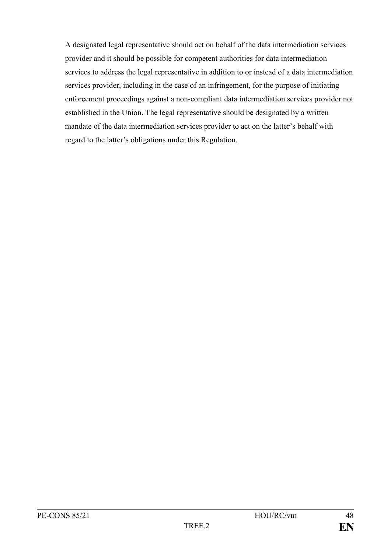A designated legal representative should act on behalf of the data intermediation services provider and it should be possible for competent authorities for data intermediation services to address the legal representative in addition to or instead of a data intermediation services provider, including in the case of an infringement, for the purpose of initiating enforcement proceedings against a non-compliant data intermediation services provider not established in the Union. The legal representative should be designated by a written mandate of the data intermediation services provider to act on the latter's behalf with regard to the latter's obligations under this Regulation.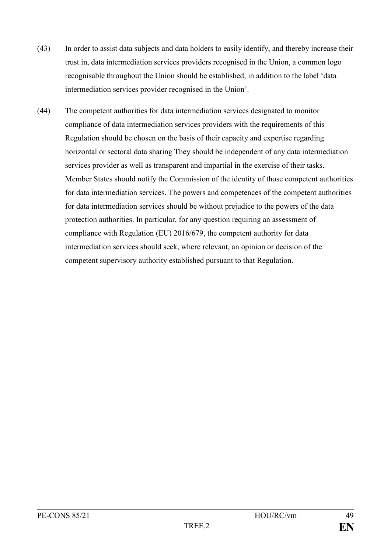- (43) In order to assist data subjects and data holders to easily identify, and thereby increase their trust in, data intermediation services providers recognised in the Union, a common logo recognisable throughout the Union should be established, in addition to the label 'data intermediation services provider recognised in the Union'.
- (44) The competent authorities for data intermediation services designated to monitor compliance of data intermediation services providers with the requirements of this Regulation should be chosen on the basis of their capacity and expertise regarding horizontal or sectoral data sharing They should be independent of any data intermediation services provider as well as transparent and impartial in the exercise of their tasks. Member States should notify the Commission of the identity of those competent authorities for data intermediation services. The powers and competences of the competent authorities for data intermediation services should be without prejudice to the powers of the data protection authorities. In particular, for any question requiring an assessment of compliance with Regulation (EU) 2016/679, the competent authority for data intermediation services should seek, where relevant, an opinion or decision of the competent supervisory authority established pursuant to that Regulation.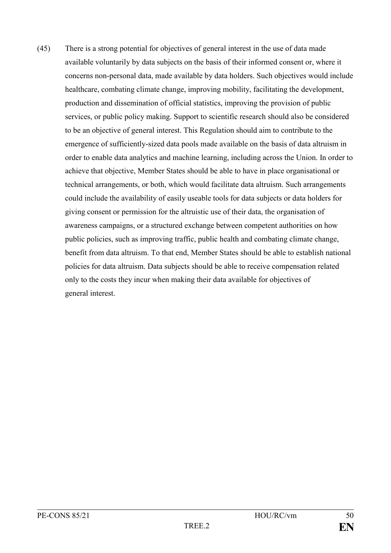(45) There is a strong potential for objectives of general interest in the use of data made available voluntarily by data subjects on the basis of their informed consent or, where it concerns non-personal data, made available by data holders. Such objectives would include healthcare, combating climate change, improving mobility, facilitating the development, production and dissemination of official statistics, improving the provision of public services, or public policy making. Support to scientific research should also be considered to be an objective of general interest. This Regulation should aim to contribute to the emergence of sufficiently-sized data pools made available on the basis of data altruism in order to enable data analytics and machine learning, including across the Union. In order to achieve that objective, Member States should be able to have in place organisational or technical arrangements, or both, which would facilitate data altruism. Such arrangements could include the availability of easily useable tools for data subjects or data holders for giving consent or permission for the altruistic use of their data, the organisation of awareness campaigns, or a structured exchange between competent authorities on how public policies, such as improving traffic, public health and combating climate change, benefit from data altruism. To that end, Member States should be able to establish national policies for data altruism. Data subjects should be able to receive compensation related only to the costs they incur when making their data available for objectives of general interest.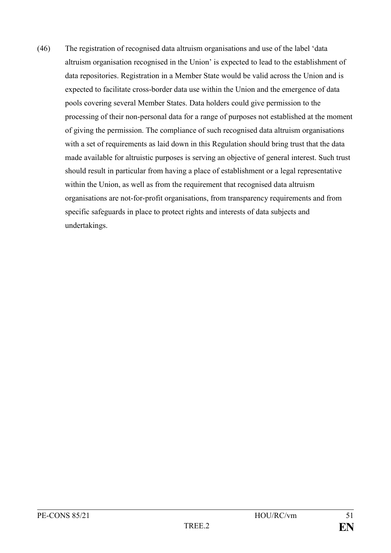(46) The registration of recognised data altruism organisations and use of the label 'data altruism organisation recognised in the Union' is expected to lead to the establishment of data repositories. Registration in a Member State would be valid across the Union and is expected to facilitate cross-border data use within the Union and the emergence of data pools covering several Member States. Data holders could give permission to the processing of their non-personal data for a range of purposes not established at the moment of giving the permission. The compliance of such recognised data altruism organisations with a set of requirements as laid down in this Regulation should bring trust that the data made available for altruistic purposes is serving an objective of general interest. Such trust should result in particular from having a place of establishment or a legal representative within the Union, as well as from the requirement that recognised data altruism organisations are not-for-profit organisations, from transparency requirements and from specific safeguards in place to protect rights and interests of data subjects and undertakings.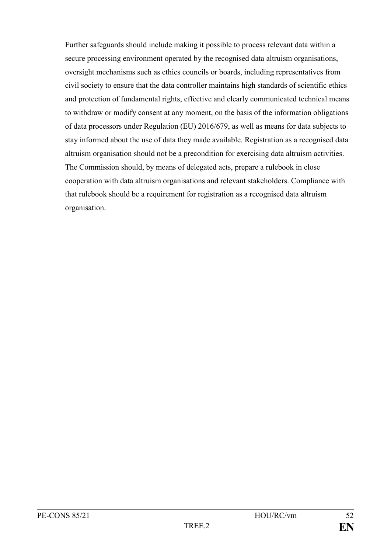Further safeguards should include making it possible to process relevant data within a secure processing environment operated by the recognised data altruism organisations, oversight mechanisms such as ethics councils or boards, including representatives from civil society to ensure that the data controller maintains high standards of scientific ethics and protection of fundamental rights, effective and clearly communicated technical means to withdraw or modify consent at any moment, on the basis of the information obligations of data processors under Regulation (EU) 2016/679, as well as means for data subjects to stay informed about the use of data they made available. Registration as a recognised data altruism organisation should not be a precondition for exercising data altruism activities. The Commission should, by means of delegated acts, prepare a rulebook in close cooperation with data altruism organisations and relevant stakeholders. Compliance with that rulebook should be a requirement for registration as a recognised data altruism organisation.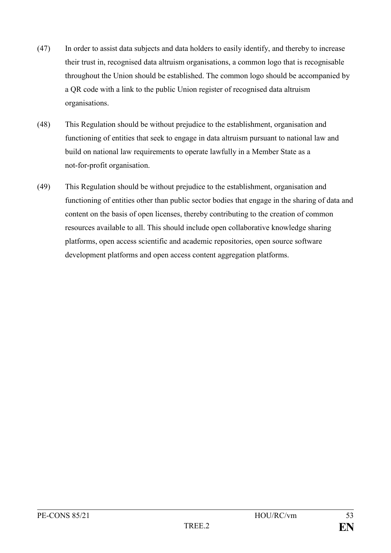- (47) In order to assist data subjects and data holders to easily identify, and thereby to increase their trust in, recognised data altruism organisations, a common logo that is recognisable throughout the Union should be established. The common logo should be accompanied by a QR code with a link to the public Union register of recognised data altruism organisations.
- (48) This Regulation should be without prejudice to the establishment, organisation and functioning of entities that seek to engage in data altruism pursuant to national law and build on national law requirements to operate lawfully in a Member State as a not-for-profit organisation.
- (49) This Regulation should be without prejudice to the establishment, organisation and functioning of entities other than public sector bodies that engage in the sharing of data and content on the basis of open licenses, thereby contributing to the creation of common resources available to all. This should include open collaborative knowledge sharing platforms, open access scientific and academic repositories, open source software development platforms and open access content aggregation platforms.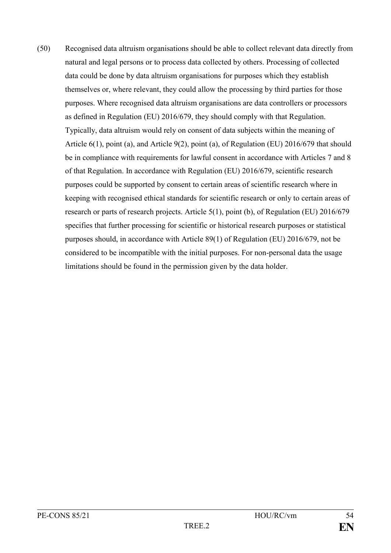(50) Recognised data altruism organisations should be able to collect relevant data directly from natural and legal persons or to process data collected by others. Processing of collected data could be done by data altruism organisations for purposes which they establish themselves or, where relevant, they could allow the processing by third parties for those purposes. Where recognised data altruism organisations are data controllers or processors as defined in Regulation (EU) 2016/679, they should comply with that Regulation. Typically, data altruism would rely on consent of data subjects within the meaning of Article 6(1), point (a), and Article 9(2), point (a), of Regulation (EU) 2016/679 that should be in compliance with requirements for lawful consent in accordance with Articles 7 and 8 of that Regulation. In accordance with Regulation (EU) 2016/679, scientific research purposes could be supported by consent to certain areas of scientific research where in keeping with recognised ethical standards for scientific research or only to certain areas of research or parts of research projects. Article 5(1), point (b), of Regulation (EU) 2016/679 specifies that further processing for scientific or historical research purposes or statistical purposes should, in accordance with Article 89(1) of Regulation (EU) 2016/679, not be considered to be incompatible with the initial purposes. For non-personal data the usage limitations should be found in the permission given by the data holder.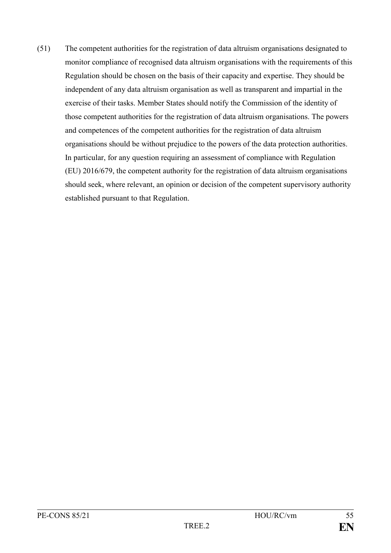(51) The competent authorities for the registration of data altruism organisations designated to monitor compliance of recognised data altruism organisations with the requirements of this Regulation should be chosen on the basis of their capacity and expertise. They should be independent of any data altruism organisation as well as transparent and impartial in the exercise of their tasks. Member States should notify the Commission of the identity of those competent authorities for the registration of data altruism organisations. The powers and competences of the competent authorities for the registration of data altruism organisations should be without prejudice to the powers of the data protection authorities. In particular, for any question requiring an assessment of compliance with Regulation (EU) 2016/679, the competent authority for the registration of data altruism organisations should seek, where relevant, an opinion or decision of the competent supervisory authority established pursuant to that Regulation.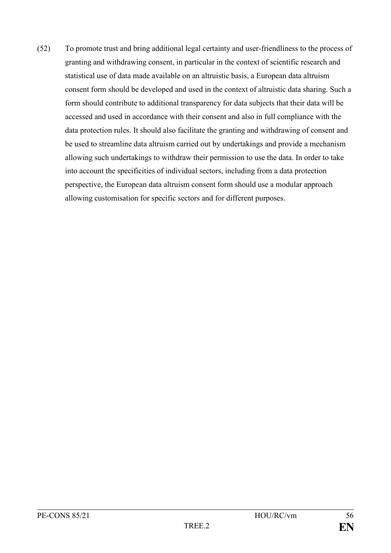(52) To promote trust and bring additional legal certainty and user-friendliness to the process of granting and withdrawing consent, in particular in the context of scientific research and statistical use of data made available on an altruistic basis, a European data altruism consent form should be developed and used in the context of altruistic data sharing. Such a form should contribute to additional transparency for data subjects that their data will be accessed and used in accordance with their consent and also in full compliance with the data protection rules. It should also facilitate the granting and withdrawing of consent and be used to streamline data altruism carried out by undertakings and provide a mechanism allowing such undertakings to withdraw their permission to use the data. In order to take into account the specificities of individual sectors, including from a data protection perspective, the European data altruism consent form should use a modular approach allowing customisation for specific sectors and for different purposes.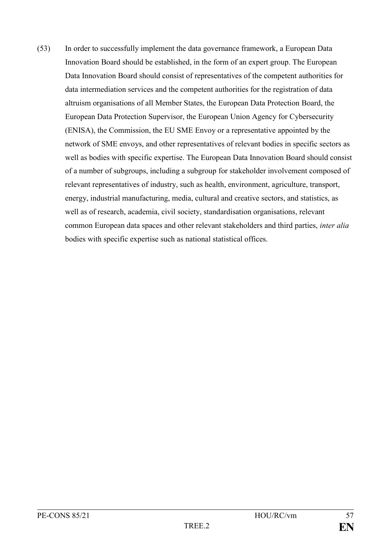(53) In order to successfully implement the data governance framework, a European Data Innovation Board should be established, in the form of an expert group. The European Data Innovation Board should consist of representatives of the competent authorities for data intermediation services and the competent authorities for the registration of data altruism organisations of all Member States, the European Data Protection Board, the European Data Protection Supervisor, the European Union Agency for Cybersecurity (ENISA), the Commission, the EU SME Envoy or a representative appointed by the network of SME envoys, and other representatives of relevant bodies in specific sectors as well as bodies with specific expertise. The European Data Innovation Board should consist of a number of subgroups, including a subgroup for stakeholder involvement composed of relevant representatives of industry, such as health, environment, agriculture, transport, energy, industrial manufacturing, media, cultural and creative sectors, and statistics, as well as of research, academia, civil society, standardisation organisations, relevant common European data spaces and other relevant stakeholders and third parties, *inter alia* bodies with specific expertise such as national statistical offices.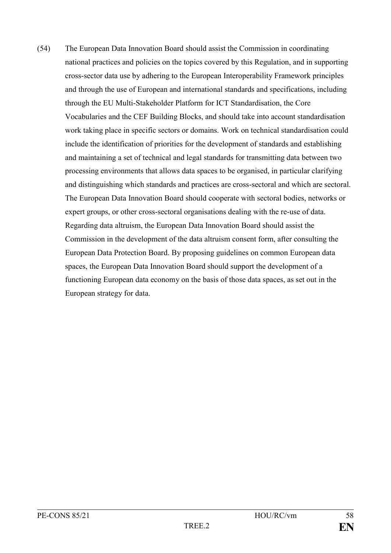(54) The European Data Innovation Board should assist the Commission in coordinating national practices and policies on the topics covered by this Regulation, and in supporting cross-sector data use by adhering to the European Interoperability Framework principles and through the use of European and international standards and specifications, including through the EU Multi-Stakeholder Platform for ICT Standardisation, the Core Vocabularies and the CEF Building Blocks, and should take into account standardisation work taking place in specific sectors or domains. Work on technical standardisation could include the identification of priorities for the development of standards and establishing and maintaining a set of technical and legal standards for transmitting data between two processing environments that allows data spaces to be organised, in particular clarifying and distinguishing which standards and practices are cross-sectoral and which are sectoral. The European Data Innovation Board should cooperate with sectoral bodies, networks or expert groups, or other cross-sectoral organisations dealing with the re-use of data. Regarding data altruism, the European Data Innovation Board should assist the Commission in the development of the data altruism consent form, after consulting the European Data Protection Board. By proposing guidelines on common European data spaces, the European Data Innovation Board should support the development of a functioning European data economy on the basis of those data spaces, as set out in the European strategy for data.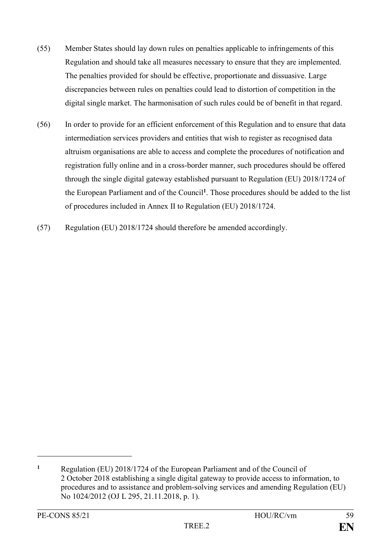- (55) Member States should lay down rules on penalties applicable to infringements of this Regulation and should take all measures necessary to ensure that they are implemented. The penalties provided for should be effective, proportionate and dissuasive. Large discrepancies between rules on penalties could lead to distortion of competition in the digital single market. The harmonisation of such rules could be of benefit in that regard.
- (56) In order to provide for an efficient enforcement of this Regulation and to ensure that data intermediation services providers and entities that wish to register as recognised data altruism organisations are able to access and complete the procedures of notification and registration fully online and in a cross-border manner, such procedures should be offered through the single digital gateway established pursuant to Regulation (EU) 2018/1724 of the European Parliament and of the Council**<sup>1</sup>** . Those procedures should be added to the list of procedures included in Annex II to Regulation (EU) 2018/1724.
- (57) Regulation (EU) 2018/1724 should therefore be amended accordingly.

<u>.</u>

**<sup>1</sup>** Regulation (EU) 2018/1724 of the European Parliament and of the Council of 2 October 2018 establishing a single digital gateway to provide access to information, to procedures and to assistance and problem-solving services and amending Regulation (EU) No 1024/2012 (OJ L 295, 21.11.2018, p. 1).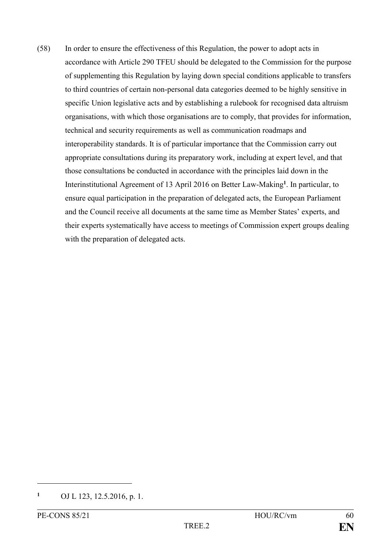(58) In order to ensure the effectiveness of this Regulation, the power to adopt acts in accordance with Article 290 TFEU should be delegated to the Commission for the purpose of supplementing this Regulation by laying down special conditions applicable to transfers to third countries of certain non-personal data categories deemed to be highly sensitive in specific Union legislative acts and by establishing a rulebook for recognised data altruism organisations, with which those organisations are to comply, that provides for information, technical and security requirements as well as communication roadmaps and interoperability standards. It is of particular importance that the Commission carry out appropriate consultations during its preparatory work, including at expert level, and that those consultations be conducted in accordance with the principles laid down in the Interinstitutional Agreement of 13 April 2016 on Better Law-Making**<sup>1</sup>** . In particular, to ensure equal participation in the preparation of delegated acts, the European Parliament and the Council receive all documents at the same time as Member States' experts, and their experts systematically have access to meetings of Commission expert groups dealing with the preparation of delegated acts.

1

**<sup>1</sup>** OJ L 123, 12.5.2016, p. 1.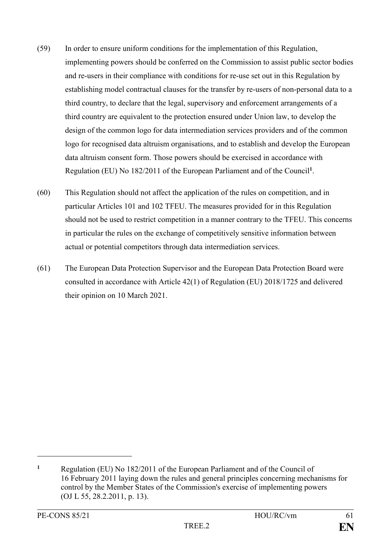- (59) In order to ensure uniform conditions for the implementation of this Regulation, implementing powers should be conferred on the Commission to assist public sector bodies and re-users in their compliance with conditions for re-use set out in this Regulation by establishing model contractual clauses for the transfer by re-users of non-personal data to a third country, to declare that the legal, supervisory and enforcement arrangements of a third country are equivalent to the protection ensured under Union law, to develop the design of the common logo for data intermediation services providers and of the common logo for recognised data altruism organisations, and to establish and develop the European data altruism consent form. Those powers should be exercised in accordance with Regulation (EU) No 182/2011 of the European Parliament and of the Council**<sup>1</sup>** .
- (60) This Regulation should not affect the application of the rules on competition, and in particular Articles 101 and 102 TFEU. The measures provided for in this Regulation should not be used to restrict competition in a manner contrary to the TFEU. This concerns in particular the rules on the exchange of competitively sensitive information between actual or potential competitors through data intermediation services.
- (61) The European Data Protection Supervisor and the European Data Protection Board were consulted in accordance with Article 42(1) of Regulation (EU) 2018/1725 and delivered their opinion on 10 March 2021.

<u>.</u>

**<sup>1</sup>** Regulation (EU) No 182/2011 of the European Parliament and of the Council of 16 February 2011 laying down the rules and general principles concerning mechanisms for control by the Member States of the Commission's exercise of implementing powers (OJ L 55, 28.2.2011, p. 13).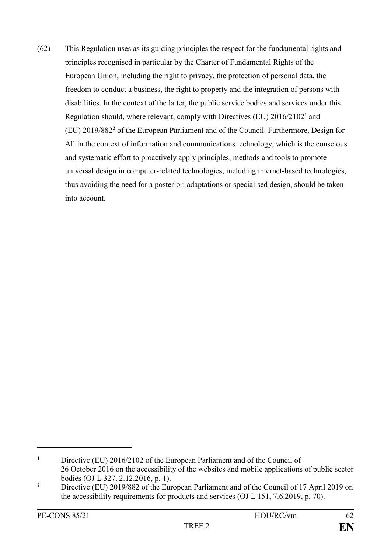(62) This Regulation uses as its guiding principles the respect for the fundamental rights and principles recognised in particular by the Charter of Fundamental Rights of the European Union, including the right to privacy, the protection of personal data, the freedom to conduct a business, the right to property and the integration of persons with disabilities. In the context of the latter, the public service bodies and services under this Regulation should, where relevant, comply with Directives (EU) 2016/2102**<sup>1</sup>** and (EU) 2019/882**<sup>2</sup>** of the European Parliament and of the Council. Furthermore, Design for All in the context of information and communications technology, which is the conscious and systematic effort to proactively apply principles, methods and tools to promote universal design in computer-related technologies, including internet-based technologies, thus avoiding the need for a posteriori adaptations or specialised design, should be taken into account.

<u>.</u>

**<sup>1</sup>** Directive (EU) 2016/2102 of the European Parliament and of the Council of 26 October 2016 on the accessibility of the websites and mobile applications of public sector bodies (OJ L 327, 2.12.2016, p. 1).

<sup>&</sup>lt;sup>2</sup> Directive (EU) 2019/882 of the European Parliament and of the Council of 17 April 2019 on the accessibility requirements for products and services (OJ L 151, 7.6.2019, p. 70).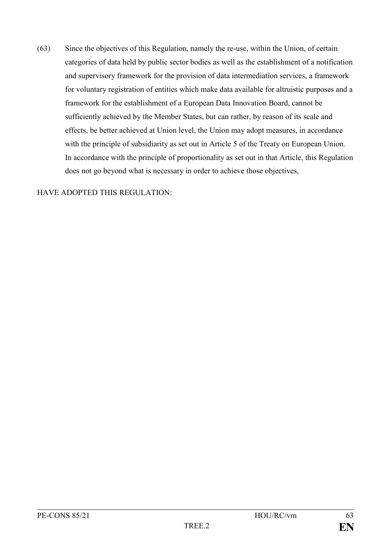(63) Since the objectives of this Regulation, namely the re-use, within the Union, of certain categories of data held by public sector bodies as well as the establishment of a notification and supervisory framework for the provision of data intermediation services, a framework for voluntary registration of entities which make data available for altruistic purposes and a framework for the establishment of a European Data Innovation Board, cannot be sufficiently achieved by the Member States, but can rather, by reason of its scale and effects, be better achieved at Union level, the Union may adopt measures, in accordance with the principle of subsidiarity as set out in Article 5 of the Treaty on European Union. In accordance with the principle of proportionality as set out in that Article, this Regulation does not go beyond what is necessary in order to achieve those objectives,

### HAVE ADOPTED THIS REGULATION: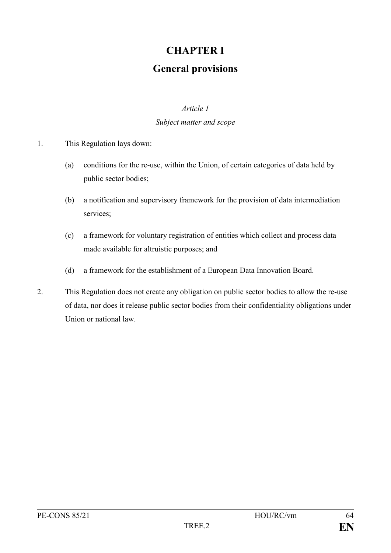# **CHAPTER I**

# **General provisions**

#### *Article 1*

#### *Subject matter and scope*

- 1. This Regulation lays down:
	- (a) conditions for the re-use, within the Union, of certain categories of data held by public sector bodies;
	- (b) a notification and supervisory framework for the provision of data intermediation services;
	- (c) a framework for voluntary registration of entities which collect and process data made available for altruistic purposes; and
	- (d) a framework for the establishment of a European Data Innovation Board.
- 2. This Regulation does not create any obligation on public sector bodies to allow the re-use of data, nor does it release public sector bodies from their confidentiality obligations under Union or national law.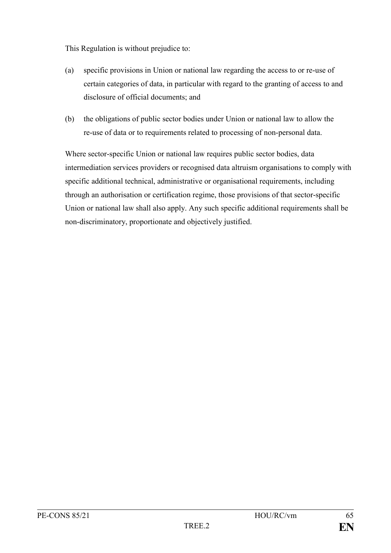This Regulation is without prejudice to:

- (a) specific provisions in Union or national law regarding the access to or re-use of certain categories of data, in particular with regard to the granting of access to and disclosure of official documents; and
- (b) the obligations of public sector bodies under Union or national law to allow the re-use of data or to requirements related to processing of non-personal data.

Where sector-specific Union or national law requires public sector bodies, data intermediation services providers or recognised data altruism organisations to comply with specific additional technical, administrative or organisational requirements, including through an authorisation or certification regime, those provisions of that sector-specific Union or national law shall also apply. Any such specific additional requirements shall be non-discriminatory, proportionate and objectively justified.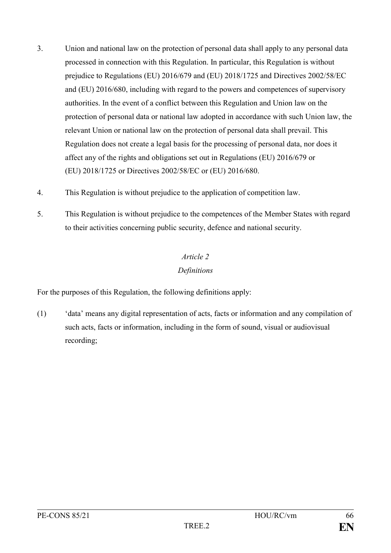- 3. Union and national law on the protection of personal data shall apply to any personal data processed in connection with this Regulation. In particular, this Regulation is without prejudice to Regulations (EU) 2016/679 and (EU) 2018/1725 and Directives 2002/58/EC and (EU) 2016/680, including with regard to the powers and competences of supervisory authorities. In the event of a conflict between this Regulation and Union law on the protection of personal data or national law adopted in accordance with such Union law, the relevant Union or national law on the protection of personal data shall prevail. This Regulation does not create a legal basis for the processing of personal data, nor does it affect any of the rights and obligations set out in Regulations (EU) 2016/679 or (EU) 2018/1725 or Directives 2002/58/EC or (EU) 2016/680.
- 4. This Regulation is without prejudice to the application of competition law.
- 5. This Regulation is without prejudice to the competences of the Member States with regard to their activities concerning public security, defence and national security.

# *Article 2*

## *Definitions*

For the purposes of this Regulation, the following definitions apply:

(1) 'data' means any digital representation of acts, facts or information and any compilation of such acts, facts or information, including in the form of sound, visual or audiovisual recording;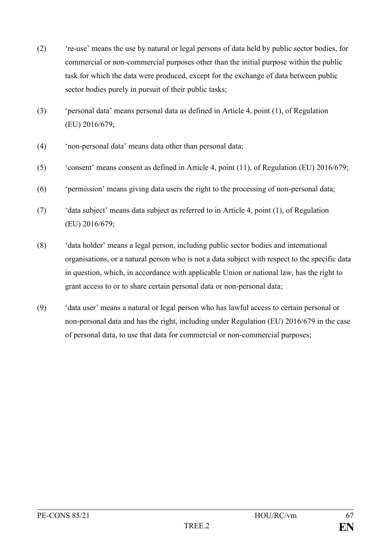- (2) 're-use' means the use by natural or legal persons of data held by public sector bodies, for commercial or non-commercial purposes other than the initial purpose within the public task for which the data were produced, except for the exchange of data between public sector bodies purely in pursuit of their public tasks;
- (3) 'personal data' means personal data as defined in Article 4, point (1), of Regulation (EU) 2016/679;
- (4) 'non-personal data' means data other than personal data;
- (5) 'consent' means consent as defined in Article 4, point (11), of Regulation (EU) 2016/679;
- (6) 'permission' means giving data users the right to the processing of non-personal data;
- (7) 'data subject' means data subject as referred to in Article 4, point (1), of Regulation (EU) 2016/679;
- (8) 'data holder' means a legal person, including public sector bodies and international organisations, or a natural person who is not a data subject with respect to the specific data in question, which, in accordance with applicable Union or national law, has the right to grant access to or to share certain personal data or non-personal data;
- (9) 'data user' means a natural or legal person who has lawful access to certain personal or non-personal data and has the right, including under Regulation (EU) 2016/679 in the case of personal data, to use that data for commercial or non-commercial purposes;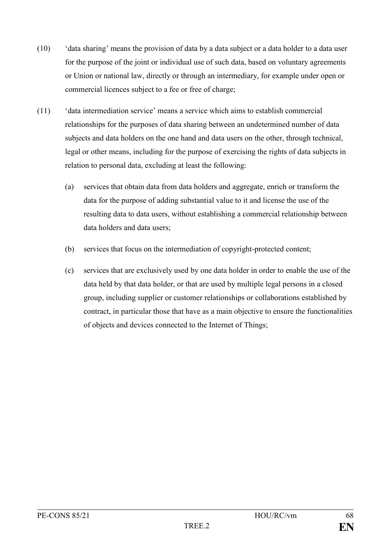- (10) 'data sharing' means the provision of data by a data subject or a data holder to a data user for the purpose of the joint or individual use of such data, based on voluntary agreements or Union or national law, directly or through an intermediary, for example under open or commercial licences subject to a fee or free of charge;
- (11) 'data intermediation service' means a service which aims to establish commercial relationships for the purposes of data sharing between an undetermined number of data subjects and data holders on the one hand and data users on the other, through technical, legal or other means, including for the purpose of exercising the rights of data subjects in relation to personal data, excluding at least the following:
	- (a) services that obtain data from data holders and aggregate, enrich or transform the data for the purpose of adding substantial value to it and license the use of the resulting data to data users, without establishing a commercial relationship between data holders and data users;
	- (b) services that focus on the intermediation of copyright-protected content;
	- (c) services that are exclusively used by one data holder in order to enable the use of the data held by that data holder, or that are used by multiple legal persons in a closed group, including supplier or customer relationships or collaborations established by contract, in particular those that have as a main objective to ensure the functionalities of objects and devices connected to the Internet of Things;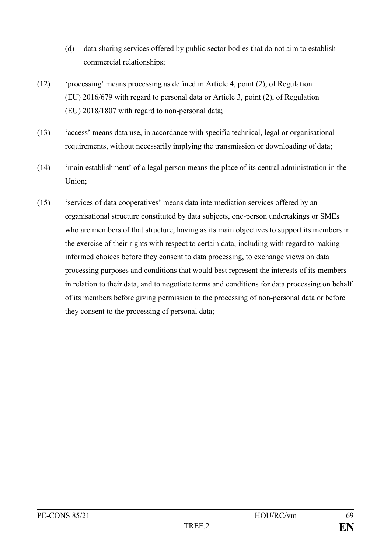- (d) data sharing services offered by public sector bodies that do not aim to establish commercial relationships;
- (12) 'processing' means processing as defined in Article 4, point (2), of Regulation (EU) 2016/679 with regard to personal data or Article 3, point (2), of Regulation (EU) 2018/1807 with regard to non-personal data;
- (13) 'access' means data use, in accordance with specific technical, legal or organisational requirements, without necessarily implying the transmission or downloading of data;
- (14) 'main establishment' of a legal person means the place of its central administration in the Union;
- (15) 'services of data cooperatives' means data intermediation services offered by an organisational structure constituted by data subjects, one-person undertakings or SMEs who are members of that structure, having as its main objectives to support its members in the exercise of their rights with respect to certain data, including with regard to making informed choices before they consent to data processing, to exchange views on data processing purposes and conditions that would best represent the interests of its members in relation to their data, and to negotiate terms and conditions for data processing on behalf of its members before giving permission to the processing of non-personal data or before they consent to the processing of personal data;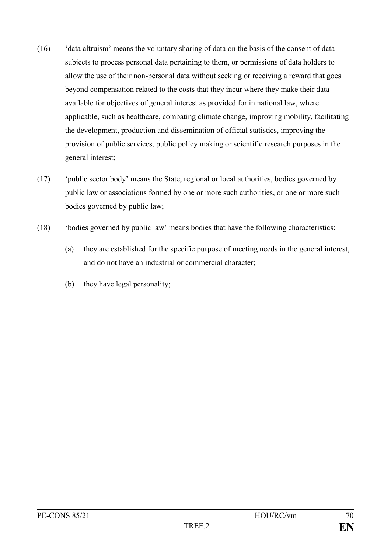- (16) 'data altruism' means the voluntary sharing of data on the basis of the consent of data subjects to process personal data pertaining to them, or permissions of data holders to allow the use of their non-personal data without seeking or receiving a reward that goes beyond compensation related to the costs that they incur where they make their data available for objectives of general interest as provided for in national law, where applicable, such as healthcare, combating climate change, improving mobility, facilitating the development, production and dissemination of official statistics, improving the provision of public services, public policy making or scientific research purposes in the general interest;
- (17) 'public sector body' means the State, regional or local authorities, bodies governed by public law or associations formed by one or more such authorities, or one or more such bodies governed by public law;
- (18) 'bodies governed by public law' means bodies that have the following characteristics:
	- (a) they are established for the specific purpose of meeting needs in the general interest, and do not have an industrial or commercial character;
	- (b) they have legal personality;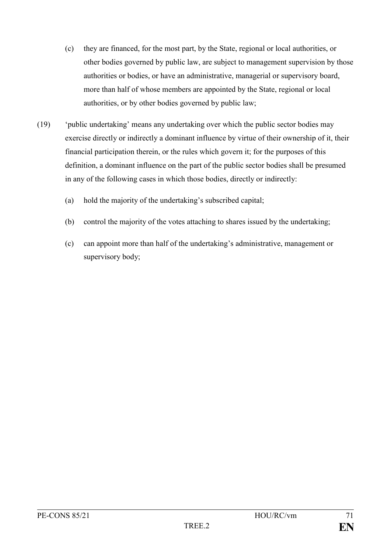- (c) they are financed, for the most part, by the State, regional or local authorities, or other bodies governed by public law, are subject to management supervision by those authorities or bodies, or have an administrative, managerial or supervisory board, more than half of whose members are appointed by the State, regional or local authorities, or by other bodies governed by public law;
- (19) 'public undertaking' means any undertaking over which the public sector bodies may exercise directly or indirectly a dominant influence by virtue of their ownership of it, their financial participation therein, or the rules which govern it; for the purposes of this definition, a dominant influence on the part of the public sector bodies shall be presumed in any of the following cases in which those bodies, directly or indirectly:
	- (a) hold the majority of the undertaking's subscribed capital;
	- (b) control the majority of the votes attaching to shares issued by the undertaking;
	- (c) can appoint more than half of the undertaking's administrative, management or supervisory body;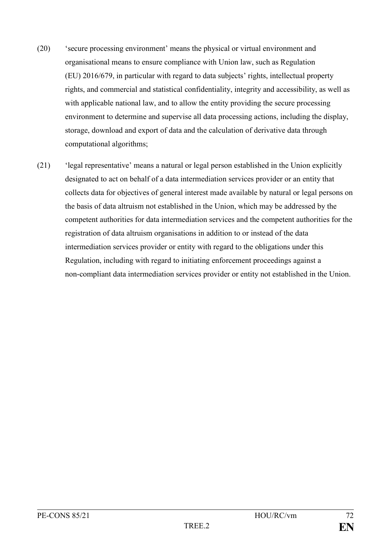- (20) 'secure processing environment' means the physical or virtual environment and organisational means to ensure compliance with Union law, such as Regulation (EU) 2016/679, in particular with regard to data subjects' rights, intellectual property rights, and commercial and statistical confidentiality, integrity and accessibility, as well as with applicable national law, and to allow the entity providing the secure processing environment to determine and supervise all data processing actions, including the display, storage, download and export of data and the calculation of derivative data through computational algorithms;
- (21) 'legal representative' means a natural or legal person established in the Union explicitly designated to act on behalf of a data intermediation services provider or an entity that collects data for objectives of general interest made available by natural or legal persons on the basis of data altruism not established in the Union, which may be addressed by the competent authorities for data intermediation services and the competent authorities for the registration of data altruism organisations in addition to or instead of the data intermediation services provider or entity with regard to the obligations under this Regulation, including with regard to initiating enforcement proceedings against a non-compliant data intermediation services provider or entity not established in the Union.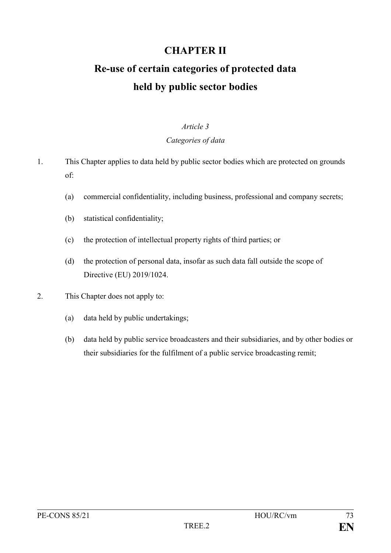# **CHAPTER II**

# **Re-use of certain categories of protected data held by public sector bodies**

#### *Article 3*

#### *Categories of data*

1. This Chapter applies to data held by public sector bodies which are protected on grounds of:

- (a) commercial confidentiality, including business, professional and company secrets;
- (b) statistical confidentiality;
- (c) the protection of intellectual property rights of third parties; or
- (d) the protection of personal data, insofar as such data fall outside the scope of Directive (EU) 2019/1024.
- 2. This Chapter does not apply to:
	- (a) data held by public undertakings;
	- (b) data held by public service broadcasters and their subsidiaries, and by other bodies or their subsidiaries for the fulfilment of a public service broadcasting remit;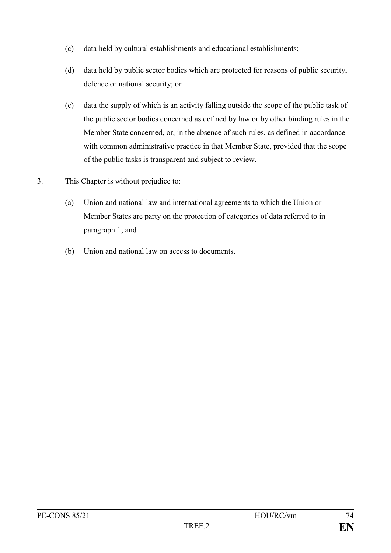- (c) data held by cultural establishments and educational establishments;
- (d) data held by public sector bodies which are protected for reasons of public security, defence or national security; or
- (e) data the supply of which is an activity falling outside the scope of the public task of the public sector bodies concerned as defined by law or by other binding rules in the Member State concerned, or, in the absence of such rules, as defined in accordance with common administrative practice in that Member State, provided that the scope of the public tasks is transparent and subject to review.
- 3. This Chapter is without prejudice to:
	- (a) Union and national law and international agreements to which the Union or Member States are party on the protection of categories of data referred to in paragraph 1; and
	- (b) Union and national law on access to documents.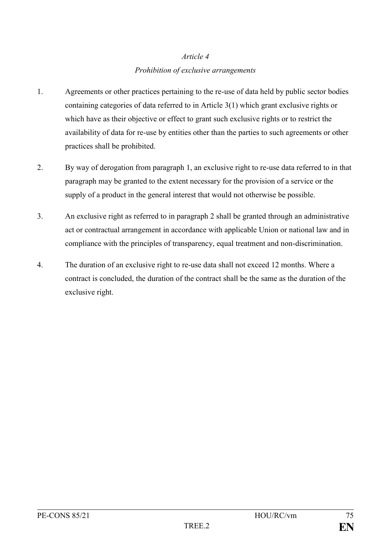# *Article 4 Prohibition of exclusive arrangements*

- 1. Agreements or other practices pertaining to the re-use of data held by public sector bodies containing categories of data referred to in Article 3(1) which grant exclusive rights or which have as their objective or effect to grant such exclusive rights or to restrict the availability of data for re-use by entities other than the parties to such agreements or other practices shall be prohibited.
- 2. By way of derogation from paragraph 1, an exclusive right to re-use data referred to in that paragraph may be granted to the extent necessary for the provision of a service or the supply of a product in the general interest that would not otherwise be possible.
- 3. An exclusive right as referred to in paragraph 2 shall be granted through an administrative act or contractual arrangement in accordance with applicable Union or national law and in compliance with the principles of transparency, equal treatment and non-discrimination.
- 4. The duration of an exclusive right to re-use data shall not exceed 12 months. Where a contract is concluded, the duration of the contract shall be the same as the duration of the exclusive right.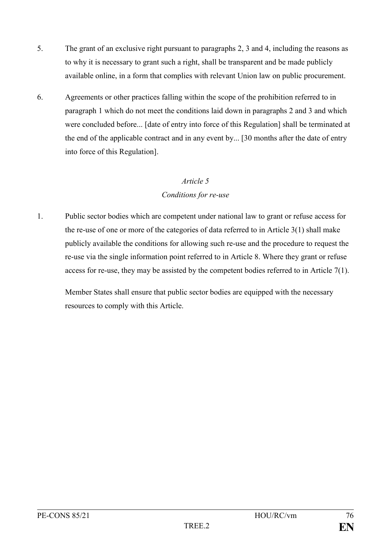- 5. The grant of an exclusive right pursuant to paragraphs 2, 3 and 4, including the reasons as to why it is necessary to grant such a right, shall be transparent and be made publicly available online, in a form that complies with relevant Union law on public procurement.
- 6. Agreements or other practices falling within the scope of the prohibition referred to in paragraph 1 which do not meet the conditions laid down in paragraphs 2 and 3 and which were concluded before... [date of entry into force of this Regulation] shall be terminated at the end of the applicable contract and in any event by... [30 months after the date of entry into force of this Regulation].

#### *Conditions for re-use*

1. Public sector bodies which are competent under national law to grant or refuse access for the re-use of one or more of the categories of data referred to in Article 3(1) shall make publicly available the conditions for allowing such re-use and the procedure to request the re-use via the single information point referred to in Article 8. Where they grant or refuse access for re-use, they may be assisted by the competent bodies referred to in Article 7(1).

Member States shall ensure that public sector bodies are equipped with the necessary resources to comply with this Article.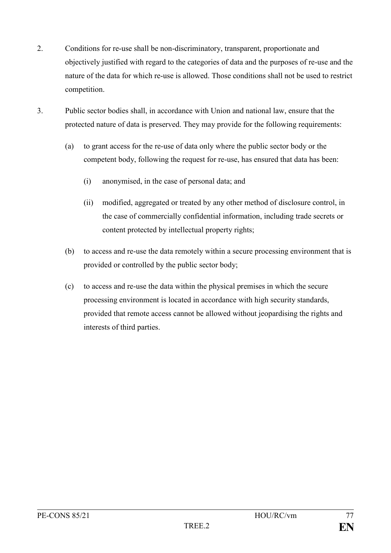- 2. Conditions for re-use shall be non-discriminatory, transparent, proportionate and objectively justified with regard to the categories of data and the purposes of re-use and the nature of the data for which re-use is allowed. Those conditions shall not be used to restrict competition.
- 3. Public sector bodies shall, in accordance with Union and national law, ensure that the protected nature of data is preserved. They may provide for the following requirements:
	- (a) to grant access for the re-use of data only where the public sector body or the competent body, following the request for re-use, has ensured that data has been:
		- (i) anonymised, in the case of personal data; and
		- (ii) modified, aggregated or treated by any other method of disclosure control, in the case of commercially confidential information, including trade secrets or content protected by intellectual property rights;
	- (b) to access and re-use the data remotely within a secure processing environment that is provided or controlled by the public sector body;
	- (c) to access and re-use the data within the physical premises in which the secure processing environment is located in accordance with high security standards, provided that remote access cannot be allowed without jeopardising the rights and interests of third parties.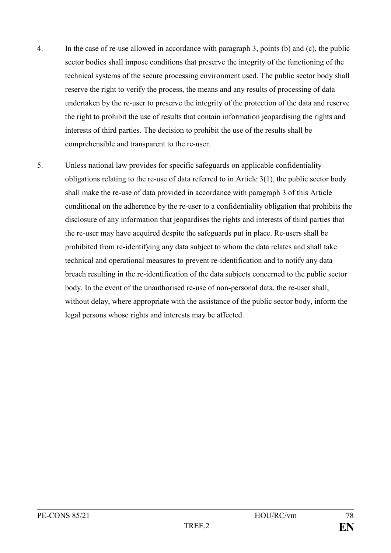- 4. In the case of re-use allowed in accordance with paragraph 3, points (b) and (c), the public sector bodies shall impose conditions that preserve the integrity of the functioning of the technical systems of the secure processing environment used. The public sector body shall reserve the right to verify the process, the means and any results of processing of data undertaken by the re-user to preserve the integrity of the protection of the data and reserve the right to prohibit the use of results that contain information jeopardising the rights and interests of third parties. The decision to prohibit the use of the results shall be comprehensible and transparent to the re-user.
- 5. Unless national law provides for specific safeguards on applicable confidentiality obligations relating to the re-use of data referred to in Article 3(1), the public sector body shall make the re-use of data provided in accordance with paragraph 3 of this Article conditional on the adherence by the re-user to a confidentiality obligation that prohibits the disclosure of any information that jeopardises the rights and interests of third parties that the re-user may have acquired despite the safeguards put in place. Re-users shall be prohibited from re-identifying any data subject to whom the data relates and shall take technical and operational measures to prevent re-identification and to notify any data breach resulting in the re-identification of the data subjects concerned to the public sector body. In the event of the unauthorised re-use of non-personal data, the re-user shall, without delay, where appropriate with the assistance of the public sector body, inform the legal persons whose rights and interests may be affected.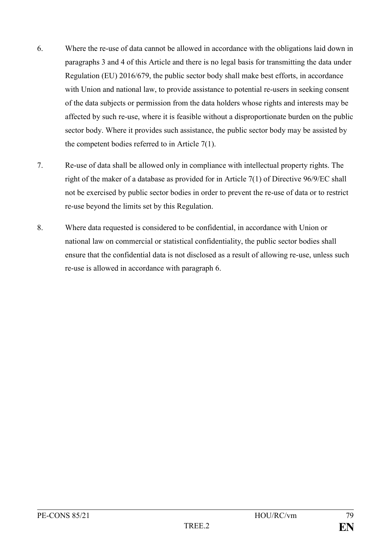- 6. Where the re-use of data cannot be allowed in accordance with the obligations laid down in paragraphs 3 and 4 of this Article and there is no legal basis for transmitting the data under Regulation (EU) 2016/679, the public sector body shall make best efforts, in accordance with Union and national law, to provide assistance to potential re-users in seeking consent of the data subjects or permission from the data holders whose rights and interests may be affected by such re-use, where it is feasible without a disproportionate burden on the public sector body. Where it provides such assistance, the public sector body may be assisted by the competent bodies referred to in Article 7(1).
- 7. Re-use of data shall be allowed only in compliance with intellectual property rights. The right of the maker of a database as provided for in Article 7(1) of Directive 96/9/EC shall not be exercised by public sector bodies in order to prevent the re-use of data or to restrict re-use beyond the limits set by this Regulation.
- 8. Where data requested is considered to be confidential, in accordance with Union or national law on commercial or statistical confidentiality, the public sector bodies shall ensure that the confidential data is not disclosed as a result of allowing re-use, unless such re-use is allowed in accordance with paragraph 6.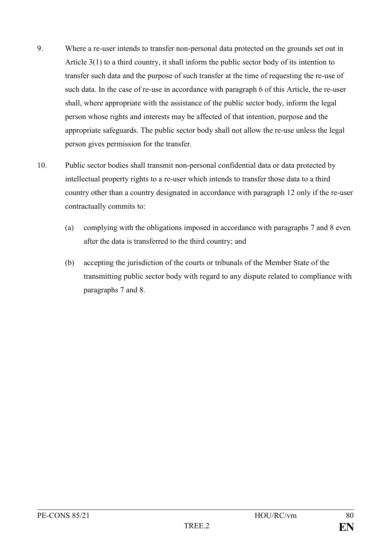- 9. Where a re-user intends to transfer non-personal data protected on the grounds set out in Article 3(1) to a third country, it shall inform the public sector body of its intention to transfer such data and the purpose of such transfer at the time of requesting the re-use of such data. In the case of re-use in accordance with paragraph 6 of this Article, the re-user shall, where appropriate with the assistance of the public sector body, inform the legal person whose rights and interests may be affected of that intention, purpose and the appropriate safeguards. The public sector body shall not allow the re-use unless the legal person gives permission for the transfer.
- 10. Public sector bodies shall transmit non-personal confidential data or data protected by intellectual property rights to a re-user which intends to transfer those data to a third country other than a country designated in accordance with paragraph 12 only if the re-user contractually commits to:
	- (a) complying with the obligations imposed in accordance with paragraphs 7 and 8 even after the data is transferred to the third country; and
	- (b) accepting the jurisdiction of the courts or tribunals of the Member State of the transmitting public sector body with regard to any dispute related to compliance with paragraphs 7 and 8.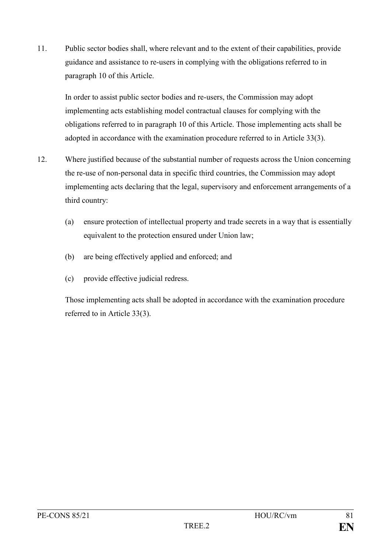11. Public sector bodies shall, where relevant and to the extent of their capabilities, provide guidance and assistance to re-users in complying with the obligations referred to in paragraph 10 of this Article.

In order to assist public sector bodies and re-users, the Commission may adopt implementing acts establishing model contractual clauses for complying with the obligations referred to in paragraph 10 of this Article. Those implementing acts shall be adopted in accordance with the examination procedure referred to in Article 33(3).

- 12. Where justified because of the substantial number of requests across the Union concerning the re-use of non-personal data in specific third countries, the Commission may adopt implementing acts declaring that the legal, supervisory and enforcement arrangements of a third country:
	- (a) ensure protection of intellectual property and trade secrets in a way that is essentially equivalent to the protection ensured under Union law;
	- (b) are being effectively applied and enforced; and
	- (c) provide effective judicial redress.

Those implementing acts shall be adopted in accordance with the examination procedure referred to in Article 33(3).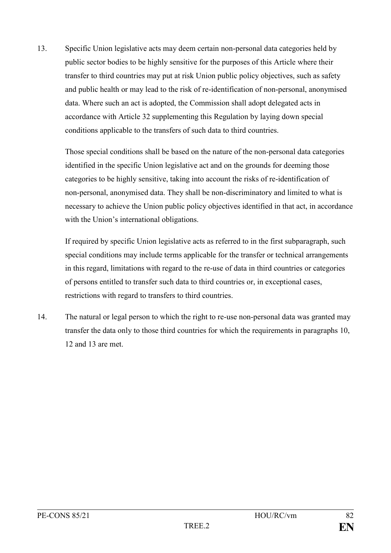13. Specific Union legislative acts may deem certain non-personal data categories held by public sector bodies to be highly sensitive for the purposes of this Article where their transfer to third countries may put at risk Union public policy objectives, such as safety and public health or may lead to the risk of re-identification of non-personal, anonymised data. Where such an act is adopted, the Commission shall adopt delegated acts in accordance with Article 32 supplementing this Regulation by laying down special conditions applicable to the transfers of such data to third countries.

Those special conditions shall be based on the nature of the non-personal data categories identified in the specific Union legislative act and on the grounds for deeming those categories to be highly sensitive, taking into account the risks of re-identification of non-personal, anonymised data. They shall be non-discriminatory and limited to what is necessary to achieve the Union public policy objectives identified in that act, in accordance with the Union's international obligations.

If required by specific Union legislative acts as referred to in the first subparagraph, such special conditions may include terms applicable for the transfer or technical arrangements in this regard, limitations with regard to the re-use of data in third countries or categories of persons entitled to transfer such data to third countries or, in exceptional cases, restrictions with regard to transfers to third countries.

14. The natural or legal person to which the right to re-use non-personal data was granted may transfer the data only to those third countries for which the requirements in paragraphs 10, 12 and 13 are met.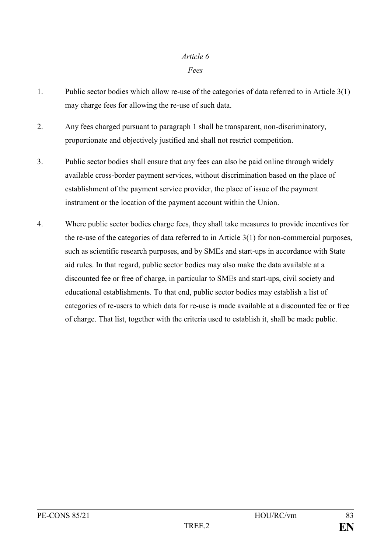*Fees*

- 1. Public sector bodies which allow re-use of the categories of data referred to in Article 3(1) may charge fees for allowing the re-use of such data.
- 2. Any fees charged pursuant to paragraph 1 shall be transparent, non-discriminatory, proportionate and objectively justified and shall not restrict competition.
- 3. Public sector bodies shall ensure that any fees can also be paid online through widely available cross-border payment services, without discrimination based on the place of establishment of the payment service provider, the place of issue of the payment instrument or the location of the payment account within the Union.
- 4. Where public sector bodies charge fees, they shall take measures to provide incentives for the re-use of the categories of data referred to in Article 3(1) for non-commercial purposes, such as scientific research purposes, and by SMEs and start-ups in accordance with State aid rules. In that regard, public sector bodies may also make the data available at a discounted fee or free of charge, in particular to SMEs and start-ups, civil society and educational establishments. To that end, public sector bodies may establish a list of categories of re-users to which data for re-use is made available at a discounted fee or free of charge. That list, together with the criteria used to establish it, shall be made public.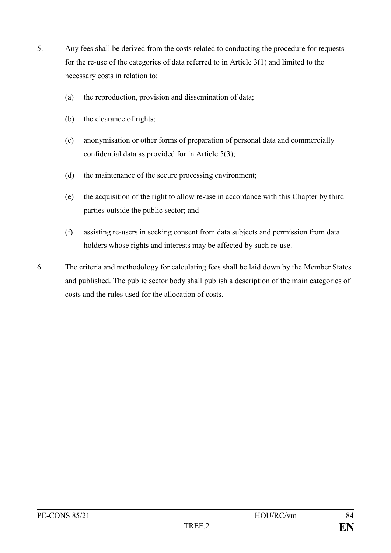- 5. Any fees shall be derived from the costs related to conducting the procedure for requests for the re-use of the categories of data referred to in Article 3(1) and limited to the necessary costs in relation to:
	- (a) the reproduction, provision and dissemination of data;
	- (b) the clearance of rights;
	- (c) anonymisation or other forms of preparation of personal data and commercially confidential data as provided for in Article 5(3);
	- (d) the maintenance of the secure processing environment;
	- (e) the acquisition of the right to allow re-use in accordance with this Chapter by third parties outside the public sector; and
	- (f) assisting re-users in seeking consent from data subjects and permission from data holders whose rights and interests may be affected by such re-use.
- 6. The criteria and methodology for calculating fees shall be laid down by the Member States and published. The public sector body shall publish a description of the main categories of costs and the rules used for the allocation of costs.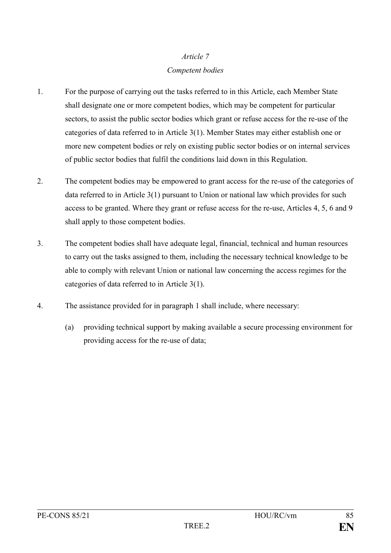# *Article 7 Competent bodies*

- 1. For the purpose of carrying out the tasks referred to in this Article, each Member State shall designate one or more competent bodies, which may be competent for particular sectors, to assist the public sector bodies which grant or refuse access for the re-use of the categories of data referred to in Article 3(1). Member States may either establish one or more new competent bodies or rely on existing public sector bodies or on internal services of public sector bodies that fulfil the conditions laid down in this Regulation.
- 2. The competent bodies may be empowered to grant access for the re-use of the categories of data referred to in Article 3(1) pursuant to Union or national law which provides for such access to be granted. Where they grant or refuse access for the re-use, Articles 4, 5, 6 and 9 shall apply to those competent bodies.
- 3. The competent bodies shall have adequate legal, financial, technical and human resources to carry out the tasks assigned to them, including the necessary technical knowledge to be able to comply with relevant Union or national law concerning the access regimes for the categories of data referred to in Article 3(1).
- 4. The assistance provided for in paragraph 1 shall include, where necessary:
	- (a) providing technical support by making available a secure processing environment for providing access for the re-use of data;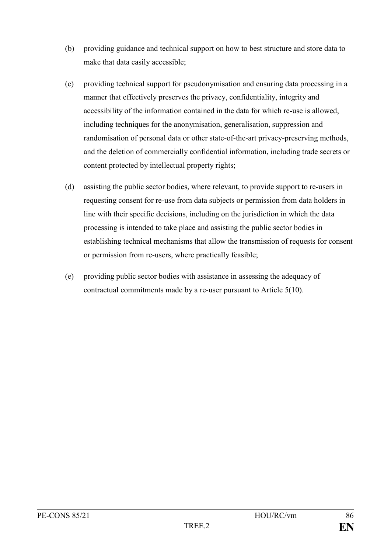- (b) providing guidance and technical support on how to best structure and store data to make that data easily accessible;
- (c) providing technical support for pseudonymisation and ensuring data processing in a manner that effectively preserves the privacy, confidentiality, integrity and accessibility of the information contained in the data for which re-use is allowed, including techniques for the anonymisation, generalisation, suppression and randomisation of personal data or other state-of-the-art privacy-preserving methods, and the deletion of commercially confidential information, including trade secrets or content protected by intellectual property rights;
- (d) assisting the public sector bodies, where relevant, to provide support to re-users in requesting consent for re-use from data subjects or permission from data holders in line with their specific decisions, including on the jurisdiction in which the data processing is intended to take place and assisting the public sector bodies in establishing technical mechanisms that allow the transmission of requests for consent or permission from re-users, where practically feasible;
- (e) providing public sector bodies with assistance in assessing the adequacy of contractual commitments made by a re-user pursuant to Article 5(10).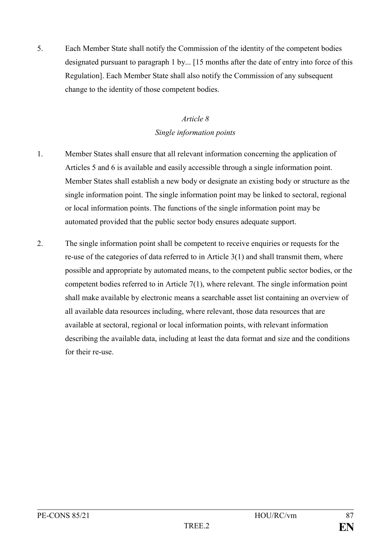5. Each Member State shall notify the Commission of the identity of the competent bodies designated pursuant to paragraph 1 by... [15 months after the date of entry into force of this Regulation]. Each Member State shall also notify the Commission of any subsequent change to the identity of those competent bodies.

### *Article 8 Single information points*

- 1. Member States shall ensure that all relevant information concerning the application of Articles 5 and 6 is available and easily accessible through a single information point. Member States shall establish a new body or designate an existing body or structure as the single information point. The single information point may be linked to sectoral, regional or local information points. The functions of the single information point may be automated provided that the public sector body ensures adequate support.
- 2. The single information point shall be competent to receive enquiries or requests for the re-use of the categories of data referred to in Article 3(1) and shall transmit them, where possible and appropriate by automated means, to the competent public sector bodies, or the competent bodies referred to in Article 7(1), where relevant. The single information point shall make available by electronic means a searchable asset list containing an overview of all available data resources including, where relevant, those data resources that are available at sectoral, regional or local information points, with relevant information describing the available data, including at least the data format and size and the conditions for their re-use.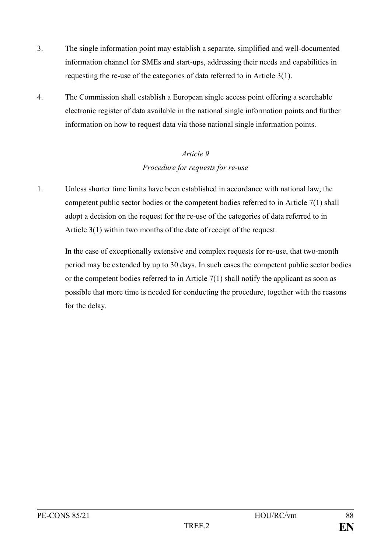- 3. The single information point may establish a separate, simplified and well-documented information channel for SMEs and start-ups, addressing their needs and capabilities in requesting the re-use of the categories of data referred to in Article 3(1).
- 4. The Commission shall establish a European single access point offering a searchable electronic register of data available in the national single information points and further information on how to request data via those national single information points.

### *Article 9 Procedure for requests for re-use*

1. Unless shorter time limits have been established in accordance with national law, the competent public sector bodies or the competent bodies referred to in Article 7(1) shall adopt a decision on the request for the re-use of the categories of data referred to in Article 3(1) within two months of the date of receipt of the request.

In the case of exceptionally extensive and complex requests for re-use, that two-month period may be extended by up to 30 days. In such cases the competent public sector bodies or the competent bodies referred to in Article 7(1) shall notify the applicant as soon as possible that more time is needed for conducting the procedure, together with the reasons for the delay.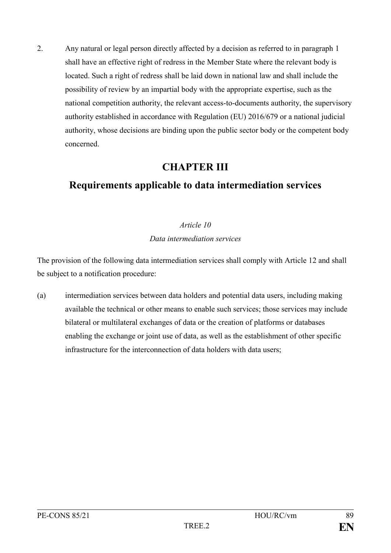2. Any natural or legal person directly affected by a decision as referred to in paragraph 1 shall have an effective right of redress in the Member State where the relevant body is located. Such a right of redress shall be laid down in national law and shall include the possibility of review by an impartial body with the appropriate expertise, such as the national competition authority, the relevant access-to-documents authority, the supervisory authority established in accordance with Regulation (EU) 2016/679 or a national judicial authority, whose decisions are binding upon the public sector body or the competent body concerned.

# **CHAPTER III**

# **Requirements applicable to data intermediation services**

### *Article 10*

#### *Data intermediation services*

The provision of the following data intermediation services shall comply with Article 12 and shall be subject to a notification procedure:

(a) intermediation services between data holders and potential data users, including making available the technical or other means to enable such services; those services may include bilateral or multilateral exchanges of data or the creation of platforms or databases enabling the exchange or joint use of data, as well as the establishment of other specific infrastructure for the interconnection of data holders with data users;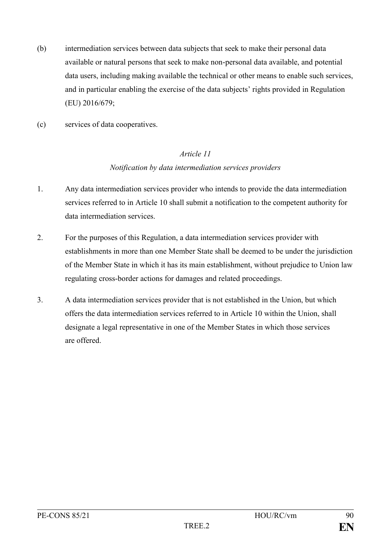- (b) intermediation services between data subjects that seek to make their personal data available or natural persons that seek to make non-personal data available, and potential data users, including making available the technical or other means to enable such services, and in particular enabling the exercise of the data subjects' rights provided in Regulation (EU) 2016/679;
- (c) services of data cooperatives.

## *Article 11 Notification by data intermediation services providers*

- 1. Any data intermediation services provider who intends to provide the data intermediation services referred to in Article 10 shall submit a notification to the competent authority for data intermediation services.
- 2. For the purposes of this Regulation, a data intermediation services provider with establishments in more than one Member State shall be deemed to be under the jurisdiction of the Member State in which it has its main establishment, without prejudice to Union law regulating cross-border actions for damages and related proceedings.
- 3. A data intermediation services provider that is not established in the Union, but which offers the data intermediation services referred to in Article 10 within the Union, shall designate a legal representative in one of the Member States in which those services are offered.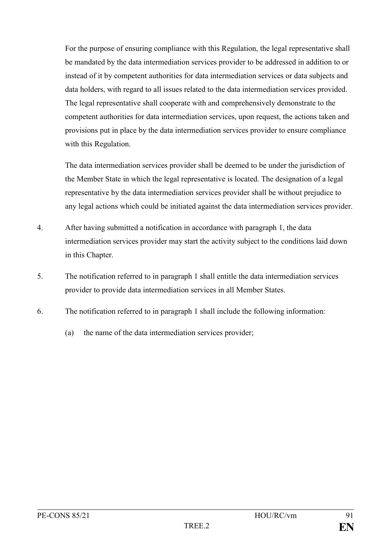For the purpose of ensuring compliance with this Regulation, the legal representative shall be mandated by the data intermediation services provider to be addressed in addition to or instead of it by competent authorities for data intermediation services or data subjects and data holders, with regard to all issues related to the data intermediation services provided. The legal representative shall cooperate with and comprehensively demonstrate to the competent authorities for data intermediation services, upon request, the actions taken and provisions put in place by the data intermediation services provider to ensure compliance with this Regulation.

The data intermediation services provider shall be deemed to be under the jurisdiction of the Member State in which the legal representative is located. The designation of a legal representative by the data intermediation services provider shall be without prejudice to any legal actions which could be initiated against the data intermediation services provider.

- 4. After having submitted a notification in accordance with paragraph 1, the data intermediation services provider may start the activity subject to the conditions laid down in this Chapter.
- 5. The notification referred to in paragraph 1 shall entitle the data intermediation services provider to provide data intermediation services in all Member States.
- 6. The notification referred to in paragraph 1 shall include the following information:
	- (a) the name of the data intermediation services provider;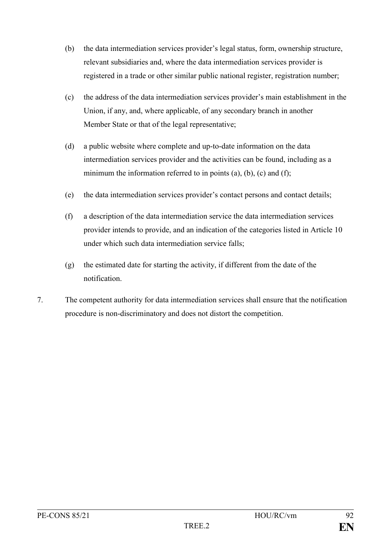- (b) the data intermediation services provider's legal status, form, ownership structure, relevant subsidiaries and, where the data intermediation services provider is registered in a trade or other similar public national register, registration number;
- (c) the address of the data intermediation services provider's main establishment in the Union, if any, and, where applicable, of any secondary branch in another Member State or that of the legal representative;
- (d) a public website where complete and up-to-date information on the data intermediation services provider and the activities can be found, including as a minimum the information referred to in points  $(a)$ ,  $(b)$ ,  $(c)$  and  $(f)$ ;
- (e) the data intermediation services provider's contact persons and contact details;
- (f) a description of the data intermediation service the data intermediation services provider intends to provide, and an indication of the categories listed in Article 10 under which such data intermediation service falls;
- (g) the estimated date for starting the activity, if different from the date of the notification.
- 7. The competent authority for data intermediation services shall ensure that the notification procedure is non-discriminatory and does not distort the competition.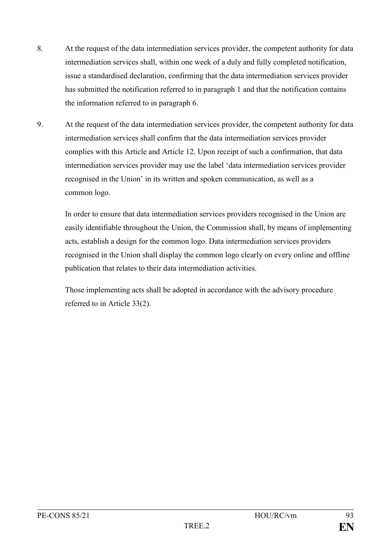- 8. At the request of the data intermediation services provider, the competent authority for data intermediation services shall, within one week of a duly and fully completed notification, issue a standardised declaration, confirming that the data intermediation services provider has submitted the notification referred to in paragraph 1 and that the notification contains the information referred to in paragraph 6.
- 9. At the request of the data intermediation services provider, the competent authority for data intermediation services shall confirm that the data intermediation services provider complies with this Article and Article 12. Upon receipt of such a confirmation, that data intermediation services provider may use the label 'data intermediation services provider recognised in the Union' in its written and spoken communication, as well as a common logo.

In order to ensure that data intermediation services providers recognised in the Union are easily identifiable throughout the Union, the Commission shall, by means of implementing acts, establish a design for the common logo. Data intermediation services providers recognised in the Union shall display the common logo clearly on every online and offline publication that relates to their data intermediation activities.

Those implementing acts shall be adopted in accordance with the advisory procedure referred to in Article 33(2).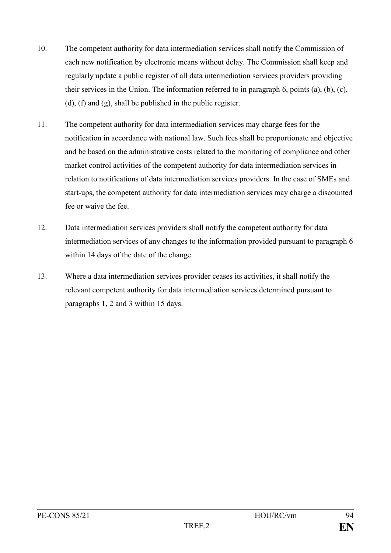- 10. The competent authority for data intermediation services shall notify the Commission of each new notification by electronic means without delay. The Commission shall keep and regularly update a public register of all data intermediation services providers providing their services in the Union. The information referred to in paragraph 6, points (a), (b), (c), (d), (f) and (g), shall be published in the public register.
- 11. The competent authority for data intermediation services may charge fees for the notification in accordance with national law. Such fees shall be proportionate and objective and be based on the administrative costs related to the monitoring of compliance and other market control activities of the competent authority for data intermediation services in relation to notifications of data intermediation services providers. In the case of SMEs and start-ups, the competent authority for data intermediation services may charge a discounted fee or waive the fee.
- 12. Data intermediation services providers shall notify the competent authority for data intermediation services of any changes to the information provided pursuant to paragraph 6 within 14 days of the date of the change.
- 13. Where a data intermediation services provider ceases its activities, it shall notify the relevant competent authority for data intermediation services determined pursuant to paragraphs 1, 2 and 3 within 15 days.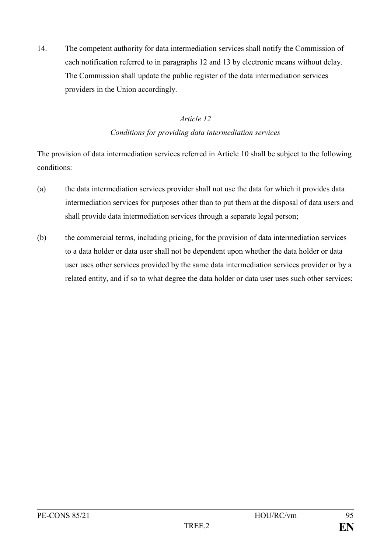14. The competent authority for data intermediation services shall notify the Commission of each notification referred to in paragraphs 12 and 13 by electronic means without delay. The Commission shall update the public register of the data intermediation services providers in the Union accordingly.

#### *Article 12*

#### *Conditions for providing data intermediation services*

The provision of data intermediation services referred in Article 10 shall be subject to the following conditions:

- (a) the data intermediation services provider shall not use the data for which it provides data intermediation services for purposes other than to put them at the disposal of data users and shall provide data intermediation services through a separate legal person;
- (b) the commercial terms, including pricing, for the provision of data intermediation services to a data holder or data user shall not be dependent upon whether the data holder or data user uses other services provided by the same data intermediation services provider or by a related entity, and if so to what degree the data holder or data user uses such other services;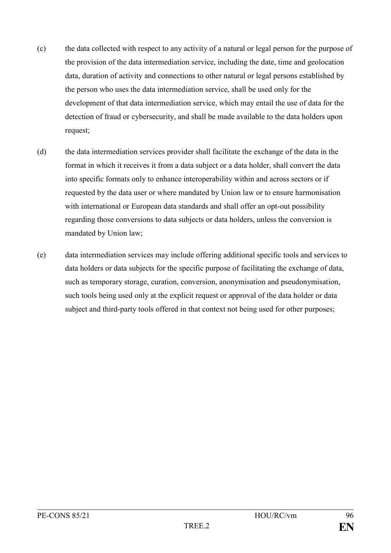- (c) the data collected with respect to any activity of a natural or legal person for the purpose of the provision of the data intermediation service, including the date, time and geolocation data, duration of activity and connections to other natural or legal persons established by the person who uses the data intermediation service, shall be used only for the development of that data intermediation service, which may entail the use of data for the detection of fraud or cybersecurity, and shall be made available to the data holders upon request;
- (d) the data intermediation services provider shall facilitate the exchange of the data in the format in which it receives it from a data subject or a data holder, shall convert the data into specific formats only to enhance interoperability within and across sectors or if requested by the data user or where mandated by Union law or to ensure harmonisation with international or European data standards and shall offer an opt-out possibility regarding those conversions to data subjects or data holders, unless the conversion is mandated by Union law;
- (e) data intermediation services may include offering additional specific tools and services to data holders or data subjects for the specific purpose of facilitating the exchange of data, such as temporary storage, curation, conversion, anonymisation and pseudonymisation, such tools being used only at the explicit request or approval of the data holder or data subject and third-party tools offered in that context not being used for other purposes;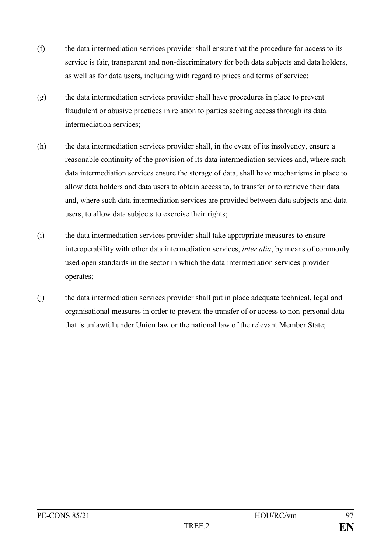- (f) the data intermediation services provider shall ensure that the procedure for access to its service is fair, transparent and non-discriminatory for both data subjects and data holders, as well as for data users, including with regard to prices and terms of service;
- (g) the data intermediation services provider shall have procedures in place to prevent fraudulent or abusive practices in relation to parties seeking access through its data intermediation services;
- (h) the data intermediation services provider shall, in the event of its insolvency, ensure a reasonable continuity of the provision of its data intermediation services and, where such data intermediation services ensure the storage of data, shall have mechanisms in place to allow data holders and data users to obtain access to, to transfer or to retrieve their data and, where such data intermediation services are provided between data subjects and data users, to allow data subjects to exercise their rights;
- (i) the data intermediation services provider shall take appropriate measures to ensure interoperability with other data intermediation services, *inter alia*, by means of commonly used open standards in the sector in which the data intermediation services provider operates;
- (j) the data intermediation services provider shall put in place adequate technical, legal and organisational measures in order to prevent the transfer of or access to non-personal data that is unlawful under Union law or the national law of the relevant Member State;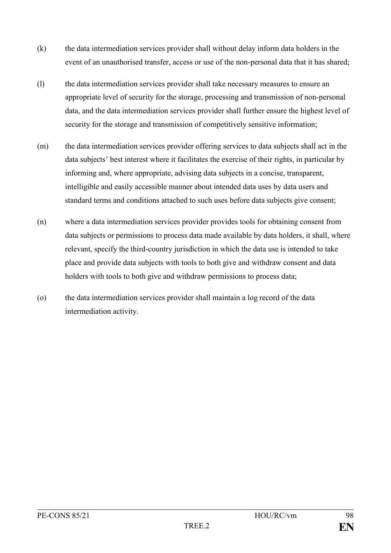- (k) the data intermediation services provider shall without delay inform data holders in the event of an unauthorised transfer, access or use of the non-personal data that it has shared;
- (l) the data intermediation services provider shall take necessary measures to ensure an appropriate level of security for the storage, processing and transmission of non-personal data, and the data intermediation services provider shall further ensure the highest level of security for the storage and transmission of competitively sensitive information;
- (m) the data intermediation services provider offering services to data subjects shall act in the data subjects' best interest where it facilitates the exercise of their rights, in particular by informing and, where appropriate, advising data subjects in a concise, transparent, intelligible and easily accessible manner about intended data uses by data users and standard terms and conditions attached to such uses before data subjects give consent;
- (n) where a data intermediation services provider provides tools for obtaining consent from data subjects or permissions to process data made available by data holders, it shall, where relevant, specify the third-country jurisdiction in which the data use is intended to take place and provide data subjects with tools to both give and withdraw consent and data holders with tools to both give and withdraw permissions to process data;
- (o) the data intermediation services provider shall maintain a log record of the data intermediation activity.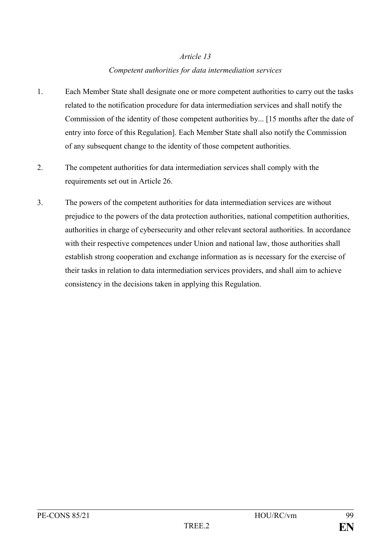#### *Competent authorities for data intermediation services*

- 1. Each Member State shall designate one or more competent authorities to carry out the tasks related to the notification procedure for data intermediation services and shall notify the Commission of the identity of those competent authorities by... [15 months after the date of entry into force of this Regulation]. Each Member State shall also notify the Commission of any subsequent change to the identity of those competent authorities.
- 2. The competent authorities for data intermediation services shall comply with the requirements set out in Article 26.
- 3. The powers of the competent authorities for data intermediation services are without prejudice to the powers of the data protection authorities, national competition authorities, authorities in charge of cybersecurity and other relevant sectoral authorities. In accordance with their respective competences under Union and national law, those authorities shall establish strong cooperation and exchange information as is necessary for the exercise of their tasks in relation to data intermediation services providers, and shall aim to achieve consistency in the decisions taken in applying this Regulation.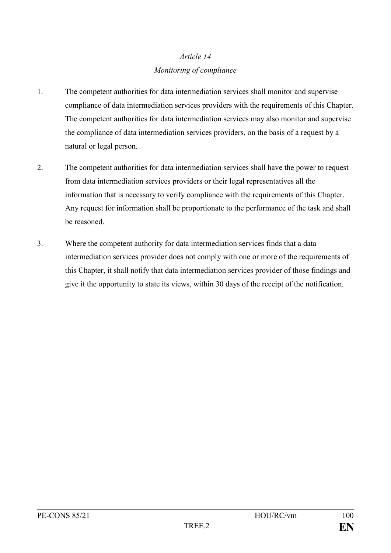## *Article 14 Monitoring of compliance*

- 1. The competent authorities for data intermediation services shall monitor and supervise compliance of data intermediation services providers with the requirements of this Chapter. The competent authorities for data intermediation services may also monitor and supervise the compliance of data intermediation services providers, on the basis of a request by a natural or legal person.
- 2. The competent authorities for data intermediation services shall have the power to request from data intermediation services providers or their legal representatives all the information that is necessary to verify compliance with the requirements of this Chapter. Any request for information shall be proportionate to the performance of the task and shall be reasoned.
- 3. Where the competent authority for data intermediation services finds that a data intermediation services provider does not comply with one or more of the requirements of this Chapter, it shall notify that data intermediation services provider of those findings and give it the opportunity to state its views, within 30 days of the receipt of the notification.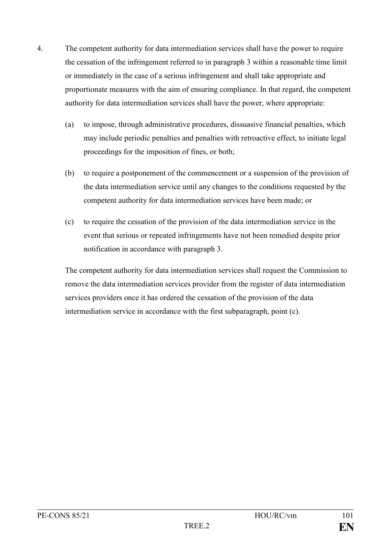- 4. The competent authority for data intermediation services shall have the power to require the cessation of the infringement referred to in paragraph 3 within a reasonable time limit or immediately in the case of a serious infringement and shall take appropriate and proportionate measures with the aim of ensuring compliance. In that regard, the competent authority for data intermediation services shall have the power, where appropriate:
	- (a) to impose, through administrative procedures, dissuasive financial penalties, which may include periodic penalties and penalties with retroactive effect, to initiate legal proceedings for the imposition of fines, or both;
	- (b) to require a postponement of the commencement or a suspension of the provision of the data intermediation service until any changes to the conditions requested by the competent authority for data intermediation services have been made; or
	- (c) to require the cessation of the provision of the data intermediation service in the event that serious or repeated infringements have not been remedied despite prior notification in accordance with paragraph 3.

The competent authority for data intermediation services shall request the Commission to remove the data intermediation services provider from the register of data intermediation services providers once it has ordered the cessation of the provision of the data intermediation service in accordance with the first subparagraph, point (c).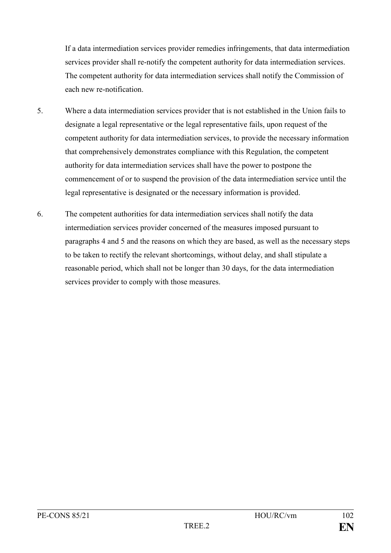If a data intermediation services provider remedies infringements, that data intermediation services provider shall re-notify the competent authority for data intermediation services. The competent authority for data intermediation services shall notify the Commission of each new re-notification.

- 5. Where a data intermediation services provider that is not established in the Union fails to designate a legal representative or the legal representative fails, upon request of the competent authority for data intermediation services, to provide the necessary information that comprehensively demonstrates compliance with this Regulation, the competent authority for data intermediation services shall have the power to postpone the commencement of or to suspend the provision of the data intermediation service until the legal representative is designated or the necessary information is provided.
- 6. The competent authorities for data intermediation services shall notify the data intermediation services provider concerned of the measures imposed pursuant to paragraphs 4 and 5 and the reasons on which they are based, as well as the necessary steps to be taken to rectify the relevant shortcomings, without delay, and shall stipulate a reasonable period, which shall not be longer than 30 days, for the data intermediation services provider to comply with those measures.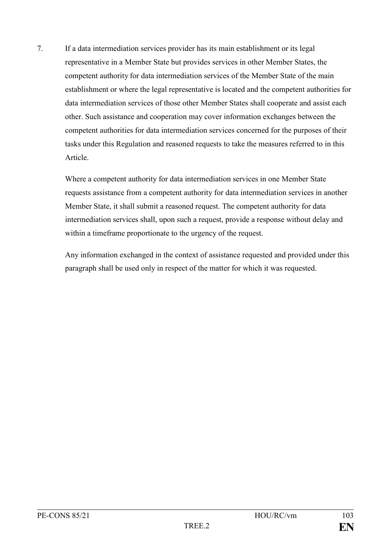7. If a data intermediation services provider has its main establishment or its legal representative in a Member State but provides services in other Member States, the competent authority for data intermediation services of the Member State of the main establishment or where the legal representative is located and the competent authorities for data intermediation services of those other Member States shall cooperate and assist each other. Such assistance and cooperation may cover information exchanges between the competent authorities for data intermediation services concerned for the purposes of their tasks under this Regulation and reasoned requests to take the measures referred to in this Article.

Where a competent authority for data intermediation services in one Member State requests assistance from a competent authority for data intermediation services in another Member State, it shall submit a reasoned request. The competent authority for data intermediation services shall, upon such a request, provide a response without delay and within a timeframe proportionate to the urgency of the request.

Any information exchanged in the context of assistance requested and provided under this paragraph shall be used only in respect of the matter for which it was requested.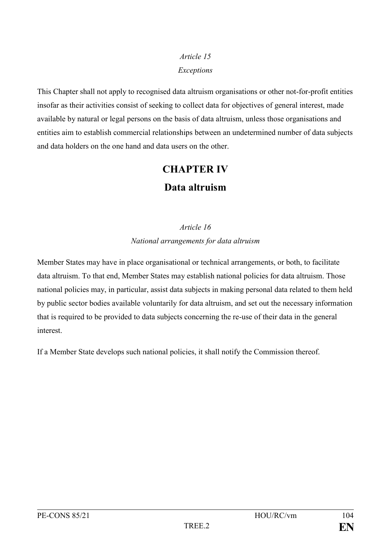# *Article 15 Exceptions*

This Chapter shall not apply to recognised data altruism organisations or other not-for-profit entities insofar as their activities consist of seeking to collect data for objectives of general interest, made available by natural or legal persons on the basis of data altruism, unless those organisations and entities aim to establish commercial relationships between an undetermined number of data subjects and data holders on the one hand and data users on the other.

# **CHAPTER IV Data altruism**

# *Article 16 National arrangements for data altruism*

Member States may have in place organisational or technical arrangements, or both, to facilitate data altruism. To that end, Member States may establish national policies for data altruism. Those national policies may, in particular, assist data subjects in making personal data related to them held by public sector bodies available voluntarily for data altruism, and set out the necessary information that is required to be provided to data subjects concerning the re-use of their data in the general interest.

If a Member State develops such national policies, it shall notify the Commission thereof.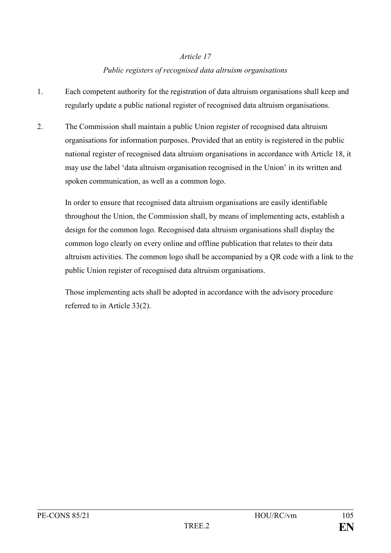#### *Public registers of recognised data altruism organisations*

- 1. Each competent authority for the registration of data altruism organisations shall keep and regularly update a public national register of recognised data altruism organisations.
- 2. The Commission shall maintain a public Union register of recognised data altruism organisations for information purposes. Provided that an entity is registered in the public national register of recognised data altruism organisations in accordance with Article 18, it may use the label 'data altruism organisation recognised in the Union' in its written and spoken communication, as well as a common logo.

In order to ensure that recognised data altruism organisations are easily identifiable throughout the Union, the Commission shall, by means of implementing acts, establish a design for the common logo. Recognised data altruism organisations shall display the common logo clearly on every online and offline publication that relates to their data altruism activities. The common logo shall be accompanied by a QR code with a link to the public Union register of recognised data altruism organisations.

Those implementing acts shall be adopted in accordance with the advisory procedure referred to in Article 33(2).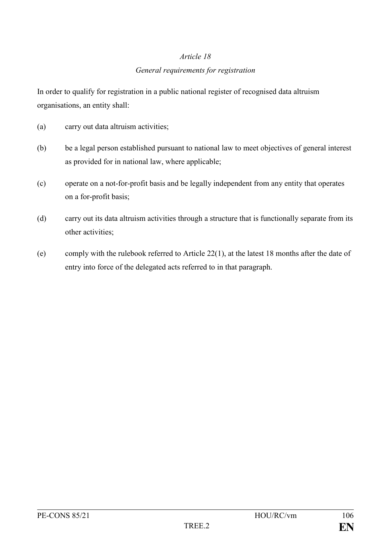#### *General requirements for registration*

In order to qualify for registration in a public national register of recognised data altruism organisations, an entity shall:

- (a) carry out data altruism activities;
- (b) be a legal person established pursuant to national law to meet objectives of general interest as provided for in national law, where applicable;
- (c) operate on a not-for-profit basis and be legally independent from any entity that operates on a for-profit basis;
- (d) carry out its data altruism activities through a structure that is functionally separate from its other activities;
- (e) comply with the rulebook referred to Article 22(1), at the latest 18 months after the date of entry into force of the delegated acts referred to in that paragraph.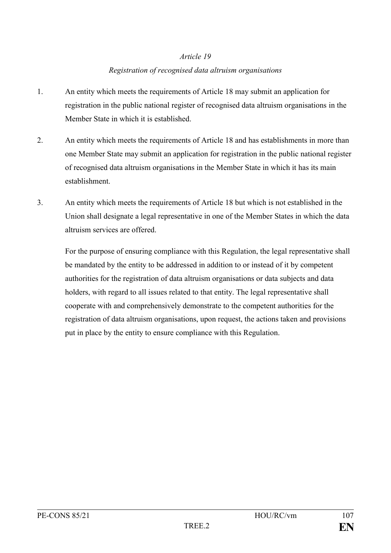#### *Registration of recognised data altruism organisations*

- 1. An entity which meets the requirements of Article 18 may submit an application for registration in the public national register of recognised data altruism organisations in the Member State in which it is established.
- 2. An entity which meets the requirements of Article 18 and has establishments in more than one Member State may submit an application for registration in the public national register of recognised data altruism organisations in the Member State in which it has its main establishment.
- 3. An entity which meets the requirements of Article 18 but which is not established in the Union shall designate a legal representative in one of the Member States in which the data altruism services are offered.

For the purpose of ensuring compliance with this Regulation, the legal representative shall be mandated by the entity to be addressed in addition to or instead of it by competent authorities for the registration of data altruism organisations or data subjects and data holders, with regard to all issues related to that entity. The legal representative shall cooperate with and comprehensively demonstrate to the competent authorities for the registration of data altruism organisations, upon request, the actions taken and provisions put in place by the entity to ensure compliance with this Regulation.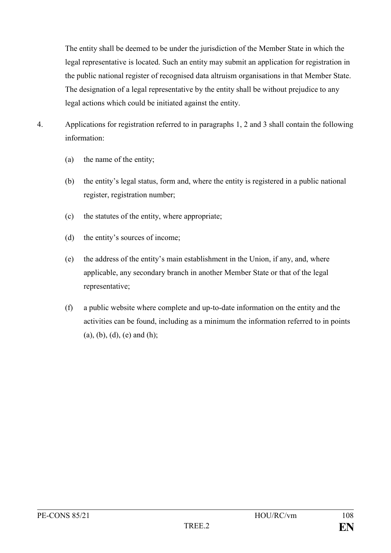The entity shall be deemed to be under the jurisdiction of the Member State in which the legal representative is located. Such an entity may submit an application for registration in the public national register of recognised data altruism organisations in that Member State. The designation of a legal representative by the entity shall be without prejudice to any legal actions which could be initiated against the entity.

- 4. Applications for registration referred to in paragraphs 1, 2 and 3 shall contain the following information:
	- (a) the name of the entity;
	- (b) the entity's legal status, form and, where the entity is registered in a public national register, registration number;
	- (c) the statutes of the entity, where appropriate;
	- (d) the entity's sources of income;
	- (e) the address of the entity's main establishment in the Union, if any, and, where applicable, any secondary branch in another Member State or that of the legal representative;
	- (f) a public website where complete and up-to-date information on the entity and the activities can be found, including as a minimum the information referred to in points  $(a)$ ,  $(b)$ ,  $(d)$ ,  $(e)$  and  $(h)$ ;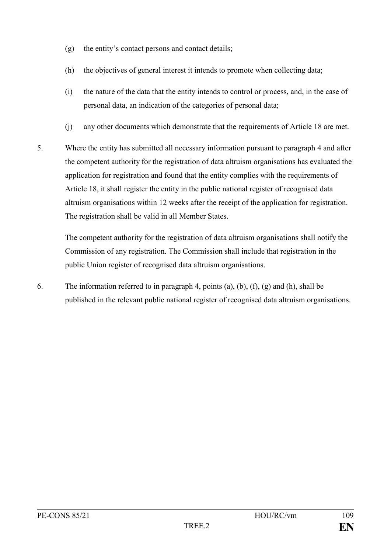- (g) the entity's contact persons and contact details;
- (h) the objectives of general interest it intends to promote when collecting data;
- (i) the nature of the data that the entity intends to control or process, and, in the case of personal data, an indication of the categories of personal data;
- (j) any other documents which demonstrate that the requirements of Article 18 are met.
- 5. Where the entity has submitted all necessary information pursuant to paragraph 4 and after the competent authority for the registration of data altruism organisations has evaluated the application for registration and found that the entity complies with the requirements of Article 18, it shall register the entity in the public national register of recognised data altruism organisations within 12 weeks after the receipt of the application for registration. The registration shall be valid in all Member States.

The competent authority for the registration of data altruism organisations shall notify the Commission of any registration. The Commission shall include that registration in the public Union register of recognised data altruism organisations.

6. The information referred to in paragraph 4, points (a), (b), (f), (g) and (h), shall be published in the relevant public national register of recognised data altruism organisations.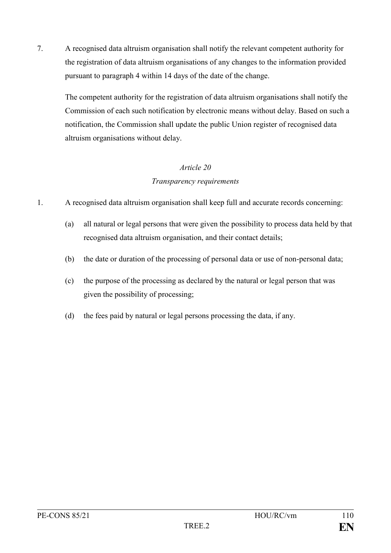7. A recognised data altruism organisation shall notify the relevant competent authority for the registration of data altruism organisations of any changes to the information provided pursuant to paragraph 4 within 14 days of the date of the change.

The competent authority for the registration of data altruism organisations shall notify the Commission of each such notification by electronic means without delay. Based on such a notification, the Commission shall update the public Union register of recognised data altruism organisations without delay.

## *Article 20 Transparency requirements*

- 1. A recognised data altruism organisation shall keep full and accurate records concerning:
	- (a) all natural or legal persons that were given the possibility to process data held by that recognised data altruism organisation, and their contact details;
	- (b) the date or duration of the processing of personal data or use of non-personal data;
	- (c) the purpose of the processing as declared by the natural or legal person that was given the possibility of processing;
	- (d) the fees paid by natural or legal persons processing the data, if any.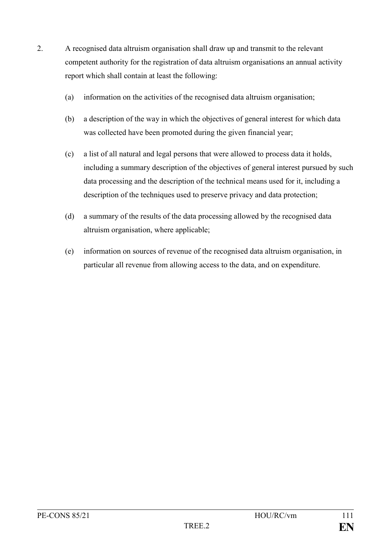- 2. A recognised data altruism organisation shall draw up and transmit to the relevant competent authority for the registration of data altruism organisations an annual activity report which shall contain at least the following:
	- (a) information on the activities of the recognised data altruism organisation;
	- (b) a description of the way in which the objectives of general interest for which data was collected have been promoted during the given financial year;
	- (c) a list of all natural and legal persons that were allowed to process data it holds, including a summary description of the objectives of general interest pursued by such data processing and the description of the technical means used for it, including a description of the techniques used to preserve privacy and data protection;
	- (d) a summary of the results of the data processing allowed by the recognised data altruism organisation, where applicable;
	- (e) information on sources of revenue of the recognised data altruism organisation, in particular all revenue from allowing access to the data, and on expenditure.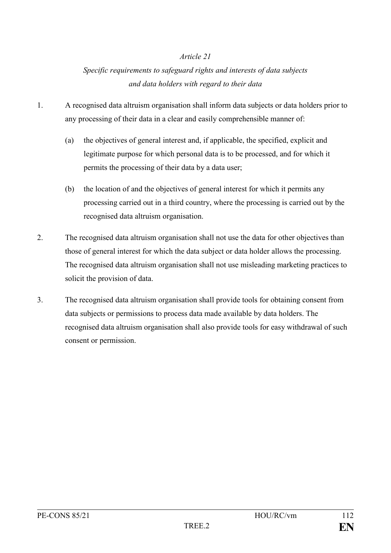## *Specific requirements to safeguard rights and interests of data subjects and data holders with regard to their data*

- 1. A recognised data altruism organisation shall inform data subjects or data holders prior to any processing of their data in a clear and easily comprehensible manner of:
	- (a) the objectives of general interest and, if applicable, the specified, explicit and legitimate purpose for which personal data is to be processed, and for which it permits the processing of their data by a data user;
	- (b) the location of and the objectives of general interest for which it permits any processing carried out in a third country, where the processing is carried out by the recognised data altruism organisation.
- 2. The recognised data altruism organisation shall not use the data for other objectives than those of general interest for which the data subject or data holder allows the processing. The recognised data altruism organisation shall not use misleading marketing practices to solicit the provision of data.
- 3. The recognised data altruism organisation shall provide tools for obtaining consent from data subjects or permissions to process data made available by data holders. The recognised data altruism organisation shall also provide tools for easy withdrawal of such consent or permission.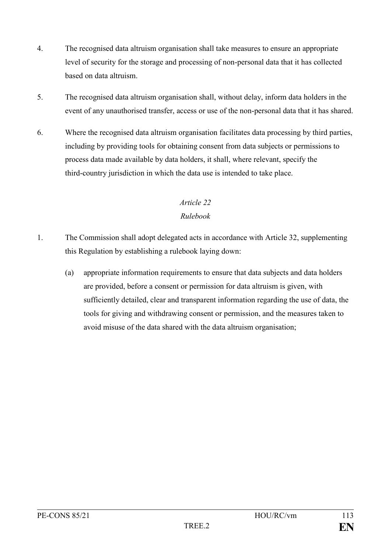- 4. The recognised data altruism organisation shall take measures to ensure an appropriate level of security for the storage and processing of non-personal data that it has collected based on data altruism.
- 5. The recognised data altruism organisation shall, without delay, inform data holders in the event of any unauthorised transfer, access or use of the non-personal data that it has shared.
- 6. Where the recognised data altruism organisation facilitates data processing by third parties, including by providing tools for obtaining consent from data subjects or permissions to process data made available by data holders, it shall, where relevant, specify the third-country jurisdiction in which the data use is intended to take place.

## *Rulebook*

- 1. The Commission shall adopt delegated acts in accordance with Article 32, supplementing this Regulation by establishing a rulebook laying down:
	- (a) appropriate information requirements to ensure that data subjects and data holders are provided, before a consent or permission for data altruism is given, with sufficiently detailed, clear and transparent information regarding the use of data, the tools for giving and withdrawing consent or permission, and the measures taken to avoid misuse of the data shared with the data altruism organisation;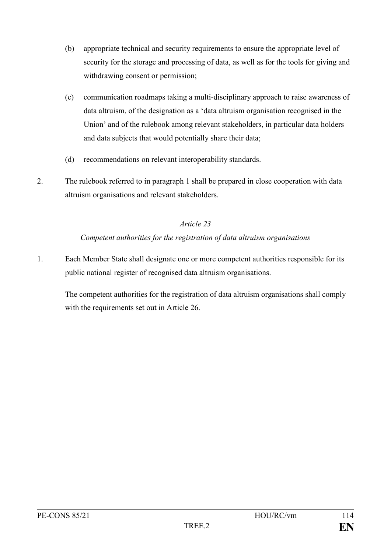- (b) appropriate technical and security requirements to ensure the appropriate level of security for the storage and processing of data, as well as for the tools for giving and withdrawing consent or permission;
- (c) communication roadmaps taking a multi-disciplinary approach to raise awareness of data altruism, of the designation as a 'data altruism organisation recognised in the Union' and of the rulebook among relevant stakeholders, in particular data holders and data subjects that would potentially share their data;
- (d) recommendations on relevant interoperability standards.
- 2. The rulebook referred to in paragraph 1 shall be prepared in close cooperation with data altruism organisations and relevant stakeholders.

### *Competent authorities for the registration of data altruism organisations*

1. Each Member State shall designate one or more competent authorities responsible for its public national register of recognised data altruism organisations.

The competent authorities for the registration of data altruism organisations shall comply with the requirements set out in Article 26.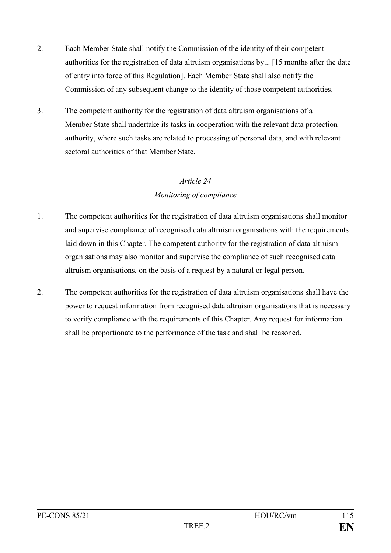- 2. Each Member State shall notify the Commission of the identity of their competent authorities for the registration of data altruism organisations by... [15 months after the date of entry into force of this Regulation]. Each Member State shall also notify the Commission of any subsequent change to the identity of those competent authorities.
- 3. The competent authority for the registration of data altruism organisations of a Member State shall undertake its tasks in cooperation with the relevant data protection authority, where such tasks are related to processing of personal data, and with relevant sectoral authorities of that Member State.

## *Monitoring of compliance*

- 1. The competent authorities for the registration of data altruism organisations shall monitor and supervise compliance of recognised data altruism organisations with the requirements laid down in this Chapter. The competent authority for the registration of data altruism organisations may also monitor and supervise the compliance of such recognised data altruism organisations, on the basis of a request by a natural or legal person.
- 2. The competent authorities for the registration of data altruism organisations shall have the power to request information from recognised data altruism organisations that is necessary to verify compliance with the requirements of this Chapter. Any request for information shall be proportionate to the performance of the task and shall be reasoned.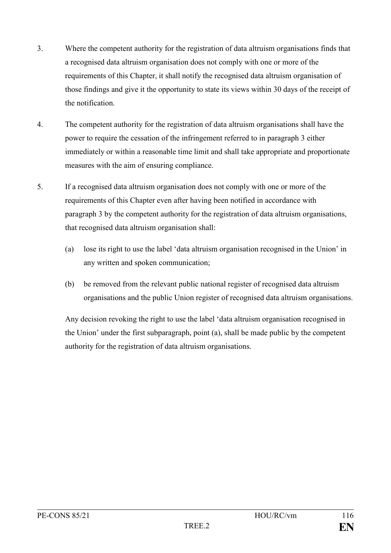- 3. Where the competent authority for the registration of data altruism organisations finds that a recognised data altruism organisation does not comply with one or more of the requirements of this Chapter, it shall notify the recognised data altruism organisation of those findings and give it the opportunity to state its views within 30 days of the receipt of the notification.
- 4. The competent authority for the registration of data altruism organisations shall have the power to require the cessation of the infringement referred to in paragraph 3 either immediately or within a reasonable time limit and shall take appropriate and proportionate measures with the aim of ensuring compliance.
- 5. If a recognised data altruism organisation does not comply with one or more of the requirements of this Chapter even after having been notified in accordance with paragraph 3 by the competent authority for the registration of data altruism organisations, that recognised data altruism organisation shall:
	- (a) lose its right to use the label 'data altruism organisation recognised in the Union' in any written and spoken communication;
	- (b) be removed from the relevant public national register of recognised data altruism organisations and the public Union register of recognised data altruism organisations.

Any decision revoking the right to use the label 'data altruism organisation recognised in the Union' under the first subparagraph, point (a), shall be made public by the competent authority for the registration of data altruism organisations.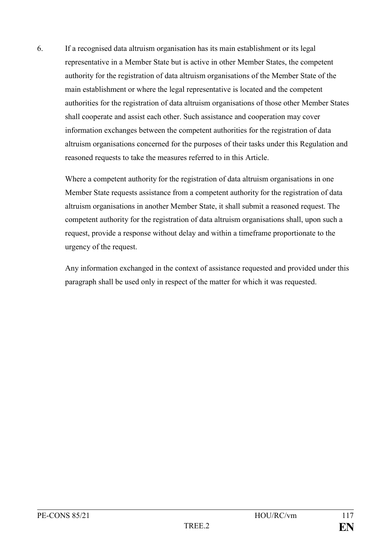6. If a recognised data altruism organisation has its main establishment or its legal representative in a Member State but is active in other Member States, the competent authority for the registration of data altruism organisations of the Member State of the main establishment or where the legal representative is located and the competent authorities for the registration of data altruism organisations of those other Member States shall cooperate and assist each other. Such assistance and cooperation may cover information exchanges between the competent authorities for the registration of data altruism organisations concerned for the purposes of their tasks under this Regulation and reasoned requests to take the measures referred to in this Article.

Where a competent authority for the registration of data altruism organisations in one Member State requests assistance from a competent authority for the registration of data altruism organisations in another Member State, it shall submit a reasoned request. The competent authority for the registration of data altruism organisations shall, upon such a request, provide a response without delay and within a timeframe proportionate to the urgency of the request.

Any information exchanged in the context of assistance requested and provided under this paragraph shall be used only in respect of the matter for which it was requested.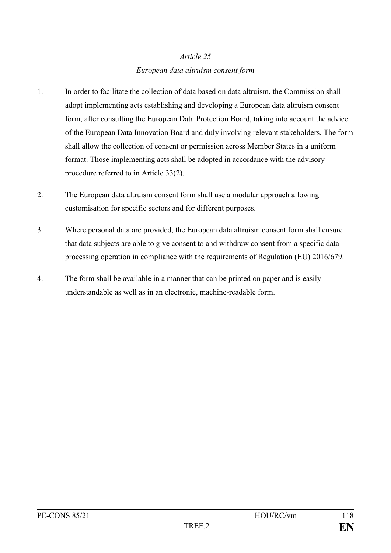# *Article 25 European data altruism consent form*

- 1. In order to facilitate the collection of data based on data altruism, the Commission shall adopt implementing acts establishing and developing a European data altruism consent form, after consulting the European Data Protection Board, taking into account the advice of the European Data Innovation Board and duly involving relevant stakeholders. The form shall allow the collection of consent or permission across Member States in a uniform format. Those implementing acts shall be adopted in accordance with the advisory procedure referred to in Article 33(2).
- 2. The European data altruism consent form shall use a modular approach allowing customisation for specific sectors and for different purposes.
- 3. Where personal data are provided, the European data altruism consent form shall ensure that data subjects are able to give consent to and withdraw consent from a specific data processing operation in compliance with the requirements of Regulation (EU) 2016/679.
- 4. The form shall be available in a manner that can be printed on paper and is easily understandable as well as in an electronic, machine-readable form.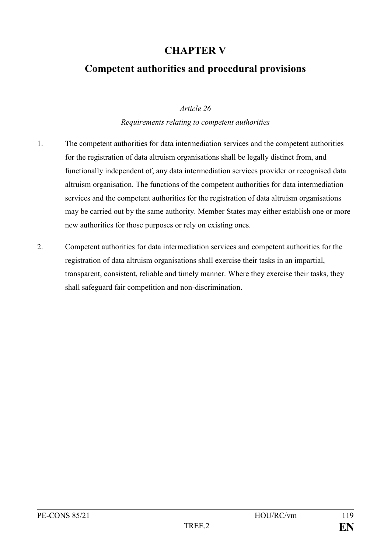# **CHAPTER V**

# **Competent authorities and procedural provisions**

### *Article 26*

#### *Requirements relating to competent authorities*

- 1. The competent authorities for data intermediation services and the competent authorities for the registration of data altruism organisations shall be legally distinct from, and functionally independent of, any data intermediation services provider or recognised data altruism organisation. The functions of the competent authorities for data intermediation services and the competent authorities for the registration of data altruism organisations may be carried out by the same authority. Member States may either establish one or more new authorities for those purposes or rely on existing ones.
- 2. Competent authorities for data intermediation services and competent authorities for the registration of data altruism organisations shall exercise their tasks in an impartial, transparent, consistent, reliable and timely manner. Where they exercise their tasks, they shall safeguard fair competition and non-discrimination.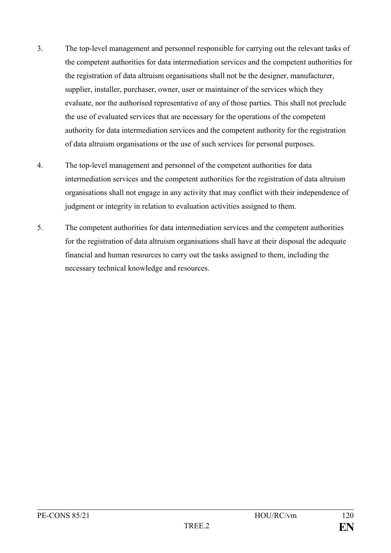- 3. The top-level management and personnel responsible for carrying out the relevant tasks of the competent authorities for data intermediation services and the competent authorities for the registration of data altruism organisations shall not be the designer, manufacturer, supplier, installer, purchaser, owner, user or maintainer of the services which they evaluate, nor the authorised representative of any of those parties. This shall not preclude the use of evaluated services that are necessary for the operations of the competent authority for data intermediation services and the competent authority for the registration of data altruism organisations or the use of such services for personal purposes.
- 4. The top-level management and personnel of the competent authorities for data intermediation services and the competent authorities for the registration of data altruism organisations shall not engage in any activity that may conflict with their independence of judgment or integrity in relation to evaluation activities assigned to them.
- 5. The competent authorities for data intermediation services and the competent authorities for the registration of data altruism organisations shall have at their disposal the adequate financial and human resources to carry out the tasks assigned to them, including the necessary technical knowledge and resources.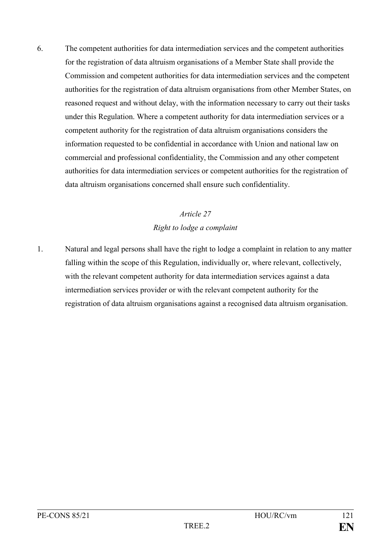6. The competent authorities for data intermediation services and the competent authorities for the registration of data altruism organisations of a Member State shall provide the Commission and competent authorities for data intermediation services and the competent authorities for the registration of data altruism organisations from other Member States, on reasoned request and without delay, with the information necessary to carry out their tasks under this Regulation. Where a competent authority for data intermediation services or a competent authority for the registration of data altruism organisations considers the information requested to be confidential in accordance with Union and national law on commercial and professional confidentiality, the Commission and any other competent authorities for data intermediation services or competent authorities for the registration of data altruism organisations concerned shall ensure such confidentiality.

# *Article 27 Right to lodge a complaint*

1. Natural and legal persons shall have the right to lodge a complaint in relation to any matter falling within the scope of this Regulation, individually or, where relevant, collectively, with the relevant competent authority for data intermediation services against a data intermediation services provider or with the relevant competent authority for the registration of data altruism organisations against a recognised data altruism organisation.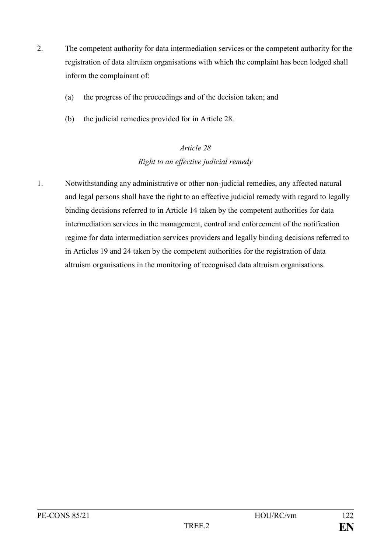- 2. The competent authority for data intermediation services or the competent authority for the registration of data altruism organisations with which the complaint has been lodged shall inform the complainant of:
	- (a) the progress of the proceedings and of the decision taken; and
	- (b) the judicial remedies provided for in Article 28.

# *Article 28 Right to an effective judicial remedy*

1. Notwithstanding any administrative or other non-judicial remedies, any affected natural and legal persons shall have the right to an effective judicial remedy with regard to legally binding decisions referred to in Article 14 taken by the competent authorities for data intermediation services in the management, control and enforcement of the notification regime for data intermediation services providers and legally binding decisions referred to in Articles 19 and 24 taken by the competent authorities for the registration of data altruism organisations in the monitoring of recognised data altruism organisations.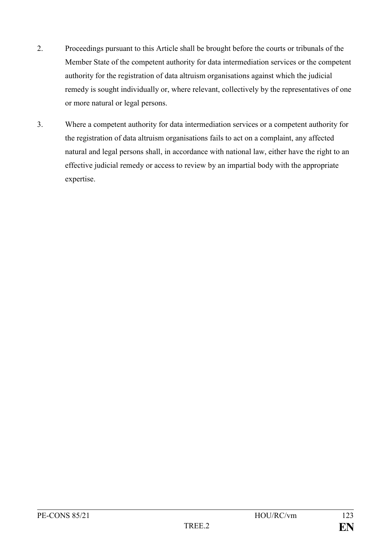- 2. Proceedings pursuant to this Article shall be brought before the courts or tribunals of the Member State of the competent authority for data intermediation services or the competent authority for the registration of data altruism organisations against which the judicial remedy is sought individually or, where relevant, collectively by the representatives of one or more natural or legal persons.
- 3. Where a competent authority for data intermediation services or a competent authority for the registration of data altruism organisations fails to act on a complaint, any affected natural and legal persons shall, in accordance with national law, either have the right to an effective judicial remedy or access to review by an impartial body with the appropriate expertise.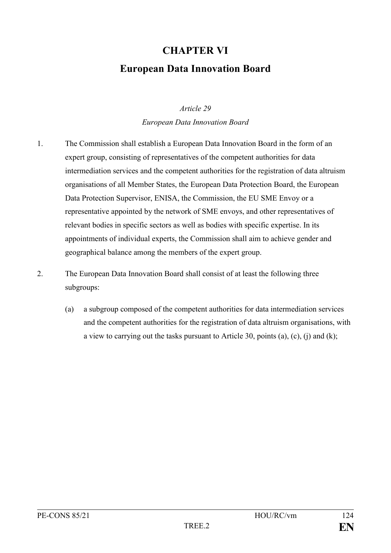# **CHAPTER VI European Data Innovation Board**

### *Article 29*

*European Data Innovation Board*

- 1. The Commission shall establish a European Data Innovation Board in the form of an expert group, consisting of representatives of the competent authorities for data intermediation services and the competent authorities for the registration of data altruism organisations of all Member States, the European Data Protection Board, the European Data Protection Supervisor, ENISA, the Commission, the EU SME Envoy or a representative appointed by the network of SME envoys, and other representatives of relevant bodies in specific sectors as well as bodies with specific expertise. In its appointments of individual experts, the Commission shall aim to achieve gender and geographical balance among the members of the expert group.
- 2. The European Data Innovation Board shall consist of at least the following three subgroups:
	- (a) a subgroup composed of the competent authorities for data intermediation services and the competent authorities for the registration of data altruism organisations, with a view to carrying out the tasks pursuant to Article 30, points (a), (c), (j) and (k);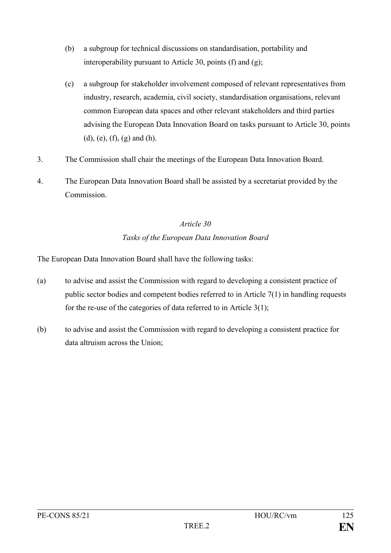- (b) a subgroup for technical discussions on standardisation, portability and interoperability pursuant to Article 30, points (f) and (g);
- (c) a subgroup for stakeholder involvement composed of relevant representatives from industry, research, academia, civil society, standardisation organisations, relevant common European data spaces and other relevant stakeholders and third parties advising the European Data Innovation Board on tasks pursuant to Article 30, points (d), (e), (f), (g) and (h).
- 3. The Commission shall chair the meetings of the European Data Innovation Board.
- 4. The European Data Innovation Board shall be assisted by a secretariat provided by the Commission.

### *Tasks of the European Data Innovation Board*

The European Data Innovation Board shall have the following tasks:

- (a) to advise and assist the Commission with regard to developing a consistent practice of public sector bodies and competent bodies referred to in Article 7(1) in handling requests for the re-use of the categories of data referred to in Article 3(1);
- (b) to advise and assist the Commission with regard to developing a consistent practice for data altruism across the Union;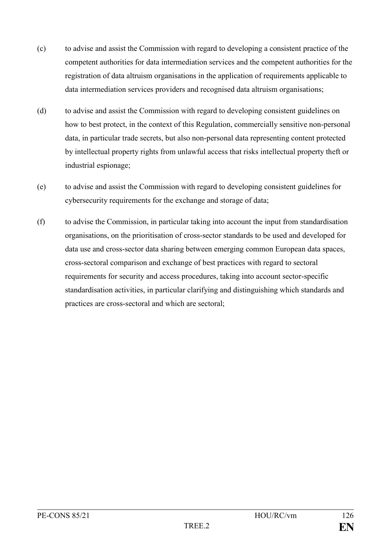- (c) to advise and assist the Commission with regard to developing a consistent practice of the competent authorities for data intermediation services and the competent authorities for the registration of data altruism organisations in the application of requirements applicable to data intermediation services providers and recognised data altruism organisations;
- (d) to advise and assist the Commission with regard to developing consistent guidelines on how to best protect, in the context of this Regulation, commercially sensitive non-personal data, in particular trade secrets, but also non-personal data representing content protected by intellectual property rights from unlawful access that risks intellectual property theft or industrial espionage;
- (e) to advise and assist the Commission with regard to developing consistent guidelines for cybersecurity requirements for the exchange and storage of data;
- (f) to advise the Commission, in particular taking into account the input from standardisation organisations, on the prioritisation of cross-sector standards to be used and developed for data use and cross-sector data sharing between emerging common European data spaces, cross-sectoral comparison and exchange of best practices with regard to sectoral requirements for security and access procedures, taking into account sector-specific standardisation activities, in particular clarifying and distinguishing which standards and practices are cross-sectoral and which are sectoral;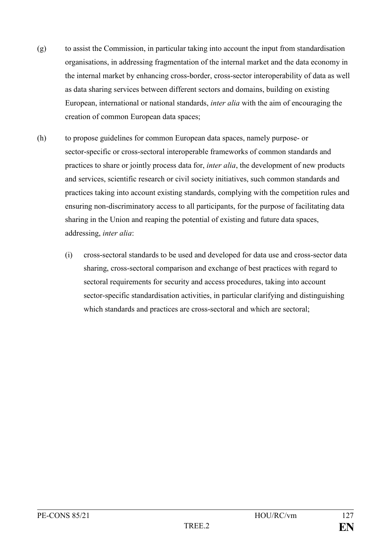- (g) to assist the Commission, in particular taking into account the input from standardisation organisations, in addressing fragmentation of the internal market and the data economy in the internal market by enhancing cross-border, cross-sector interoperability of data as well as data sharing services between different sectors and domains, building on existing European, international or national standards, *inter alia* with the aim of encouraging the creation of common European data spaces;
- (h) to propose guidelines for common European data spaces, namely purpose- or sector-specific or cross-sectoral interoperable frameworks of common standards and practices to share or jointly process data for, *inter alia*, the development of new products and services, scientific research or civil society initiatives, such common standards and practices taking into account existing standards, complying with the competition rules and ensuring non-discriminatory access to all participants, for the purpose of facilitating data sharing in the Union and reaping the potential of existing and future data spaces, addressing, *inter alia*:
	- (i) cross-sectoral standards to be used and developed for data use and cross-sector data sharing, cross-sectoral comparison and exchange of best practices with regard to sectoral requirements for security and access procedures, taking into account sector-specific standardisation activities, in particular clarifying and distinguishing which standards and practices are cross-sectoral and which are sectoral;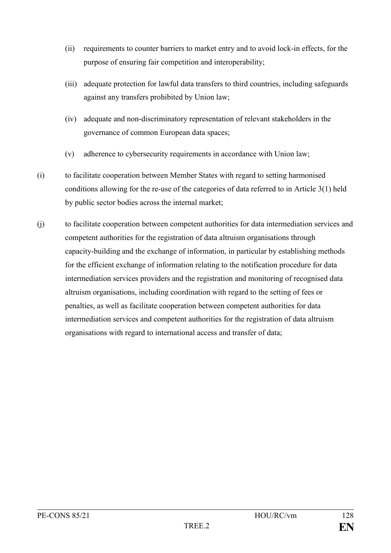- (ii) requirements to counter barriers to market entry and to avoid lock-in effects, for the purpose of ensuring fair competition and interoperability;
- (iii) adequate protection for lawful data transfers to third countries, including safeguards against any transfers prohibited by Union law;
- (iv) adequate and non-discriminatory representation of relevant stakeholders in the governance of common European data spaces;
- (v) adherence to cybersecurity requirements in accordance with Union law;
- (i) to facilitate cooperation between Member States with regard to setting harmonised conditions allowing for the re-use of the categories of data referred to in Article 3(1) held by public sector bodies across the internal market;
- (j) to facilitate cooperation between competent authorities for data intermediation services and competent authorities for the registration of data altruism organisations through capacity-building and the exchange of information, in particular by establishing methods for the efficient exchange of information relating to the notification procedure for data intermediation services providers and the registration and monitoring of recognised data altruism organisations, including coordination with regard to the setting of fees or penalties, as well as facilitate cooperation between competent authorities for data intermediation services and competent authorities for the registration of data altruism organisations with regard to international access and transfer of data;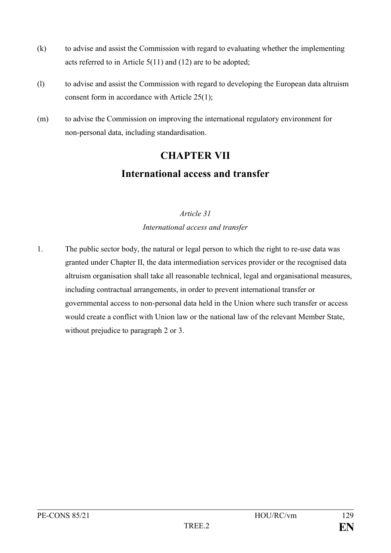- (k) to advise and assist the Commission with regard to evaluating whether the implementing acts referred to in Article 5(11) and (12) are to be adopted;
- (l) to advise and assist the Commission with regard to developing the European data altruism consent form in accordance with Article 25(1);
- (m) to advise the Commission on improving the international regulatory environment for non-personal data, including standardisation.

# **CHAPTER VII International access and transfer**

# *Article 31 International access and transfer*

1. The public sector body, the natural or legal person to which the right to re-use data was granted under Chapter II, the data intermediation services provider or the recognised data altruism organisation shall take all reasonable technical, legal and organisational measures, including contractual arrangements, in order to prevent international transfer or governmental access to non-personal data held in the Union where such transfer or access would create a conflict with Union law or the national law of the relevant Member State, without prejudice to paragraph 2 or 3.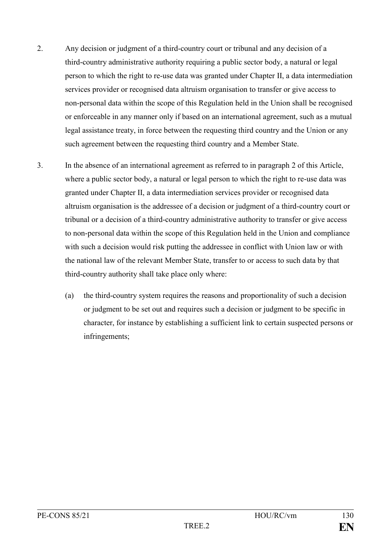- 2. Any decision or judgment of a third-country court or tribunal and any decision of a third-country administrative authority requiring a public sector body, a natural or legal person to which the right to re-use data was granted under Chapter II, a data intermediation services provider or recognised data altruism organisation to transfer or give access to non-personal data within the scope of this Regulation held in the Union shall be recognised or enforceable in any manner only if based on an international agreement, such as a mutual legal assistance treaty, in force between the requesting third country and the Union or any such agreement between the requesting third country and a Member State.
- 3. In the absence of an international agreement as referred to in paragraph 2 of this Article, where a public sector body, a natural or legal person to which the right to re-use data was granted under Chapter II, a data intermediation services provider or recognised data altruism organisation is the addressee of a decision or judgment of a third-country court or tribunal or a decision of a third-country administrative authority to transfer or give access to non-personal data within the scope of this Regulation held in the Union and compliance with such a decision would risk putting the addressee in conflict with Union law or with the national law of the relevant Member State, transfer to or access to such data by that third-country authority shall take place only where:
	- (a) the third-country system requires the reasons and proportionality of such a decision or judgment to be set out and requires such a decision or judgment to be specific in character, for instance by establishing a sufficient link to certain suspected persons or infringements;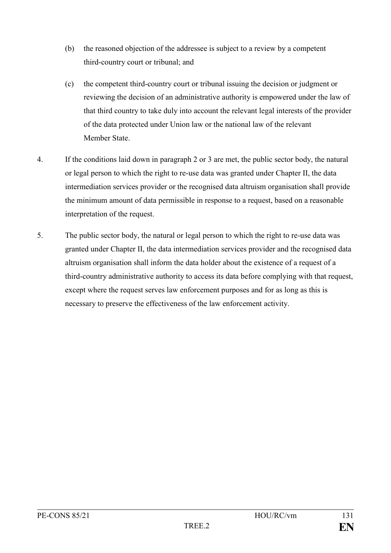- (b) the reasoned objection of the addressee is subject to a review by a competent third-country court or tribunal; and
- (c) the competent third-country court or tribunal issuing the decision or judgment or reviewing the decision of an administrative authority is empowered under the law of that third country to take duly into account the relevant legal interests of the provider of the data protected under Union law or the national law of the relevant Member State.
- 4. If the conditions laid down in paragraph 2 or 3 are met, the public sector body, the natural or legal person to which the right to re-use data was granted under Chapter II, the data intermediation services provider or the recognised data altruism organisation shall provide the minimum amount of data permissible in response to a request, based on a reasonable interpretation of the request.
- 5. The public sector body, the natural or legal person to which the right to re-use data was granted under Chapter II, the data intermediation services provider and the recognised data altruism organisation shall inform the data holder about the existence of a request of a third-country administrative authority to access its data before complying with that request, except where the request serves law enforcement purposes and for as long as this is necessary to preserve the effectiveness of the law enforcement activity.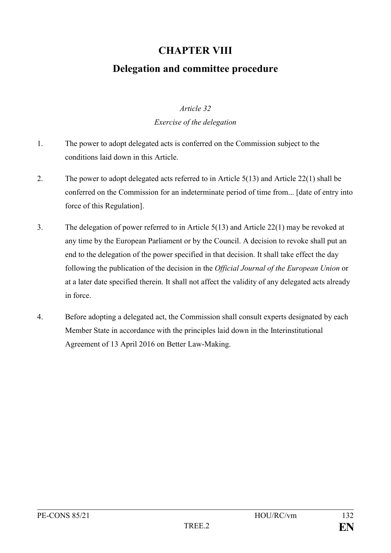# **CHAPTER VIII**

# **Delegation and committee procedure**

### *Article 32*

### *Exercise of the delegation*

- 1. The power to adopt delegated acts is conferred on the Commission subject to the conditions laid down in this Article.
- 2. The power to adopt delegated acts referred to in Article 5(13) and Article 22(1) shall be conferred on the Commission for an indeterminate period of time from... [date of entry into force of this Regulation].
- 3. The delegation of power referred to in Article 5(13) and Article 22(1) may be revoked at any time by the European Parliament or by the Council. A decision to revoke shall put an end to the delegation of the power specified in that decision. It shall take effect the day following the publication of the decision in the *Official Journal of the European Union* or at a later date specified therein. It shall not affect the validity of any delegated acts already in force.
- 4. Before adopting a delegated act, the Commission shall consult experts designated by each Member State in accordance with the principles laid down in the Interinstitutional Agreement of 13 April 2016 on Better Law-Making.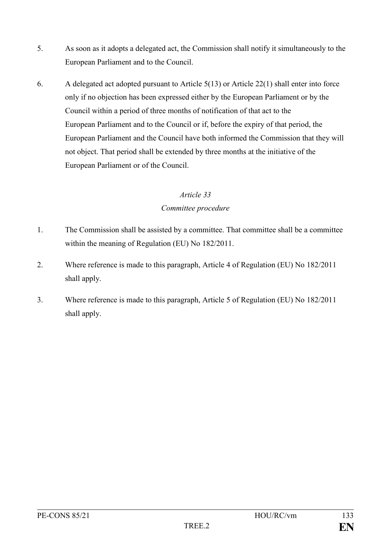- 5. As soon as it adopts a delegated act, the Commission shall notify it simultaneously to the European Parliament and to the Council.
- 6. A delegated act adopted pursuant to Article 5(13) or Article 22(1) shall enter into force only if no objection has been expressed either by the European Parliament or by the Council within a period of three months of notification of that act to the European Parliament and to the Council or if, before the expiry of that period, the European Parliament and the Council have both informed the Commission that they will not object. That period shall be extended by three months at the initiative of the European Parliament or of the Council.

## *Article 33 Committee procedure*

- 1. The Commission shall be assisted by a committee. That committee shall be a committee within the meaning of Regulation (EU) No 182/2011.
- 2. Where reference is made to this paragraph, Article 4 of Regulation (EU) No 182/2011 shall apply.
- 3. Where reference is made to this paragraph, Article 5 of Regulation (EU) No 182/2011 shall apply.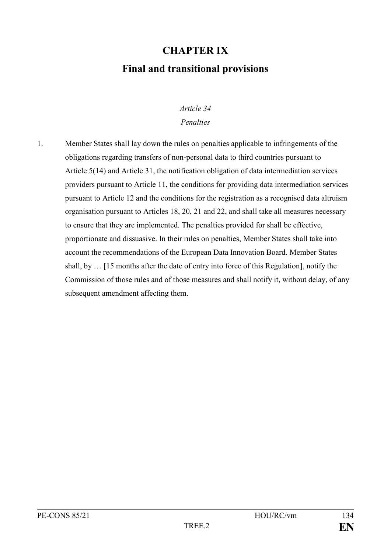# **CHAPTER IX Final and transitional provisions**

## *Article 34*

### *Penalties*

1. Member States shall lay down the rules on penalties applicable to infringements of the obligations regarding transfers of non-personal data to third countries pursuant to Article 5(14) and Article 31, the notification obligation of data intermediation services providers pursuant to Article 11, the conditions for providing data intermediation services pursuant to Article 12 and the conditions for the registration as a recognised data altruism organisation pursuant to Articles 18, 20, 21 and 22, and shall take all measures necessary to ensure that they are implemented. The penalties provided for shall be effective, proportionate and dissuasive. In their rules on penalties, Member States shall take into account the recommendations of the European Data Innovation Board. Member States shall, by … [15 months after the date of entry into force of this Regulation], notify the Commission of those rules and of those measures and shall notify it, without delay, of any subsequent amendment affecting them.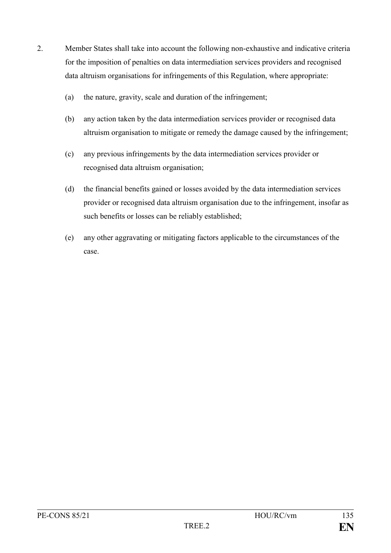- 2. Member States shall take into account the following non-exhaustive and indicative criteria for the imposition of penalties on data intermediation services providers and recognised data altruism organisations for infringements of this Regulation, where appropriate:
	- (a) the nature, gravity, scale and duration of the infringement;
	- (b) any action taken by the data intermediation services provider or recognised data altruism organisation to mitigate or remedy the damage caused by the infringement;
	- (c) any previous infringements by the data intermediation services provider or recognised data altruism organisation;
	- (d) the financial benefits gained or losses avoided by the data intermediation services provider or recognised data altruism organisation due to the infringement, insofar as such benefits or losses can be reliably established;
	- (e) any other aggravating or mitigating factors applicable to the circumstances of the case.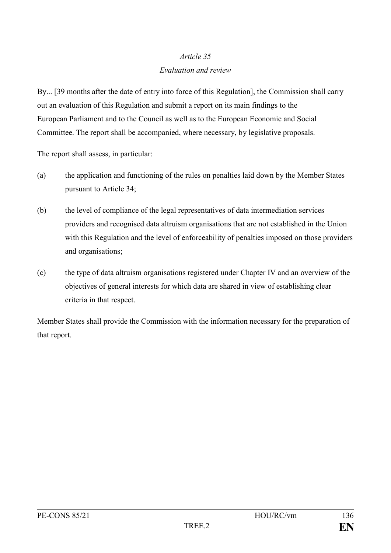### *Evaluation and review*

By... [39 months after the date of entry into force of this Regulation], the Commission shall carry out an evaluation of this Regulation and submit a report on its main findings to the European Parliament and to the Council as well as to the European Economic and Social Committee. The report shall be accompanied, where necessary, by legislative proposals.

The report shall assess, in particular:

- (a) the application and functioning of the rules on penalties laid down by the Member States pursuant to Article 34;
- (b) the level of compliance of the legal representatives of data intermediation services providers and recognised data altruism organisations that are not established in the Union with this Regulation and the level of enforceability of penalties imposed on those providers and organisations;
- (c) the type of data altruism organisations registered under Chapter IV and an overview of the objectives of general interests for which data are shared in view of establishing clear criteria in that respect.

Member States shall provide the Commission with the information necessary for the preparation of that report.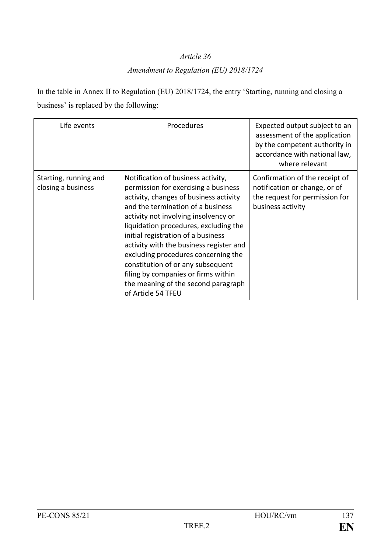## *Amendment to Regulation (EU) 2018/1724*

In the table in Annex II to Regulation (EU) 2018/1724, the entry 'Starting, running and closing a business' is replaced by the following:

| Life events                                 | Procedures                                                                                                                                                                                                                                                                                                                                                                                                                                                                                                  | Expected output subject to an<br>assessment of the application<br>by the competent authority in<br>accordance with national law,<br>where relevant |
|---------------------------------------------|-------------------------------------------------------------------------------------------------------------------------------------------------------------------------------------------------------------------------------------------------------------------------------------------------------------------------------------------------------------------------------------------------------------------------------------------------------------------------------------------------------------|----------------------------------------------------------------------------------------------------------------------------------------------------|
| Starting, running and<br>closing a business | Notification of business activity,<br>permission for exercising a business<br>activity, changes of business activity<br>and the termination of a business<br>activity not involving insolvency or<br>liquidation procedures, excluding the<br>initial registration of a business<br>activity with the business register and<br>excluding procedures concerning the<br>constitution of or any subsequent<br>filing by companies or firms within<br>the meaning of the second paragraph<br>of Article 54 TFEU | Confirmation of the receipt of<br>notification or change, or of<br>the request for permission for<br>business activity                             |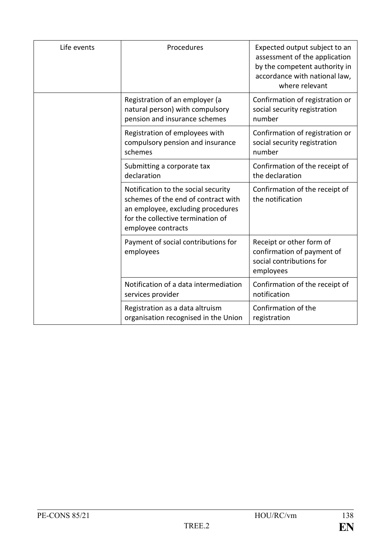| Life events | Procedures                                                                                                                                                                 | Expected output subject to an<br>assessment of the application<br>by the competent authority in<br>accordance with national law,<br>where relevant |
|-------------|----------------------------------------------------------------------------------------------------------------------------------------------------------------------------|----------------------------------------------------------------------------------------------------------------------------------------------------|
|             | Registration of an employer (a<br>natural person) with compulsory<br>pension and insurance schemes                                                                         | Confirmation of registration or<br>social security registration<br>number                                                                          |
|             | Registration of employees with<br>compulsory pension and insurance<br>schemes                                                                                              | Confirmation of registration or<br>social security registration<br>number                                                                          |
|             | Submitting a corporate tax<br>declaration                                                                                                                                  | Confirmation of the receipt of<br>the declaration                                                                                                  |
|             | Notification to the social security<br>schemes of the end of contract with<br>an employee, excluding procedures<br>for the collective termination of<br>employee contracts | Confirmation of the receipt of<br>the notification                                                                                                 |
|             | Payment of social contributions for<br>employees                                                                                                                           | Receipt or other form of<br>confirmation of payment of<br>social contributions for<br>employees                                                    |
|             | Notification of a data intermediation<br>services provider                                                                                                                 | Confirmation of the receipt of<br>notification                                                                                                     |
|             | Registration as a data altruism<br>organisation recognised in the Union                                                                                                    | Confirmation of the<br>registration                                                                                                                |